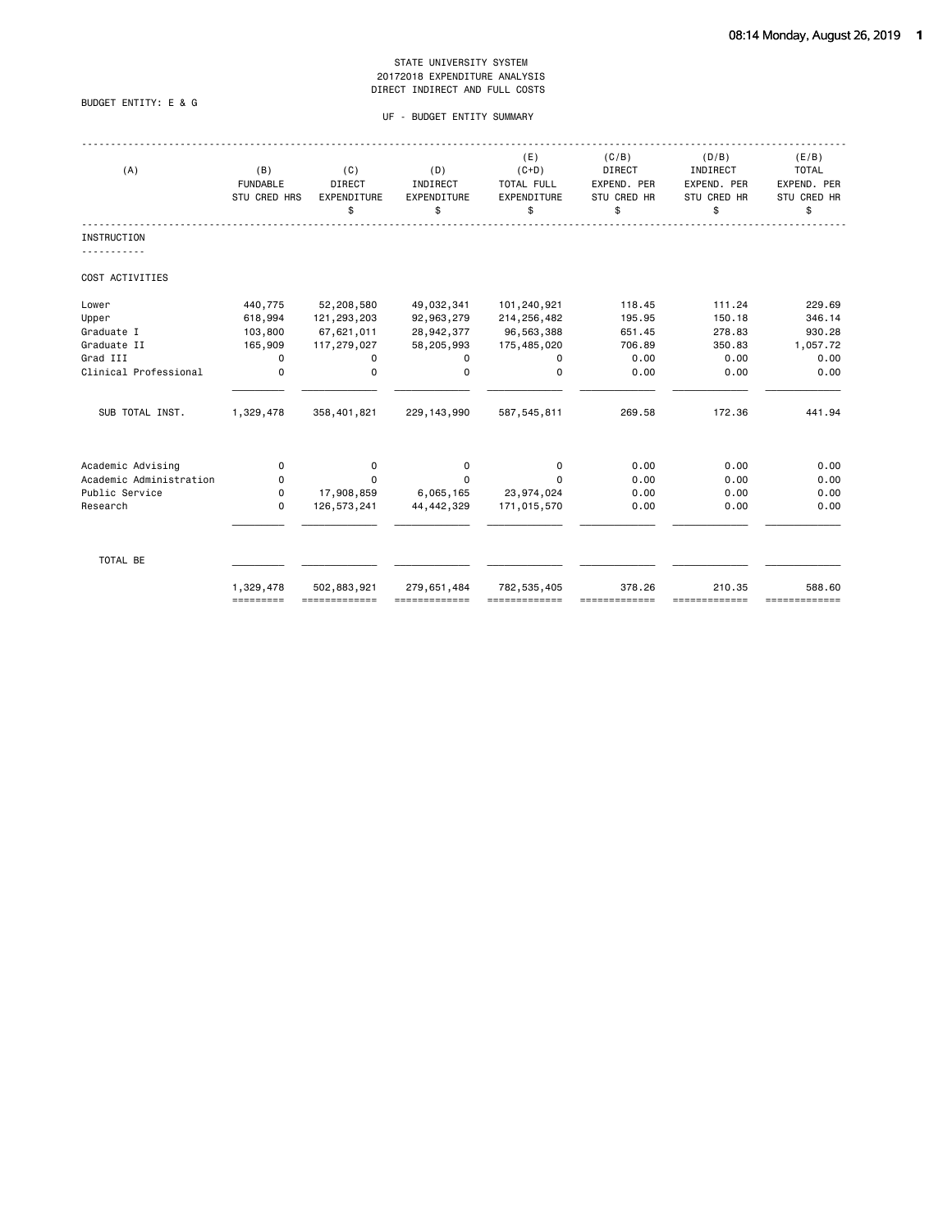# BUDGET ENTITY: E & G

# UF - BUDGET ENTITY SUMMARY

| (B)<br><b>FUNDABLE</b> | (C)<br><b>DIRECT</b><br>EXPENDITURE<br>\$ | (D)<br>INDIRECT<br>EXPENDITURE<br>\$                         | (E)<br>$(C+D)$<br>TOTAL FULL<br>EXPENDITURE<br>\$ | (C/B)<br>DIRECT<br>EXPEND. PER<br>STU CRED HR<br>\$ | (D/B)<br>INDIRECT<br>EXPEND. PER<br>STU CRED HR<br>\$ | (E/B)<br><b>TOTAL</b><br>EXPEND. PER<br>STU CRED HR<br>\$ |
|------------------------|-------------------------------------------|--------------------------------------------------------------|---------------------------------------------------|-----------------------------------------------------|-------------------------------------------------------|-----------------------------------------------------------|
|                        |                                           |                                                              |                                                   |                                                     |                                                       |                                                           |
|                        |                                           |                                                              |                                                   |                                                     |                                                       |                                                           |
| 440,775                | 52,208,580                                | 49,032,341                                                   | 101,240,921                                       | 118.45                                              | 111.24                                                | 229.69                                                    |
| 618,994                | 121,293,203                               | 92,963,279                                                   | 214,256,482                                       | 195.95                                              | 150.18                                                | 346.14                                                    |
| 103,800                | 67,621,011                                | 28,942,377                                                   | 96,563,388                                        | 651.45                                              | 278.83                                                | 930.28                                                    |
| 165,909                | 117,279,027                               | 58,205,993                                                   | 175,485,020                                       | 706.89                                              | 350.83                                                | 1,057.72                                                  |
| 0                      | 0                                         | 0                                                            | 0                                                 | 0.00                                                | 0.00                                                  | 0.00                                                      |
| 0                      | $\mathbf 0$                               | 0                                                            | 0                                                 | 0.00                                                | 0.00                                                  | 0.00                                                      |
| 1,329,478              | 358,401,821                               | 229, 143, 990                                                | 587, 545, 811                                     | 269.58                                              | 172.36                                                | 441.94                                                    |
|                        |                                           |                                                              |                                                   |                                                     |                                                       | 0.00                                                      |
|                        |                                           |                                                              |                                                   |                                                     |                                                       | 0.00                                                      |
|                        |                                           |                                                              |                                                   |                                                     |                                                       | 0.00                                                      |
| $\Omega$               | 126, 573, 241                             | 44, 442, 329                                                 | 171,015,570                                       | 0.00                                                | 0.00                                                  | 0.00                                                      |
|                        |                                           |                                                              |                                                   |                                                     |                                                       |                                                           |
| 1,329,478              | 502,883,921                               | 279,651,484<br>=============                                 | 782, 535, 405                                     | 378.26                                              | 210.35                                                | 588.60<br>=============                                   |
|                        | 0<br>0<br>0<br>=========                  | STU CRED HRS<br>0<br>$\Omega$<br>17,908,859<br>============= | 0<br>$\Omega$<br>6,065,165                        | 0<br>$\Omega$<br>23,974,024                         | 0.00<br>0.00<br>0.00                                  | 0.00<br>0.00<br>0.00<br>-------------                     |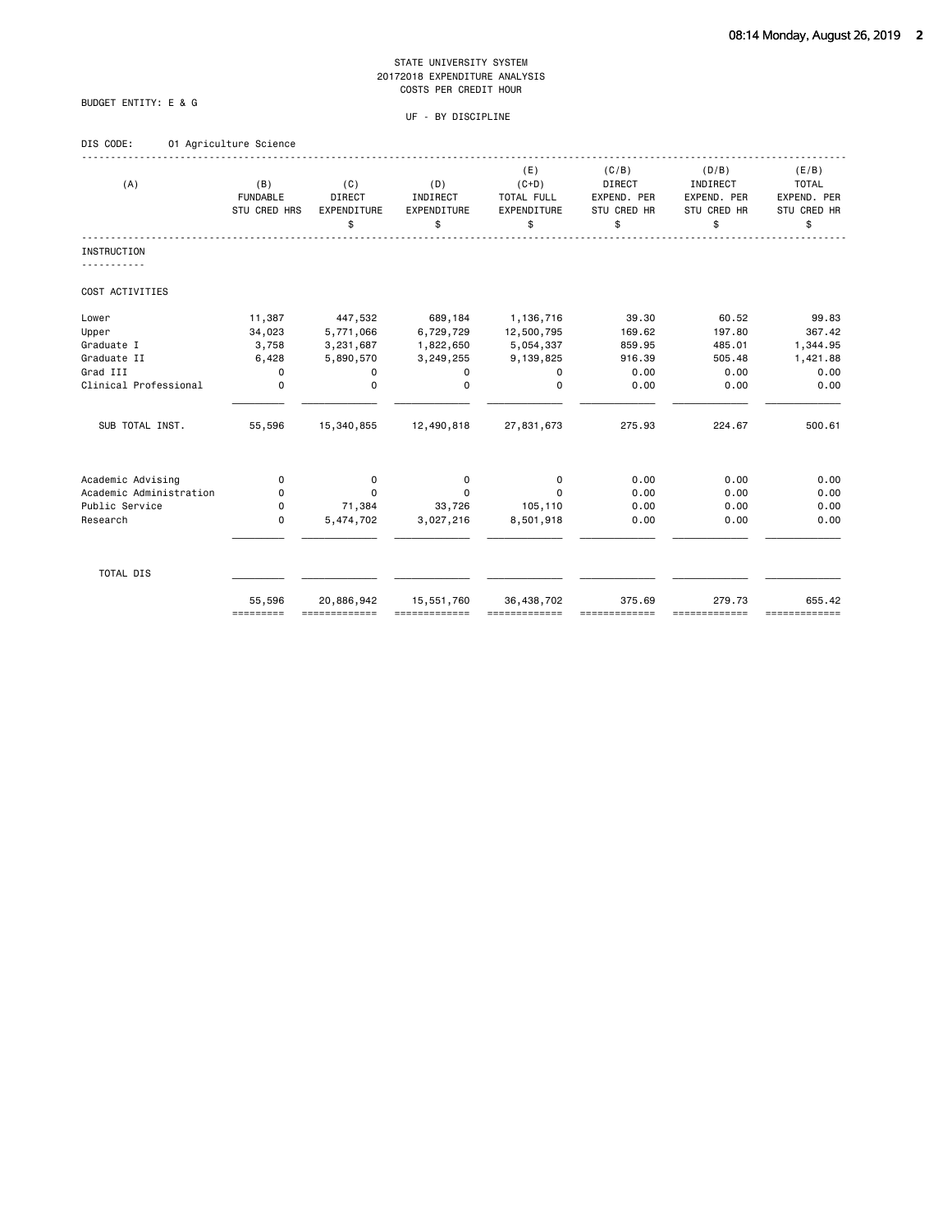# BUDGET ENTITY: E & G

# UF - BY DISCIPLINE

# DIS CODE: 01 Agriculture Science

| (A)                                          | (B)<br><b>FUNDABLE</b><br>STU CRED HRS | (C)<br>DIRECT<br>EXPENDITURE<br>\$ | (D)<br>INDIRECT<br>EXPENDITURE<br>\$ | (E)<br>$(C+D)$<br>TOTAL FULL<br>EXPENDITURE<br>\$ | (C/B)<br>DIRECT<br>EXPEND. PER<br><b>STU CRED HR</b><br>\$ | (D/B)<br>INDIRECT<br>EXPEND. PER<br>STU CRED HR<br>\$ | (E/B)<br><b>TOTAL</b><br>EXPEND. PER<br>STU CRED HR<br>\$ |
|----------------------------------------------|----------------------------------------|------------------------------------|--------------------------------------|---------------------------------------------------|------------------------------------------------------------|-------------------------------------------------------|-----------------------------------------------------------|
| <b>INSTRUCTION</b>                           |                                        |                                    |                                      |                                                   |                                                            |                                                       |                                                           |
| COST ACTIVITIES                              |                                        |                                    |                                      |                                                   |                                                            |                                                       |                                                           |
| Lower                                        | 11,387                                 | 447,532                            | 689,184                              | 1,136,716                                         | 39.30                                                      | 60.52                                                 | 99.83                                                     |
| Upper                                        | 34,023                                 | 5,771,066                          | 6,729,729                            | 12,500,795                                        | 169.62                                                     | 197.80                                                | 367.42                                                    |
| Graduate I                                   | 3,758                                  | 3,231,687                          | 1,822,650                            | 5,054,337                                         | 859.95                                                     | 485.01                                                | 1,344.95                                                  |
| Graduate II                                  | 6,428                                  | 5,890,570                          | 3,249,255                            | 9,139,825                                         | 916.39                                                     | 505.48                                                | 1,421.88                                                  |
| Grad III                                     | 0                                      | 0                                  | 0                                    | 0                                                 | 0.00                                                       | 0.00                                                  | 0.00                                                      |
| Clinical Professional                        | $\mathbf 0$                            | $\mathbf 0$                        | $\Omega$                             | $\Omega$                                          | 0.00                                                       | 0.00                                                  | 0.00                                                      |
| SUB TOTAL INST.                              | 55,596                                 | 15,340,855                         | 12,490,818                           | 27,831,673                                        | 275.93                                                     | 224.67                                                | 500.61                                                    |
|                                              |                                        |                                    |                                      |                                                   |                                                            | 0.00                                                  | 0.00                                                      |
| Academic Advising<br>Academic Administration | 0<br>0                                 | 0<br>$\Omega$                      | 0<br>$\Omega$                        | 0<br>$\Omega$                                     | 0.00<br>0.00                                               | 0.00                                                  | 0.00                                                      |
| Public Service                               | 0                                      | 71,384                             | 33,726                               | 105,110                                           | 0.00                                                       | 0.00                                                  | 0.00                                                      |
| Research                                     | 0                                      | 5,474,702                          | 3,027,216                            | 8,501,918                                         | 0.00                                                       | 0.00                                                  | 0.00                                                      |
|                                              |                                        |                                    |                                      |                                                   |                                                            |                                                       |                                                           |
| TOTAL DIS                                    |                                        |                                    |                                      |                                                   |                                                            |                                                       |                                                           |
|                                              | 55,596<br>=========                    | 20,886,942                         | 15,551,760                           | 36,438,702                                        | 375.69                                                     | 279.73<br>==========                                  | 655.42<br>=============                                   |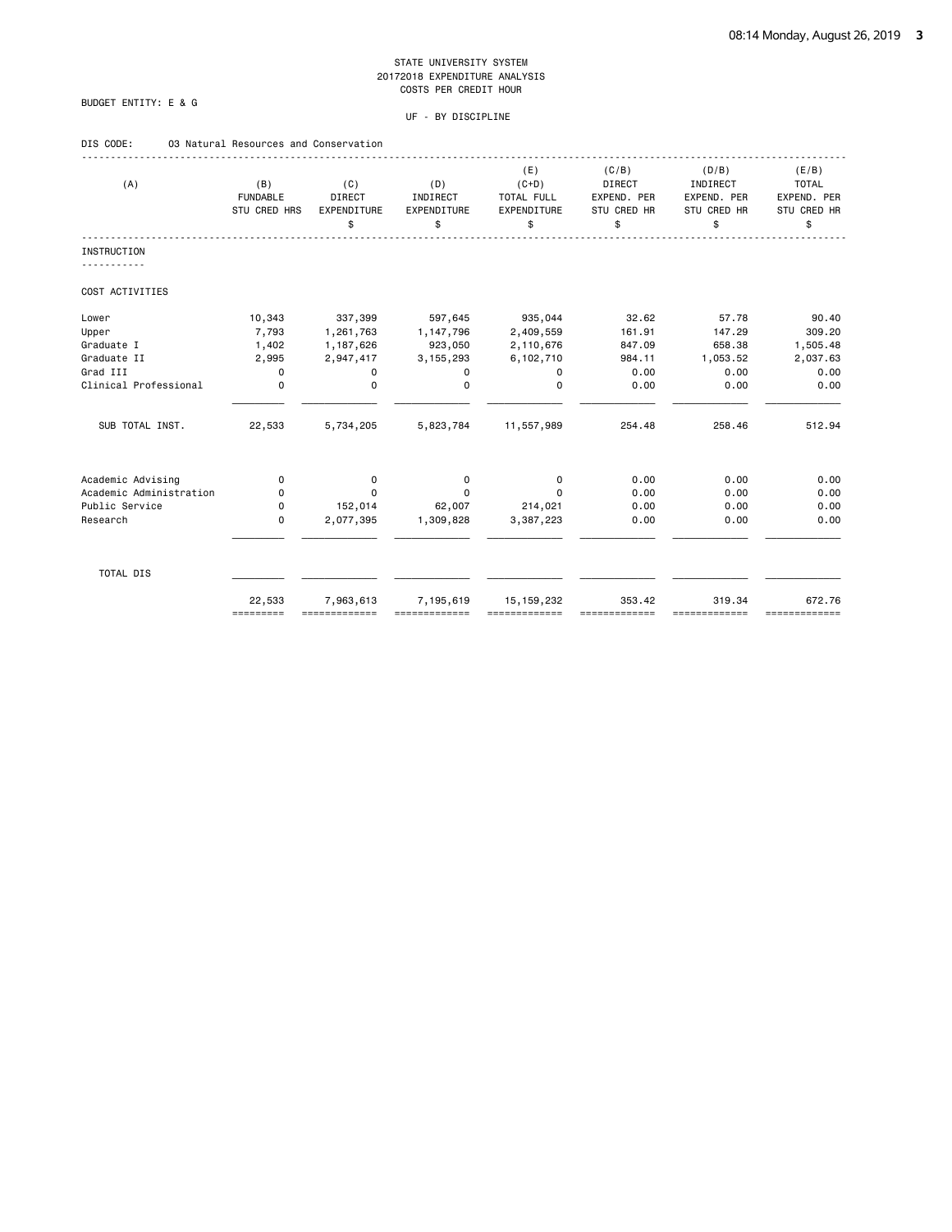# BUDGET ENTITY: E & G

# UF - BY DISCIPLINE

# DIS CODE: 03 Natural Resources and Conservation

| (A)                     | (B)<br><b>FUNDABLE</b><br>STU CRED HRS | (C)<br>DIRECT<br><b>EXPENDITURE</b><br>\$ | (D)<br>INDIRECT<br>EXPENDITURE<br>\$ | (E)<br>$(C+D)$<br>TOTAL FULL<br>EXPENDITURE<br>\$ | (C/B)<br><b>DIRECT</b><br>EXPEND. PER<br>STU CRED HR<br>\$ | (D/B)<br>INDIRECT<br>EXPEND. PER<br>STU CRED HR<br>\$ | (E/B)<br><b>TOTAL</b><br>EXPEND. PER<br>STU CRED HR<br>\$ |
|-------------------------|----------------------------------------|-------------------------------------------|--------------------------------------|---------------------------------------------------|------------------------------------------------------------|-------------------------------------------------------|-----------------------------------------------------------|
| <b>INSTRUCTION</b>      |                                        |                                           |                                      |                                                   |                                                            |                                                       |                                                           |
| COST ACTIVITIES         |                                        |                                           |                                      |                                                   |                                                            |                                                       |                                                           |
| Lower                   | 10,343                                 | 337,399                                   | 597,645                              | 935,044                                           | 32.62                                                      | 57.78                                                 | 90.40                                                     |
| Upper                   | 7,793                                  | 1,261,763                                 | 1, 147, 796                          | 2,409,559                                         | 161.91                                                     | 147.29                                                | 309.20                                                    |
| Graduate I              | 1,402                                  | 1,187,626                                 | 923,050                              | 2,110,676                                         | 847.09                                                     | 658.38                                                | 1,505.48                                                  |
| Graduate II             | 2,995                                  | 2,947,417                                 | 3, 155, 293                          | 6,102,710                                         | 984.11                                                     | 1,053.52                                              | 2,037.63                                                  |
| Grad III                | $\mathbf 0$                            | 0                                         | 0                                    | 0                                                 | 0.00                                                       | 0.00                                                  | 0.00                                                      |
| Clinical Professional   | $\mathbf 0$                            | $\mathbf 0$                               | $\Omega$                             | $\Omega$                                          | 0.00                                                       | 0.00                                                  | 0.00                                                      |
| SUB TOTAL INST.         | 22,533                                 | 5,734,205                                 | 5,823,784                            | 11,557,989                                        | 254.48                                                     | 258.46                                                | 512.94                                                    |
| Academic Advising       | 0                                      | 0                                         | 0                                    | $\mathbf 0$                                       | 0.00                                                       | 0.00                                                  | 0.00                                                      |
| Academic Administration | 0                                      | $\Omega$                                  | $\Omega$                             | $\Omega$                                          | 0.00                                                       | 0.00                                                  | 0.00                                                      |
| Public Service          | 0                                      | 152,014                                   | 62,007                               | 214,021                                           | 0.00                                                       | 0.00                                                  | 0.00                                                      |
| Research                | 0                                      | 2,077,395                                 | 1,309,828                            | 3,387,223                                         | 0.00                                                       | 0.00                                                  | 0.00                                                      |
| TOTAL DIS               |                                        |                                           |                                      |                                                   |                                                            |                                                       |                                                           |
|                         | 22,533<br>=========                    | 7,963,613<br>-------------                | 7,195,619                            | 15, 159, 232                                      | 353.42                                                     | 319.34<br>-------------                               | 672.76<br>=============                                   |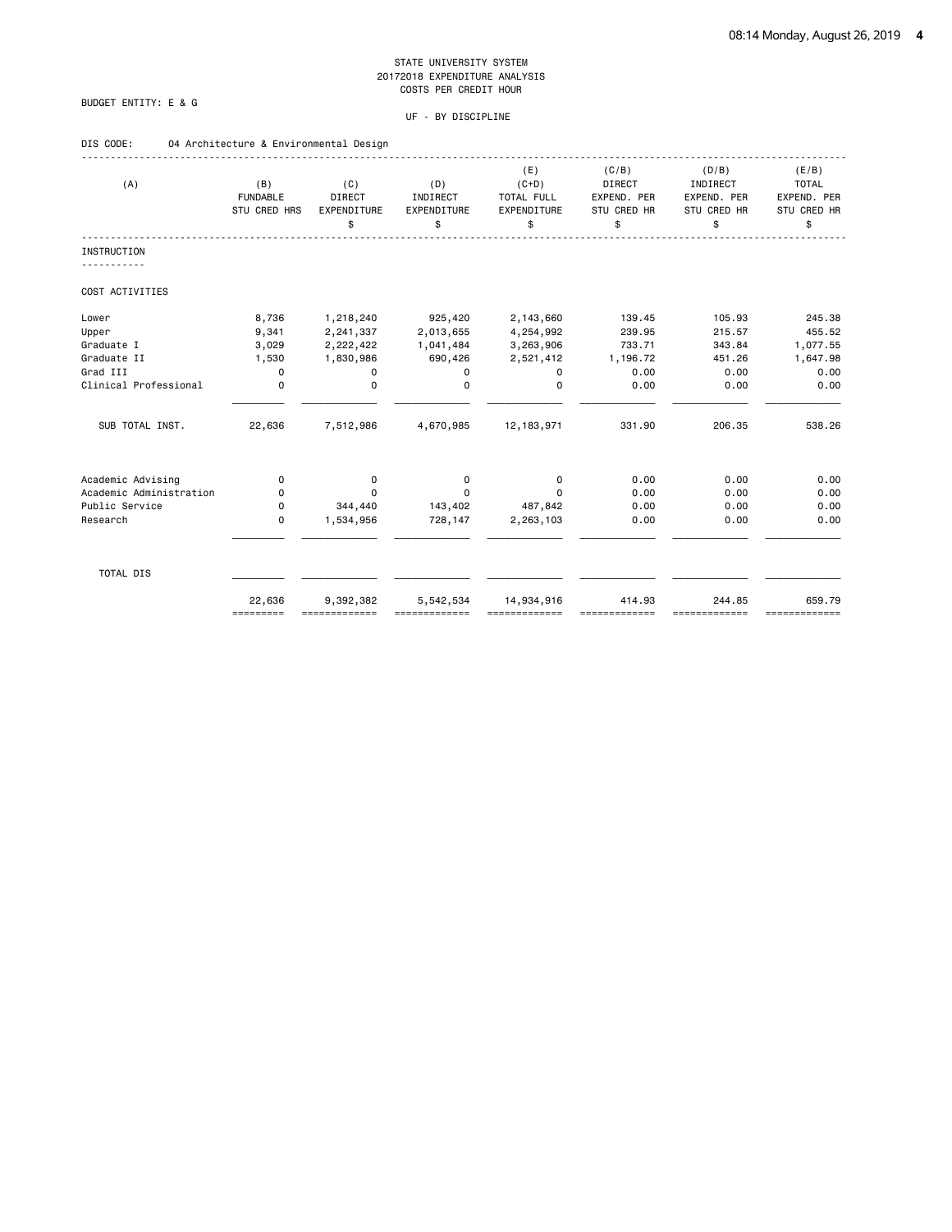# BUDGET ENTITY: E & G

# UF - BY DISCIPLINE

# DIS CODE: 04 Architecture & Environmental Design

| (A)                     | (B)<br><b>FUNDABLE</b><br>STU CRED HRS | (C)<br>DIRECT<br>EXPENDITURE<br>\$ | (D)<br>INDIRECT<br>EXPENDITURE<br>\$ | (E)<br>$(C+D)$<br>TOTAL FULL<br>EXPENDITURE<br>\$ | (C/B)<br>DIRECT<br>EXPEND. PER<br>STU CRED HR<br>\$ | (D/B)<br>INDIRECT<br>EXPEND. PER<br>STU CRED HR<br>\$ | (E/B)<br><b>TOTAL</b><br>EXPEND. PER<br>STU CRED HR<br>\$ |
|-------------------------|----------------------------------------|------------------------------------|--------------------------------------|---------------------------------------------------|-----------------------------------------------------|-------------------------------------------------------|-----------------------------------------------------------|
| <b>INSTRUCTION</b>      |                                        |                                    |                                      |                                                   |                                                     |                                                       |                                                           |
| COST ACTIVITIES         |                                        |                                    |                                      |                                                   |                                                     |                                                       |                                                           |
| Lower                   | 8,736                                  | 1,218,240                          | 925,420                              | 2,143,660                                         | 139.45                                              | 105.93                                                | 245.38                                                    |
| Upper                   | 9,341                                  | 2,241,337                          | 2,013,655                            | 4,254,992                                         | 239.95                                              | 215.57                                                | 455.52                                                    |
| Graduate I              | 3,029                                  | 2,222,422                          | 1,041,484                            | 3,263,906                                         | 733.71                                              | 343.84                                                | 1,077.55                                                  |
| Graduate II             | 1,530                                  | 1,830,986                          | 690,426                              | 2,521,412                                         | 1,196.72                                            | 451.26                                                | 1,647.98                                                  |
| Grad III                | $\mathbf 0$                            | 0                                  | 0                                    | 0                                                 | 0.00                                                | 0.00                                                  | 0.00                                                      |
| Clinical Professional   | $\mathbf 0$                            | $\mathbf 0$                        | 0                                    | $\Omega$                                          | 0.00                                                | 0.00                                                  | 0.00                                                      |
| SUB TOTAL INST.         | 22,636                                 | 7,512,986                          | 4,670,985                            | 12, 183, 971                                      | 331.90                                              | 206.35                                                | 538.26                                                    |
| Academic Advising       | 0                                      | 0                                  | 0                                    | 0                                                 | 0.00                                                | 0.00                                                  | 0.00                                                      |
| Academic Administration | 0                                      | $\Omega$                           | $\Omega$                             | $\Omega$                                          | 0.00                                                | 0.00                                                  | 0.00                                                      |
| Public Service          | 0                                      | 344,440                            | 143,402                              | 487,842                                           | 0.00                                                | 0.00                                                  | 0.00                                                      |
| Research                | $\mathbf 0$                            | 1,534,956                          | 728,147                              | 2,263,103                                         | 0.00                                                | 0.00                                                  | 0.00                                                      |
| TOTAL DIS               |                                        |                                    |                                      |                                                   |                                                     |                                                       |                                                           |
|                         | 22,636<br>=========                    | 9,392,382                          | 5,542,534                            | 14,934,916                                        | 414.93                                              | 244.85<br>==========                                  | 659.79<br>=============                                   |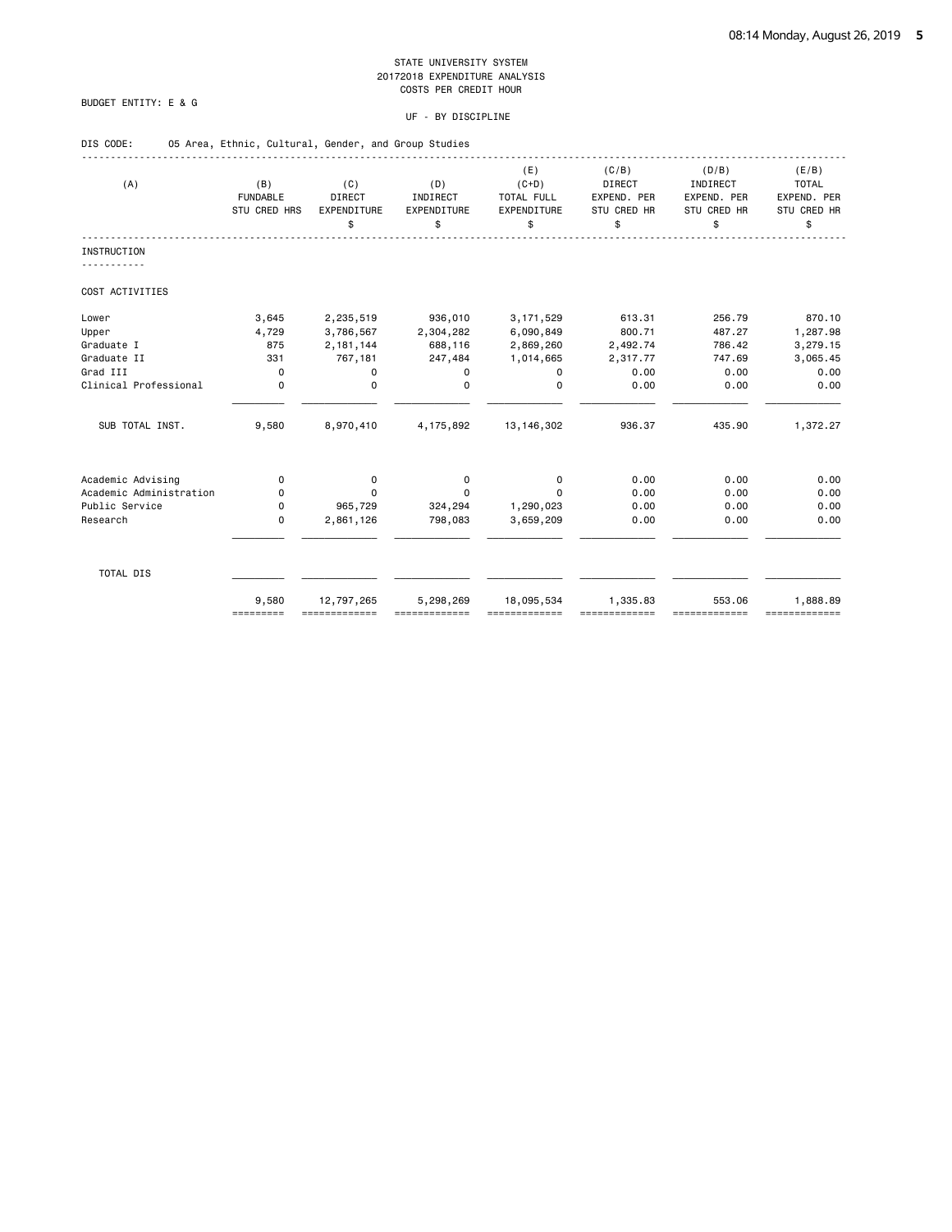# BUDGET ENTITY: E & G

#### UF - BY DISCIPLINE

| DIS CODE:               | 05 Area, Ethnic, Cultural, Gender, and Group Studies |                                           |                                      |                                                   |                                                     |                                                       |                                                           |
|-------------------------|------------------------------------------------------|-------------------------------------------|--------------------------------------|---------------------------------------------------|-----------------------------------------------------|-------------------------------------------------------|-----------------------------------------------------------|
| (A)                     | (B)<br><b>FUNDABLE</b><br>STU CRED HRS               | (C)<br><b>DIRECT</b><br>EXPENDITURE<br>\$ | (D)<br>INDIRECT<br>EXPENDITURE<br>\$ | (E)<br>$(C+D)$<br>TOTAL FULL<br>EXPENDITURE<br>\$ | (C/B)<br>DIRECT<br>EXPEND. PER<br>STU CRED HR<br>\$ | (D/B)<br>INDIRECT<br>EXPEND. PER<br>STU CRED HR<br>\$ | (E/B)<br><b>TOTAL</b><br>EXPEND. PER<br>STU CRED HR<br>\$ |
| <b>INSTRUCTION</b>      |                                                      |                                           |                                      |                                                   |                                                     |                                                       |                                                           |
|                         |                                                      |                                           |                                      |                                                   |                                                     |                                                       |                                                           |
| COST ACTIVITIES         |                                                      |                                           |                                      |                                                   |                                                     |                                                       |                                                           |
| Lower                   | 3,645                                                | 2,235,519                                 | 936,010                              | 3, 171, 529                                       | 613.31                                              | 256.79                                                | 870.10                                                    |
| Upper                   | 4,729                                                | 3,786,567                                 | 2,304,282                            | 6,090,849                                         | 800.71                                              | 487.27                                                | 1,287.98                                                  |
| Graduate I              | 875                                                  | 2, 181, 144                               | 688,116                              | 2,869,260                                         | 2,492.74                                            | 786.42                                                | 3,279.15                                                  |
| Graduate II             | 331                                                  | 767,181                                   | 247,484                              | 1,014,665                                         | 2,317.77                                            | 747.69                                                | 3,065.45                                                  |
| Grad III                | 0                                                    | $\mathbf 0$                               | 0                                    | 0                                                 | 0.00                                                | 0.00                                                  | 0.00                                                      |
| Clinical Professional   | $\Omega$                                             | $\Omega$                                  | $\Omega$                             | $\Omega$                                          | 0.00                                                | 0.00                                                  | 0.00                                                      |
| SUB TOTAL INST.         | 9,580                                                | 8,970,410                                 | 4,175,892                            | 13, 146, 302                                      | 936.37                                              | 435.90                                                | 1,372.27                                                  |
| Academic Advising       | $\mathbf 0$                                          | 0                                         | $\mathbf 0$                          | $\mathbf 0$                                       | 0.00                                                | 0.00                                                  | 0.00                                                      |
| Academic Administration | 0                                                    | $\Omega$                                  | $\Omega$                             | 0                                                 | 0.00                                                | 0.00                                                  | 0.00                                                      |
| Public Service          | 0                                                    | 965,729                                   | 324,294                              | 1,290,023                                         | 0.00                                                | 0.00                                                  | 0.00                                                      |
| Research                | 0                                                    | 2,861,126                                 | 798,083                              | 3,659,209                                         | 0.00                                                | 0.00                                                  | 0.00                                                      |
| TOTAL DIS               |                                                      |                                           |                                      |                                                   |                                                     |                                                       |                                                           |
|                         | 9,580                                                | 12,797,265                                | 5,298,269                            | 18,095,534                                        | 1,335.83                                            | 553.06                                                | 1,888.89                                                  |

========= ============= ============= ============= ============= ============= =============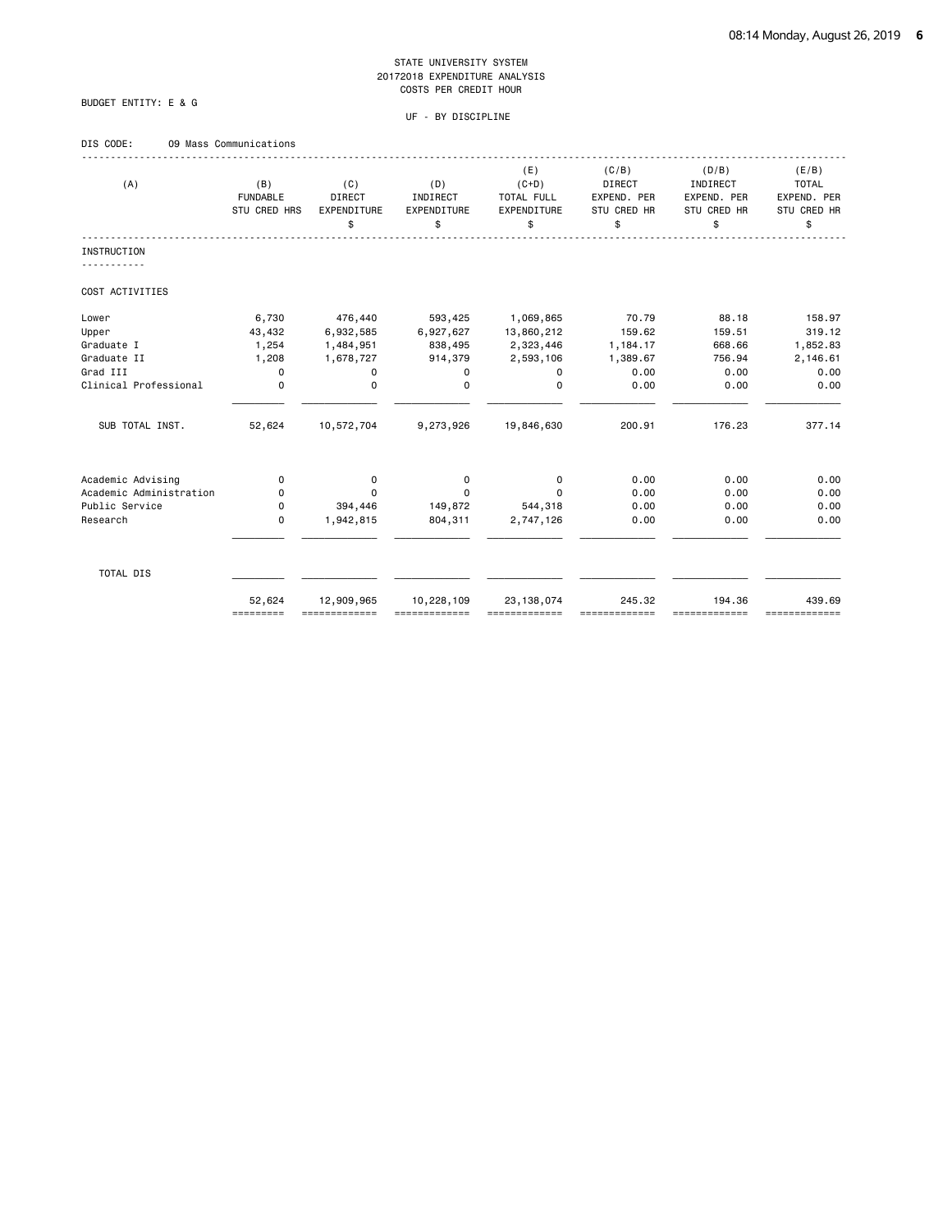# BUDGET ENTITY: E & G

# UF - BY DISCIPLINE

# DIS CODE: 09 Mass Communications

| (A)                     | (B)<br><b>FUNDABLE</b><br>STU CRED HRS | (C)<br><b>DIRECT</b><br>EXPENDITURE<br>\$ | (D)<br>INDIRECT<br>EXPENDITURE<br>\$ | (E)<br>$(C+D)$<br>TOTAL FULL<br>EXPENDITURE<br>\$ | (C/B)<br><b>DIRECT</b><br>EXPEND. PER<br>STU CRED HR<br>\$ | (D/B)<br>INDIRECT<br>EXPEND. PER<br><b>STU CRED HR</b><br>\$ | (E/B)<br><b>TOTAL</b><br>EXPEND. PER<br>STU CRED HR<br>\$ |
|-------------------------|----------------------------------------|-------------------------------------------|--------------------------------------|---------------------------------------------------|------------------------------------------------------------|--------------------------------------------------------------|-----------------------------------------------------------|
| <b>INSTRUCTION</b>      |                                        |                                           |                                      |                                                   |                                                            |                                                              |                                                           |
| COST ACTIVITIES         |                                        |                                           |                                      |                                                   |                                                            |                                                              |                                                           |
| Lower                   | 6,730                                  | 476,440                                   | 593,425                              | 1,069,865                                         | 70.79                                                      | 88.18                                                        | 158.97                                                    |
| Upper                   | 43,432                                 | 6,932,585                                 | 6,927,627                            | 13,860,212                                        | 159.62                                                     | 159.51                                                       | 319.12                                                    |
| Graduate I              | 1,254                                  | 1,484,951                                 | 838,495                              | 2,323,446                                         | 1,184.17                                                   | 668.66                                                       | 1,852.83                                                  |
| Graduate II             | 1,208                                  | 1,678,727                                 | 914,379                              | 2,593,106                                         | 1,389.67                                                   | 756.94                                                       | 2,146.61                                                  |
| Grad III                | $\mathbf 0$                            | 0                                         | 0                                    | 0                                                 | 0.00                                                       | 0.00                                                         | 0.00                                                      |
| Clinical Professional   | $\mathbf 0$                            | $\mathbf 0$                               | 0                                    | 0                                                 | 0.00                                                       | 0.00                                                         | 0.00                                                      |
| SUB TOTAL INST.         | 52,624                                 | 10,572,704                                | 9,273,926                            | 19,846,630                                        | 200.91                                                     | 176.23                                                       | 377.14                                                    |
| Academic Advising       | 0                                      | 0                                         | 0                                    | 0                                                 | 0.00                                                       | 0.00                                                         | 0.00                                                      |
| Academic Administration | 0                                      | $\Omega$                                  | 0                                    | $\Omega$                                          | 0.00                                                       | 0.00                                                         | 0.00                                                      |
| Public Service          | 0                                      | 394,446                                   | 149,872                              | 544,318                                           | 0.00                                                       | 0.00                                                         | 0.00                                                      |
| Research                | $\mathbf 0$                            | 1,942,815                                 | 804,311                              | 2,747,126                                         | 0.00                                                       | 0.00                                                         | 0.00                                                      |
| TOTAL DIS               |                                        |                                           |                                      |                                                   |                                                            |                                                              |                                                           |
|                         | 52,624<br>=========                    | 12,909,965<br>-------------               | 10,228,109                           | 23, 138, 074<br>-------------                     | 245.32                                                     | 194.36<br>==========                                         | 439.69<br>=============                                   |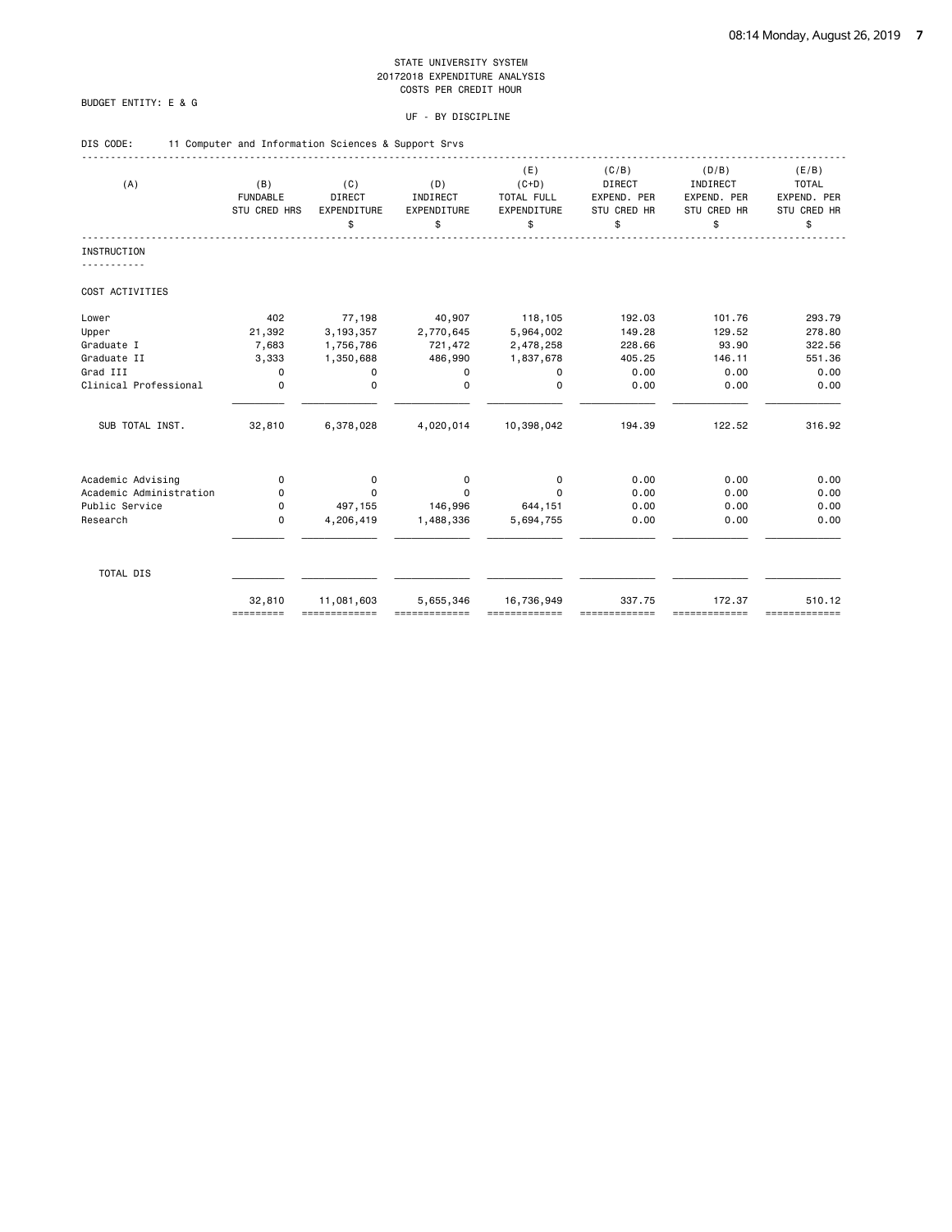# BUDGET ENTITY: E & G

| DIS CODE: |  | 11 Computer and Information Sciences & Support Srvs |  |
|-----------|--|-----------------------------------------------------|--|
|           |  |                                                     |  |

| (A)                     | (B)<br><b>FUNDABLE</b><br>STU CRED HRS | (C)<br><b>DIRECT</b><br>EXPENDITURE<br>\$ | (D)<br>INDIRECT<br>EXPENDITURE<br>\$ | (E)<br>$(C+D)$<br>TOTAL FULL<br>EXPENDITURE<br>\$ | (C/B)<br><b>DIRECT</b><br>EXPEND. PER<br>STU CRED HR<br>\$ | (D/B)<br>INDIRECT<br>EXPEND. PER<br>STU CRED HR<br>\$ | (E/B)<br><b>TOTAL</b><br>EXPEND. PER<br>STU CRED HR<br>\$ |
|-------------------------|----------------------------------------|-------------------------------------------|--------------------------------------|---------------------------------------------------|------------------------------------------------------------|-------------------------------------------------------|-----------------------------------------------------------|
| <b>INSTRUCTION</b>      |                                        |                                           |                                      |                                                   |                                                            |                                                       |                                                           |
|                         |                                        |                                           |                                      |                                                   |                                                            |                                                       |                                                           |
| COST ACTIVITIES         |                                        |                                           |                                      |                                                   |                                                            |                                                       |                                                           |
| Lower                   | 402                                    | 77,198                                    | 40,907                               | 118,105                                           | 192.03                                                     | 101.76                                                | 293.79                                                    |
| Upper                   | 21,392                                 | 3, 193, 357                               | 2,770,645                            | 5,964,002                                         | 149.28                                                     | 129.52                                                | 278.80                                                    |
| Graduate I              | 7,683                                  | 1,756,786                                 | 721,472                              | 2,478,258                                         | 228.66                                                     | 93.90                                                 | 322.56                                                    |
| Graduate II             | 3,333                                  | 1,350,688                                 | 486,990                              | 1,837,678                                         | 405.25                                                     | 146.11                                                | 551.36                                                    |
| Grad III                | 0                                      | 0                                         | 0                                    | 0                                                 | 0.00                                                       | 0.00                                                  | 0.00                                                      |
| Clinical Professional   | $\mathbf 0$                            | $\mathbf 0$                               | $\mathbf 0$                          | $\mathbf 0$                                       | 0.00                                                       | 0.00                                                  | 0.00                                                      |
| SUB TOTAL INST.         | 32,810                                 | 6,378,028                                 | 4,020,014                            | 10,398,042                                        | 194.39                                                     | 122.52                                                | 316.92                                                    |
| Academic Advising       | $\mathbf 0$                            | 0                                         | $\mathbf 0$                          | 0                                                 | 0.00                                                       | 0.00                                                  | 0.00                                                      |
| Academic Administration | 0                                      | $\Omega$                                  | $\Omega$                             | 0                                                 | 0.00                                                       | 0.00                                                  | 0.00                                                      |
| Public Service          | 0                                      | 497,155                                   | 146,996                              | 644,151                                           | 0.00                                                       | 0.00                                                  | 0.00                                                      |
| Research                | $\mathbf 0$                            | 4,206,419                                 | 1,488,336                            | 5,694,755                                         | 0.00                                                       | 0.00                                                  | 0.00                                                      |
|                         |                                        |                                           |                                      |                                                   |                                                            |                                                       |                                                           |
| TOTAL DIS               |                                        |                                           |                                      |                                                   |                                                            |                                                       |                                                           |
|                         | 32,810                                 | 11,081,603                                | 5,655,346                            | 16,736,949                                        | 337.75                                                     | 172.37                                                | 510.12                                                    |
|                         | =========                              | =============                             |                                      |                                                   |                                                            | -------------                                         | =============                                             |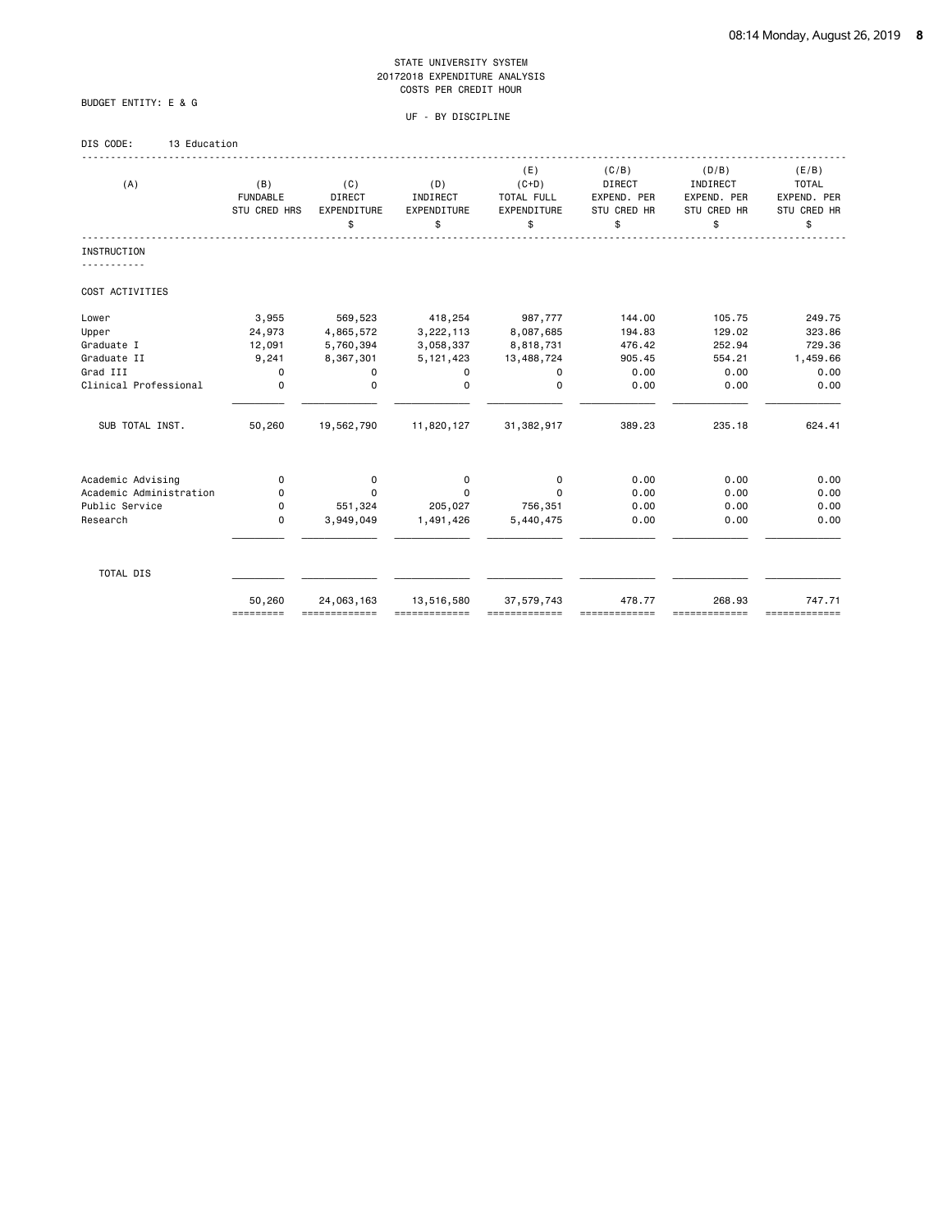UF - BY DISCIPLINE

# BUDGET ENTITY: E & G

# DIS CODE: 13 Education

| (A)                     | (B)<br><b>FUNDABLE</b><br>STU CRED HRS | (C)<br>DIRECT<br><b>EXPENDITURE</b><br>\$ | (D)<br>INDIRECT<br>EXPENDITURE<br>\$ | (E)<br>$(C+D)$<br>TOTAL FULL<br>EXPENDITURE<br>\$ | (C/B)<br><b>DIRECT</b><br>EXPEND. PER<br>STU CRED HR<br>\$ | (D/B)<br>INDIRECT<br>EXPEND. PER<br>STU CRED HR<br>\$ | (E/B)<br><b>TOTAL</b><br>EXPEND. PER<br>STU CRED HR<br>\$ |
|-------------------------|----------------------------------------|-------------------------------------------|--------------------------------------|---------------------------------------------------|------------------------------------------------------------|-------------------------------------------------------|-----------------------------------------------------------|
| <b>INSTRUCTION</b>      |                                        |                                           |                                      |                                                   |                                                            |                                                       |                                                           |
| COST ACTIVITIES         |                                        |                                           |                                      |                                                   |                                                            |                                                       |                                                           |
| Lower                   | 3,955                                  | 569,523                                   | 418,254                              | 987,777                                           | 144.00                                                     | 105.75                                                | 249.75                                                    |
| Upper                   | 24,973                                 | 4,865,572                                 | 3,222,113                            | 8,087,685                                         | 194.83                                                     | 129.02                                                | 323.86                                                    |
| Graduate I              | 12,091                                 | 5,760,394                                 | 3,058,337                            | 8,818,731                                         | 476.42                                                     | 252.94                                                | 729.36                                                    |
| Graduate II             | 9,241                                  | 8,367,301                                 | 5, 121, 423                          | 13,488,724                                        | 905.45                                                     | 554.21                                                | 1,459.66                                                  |
| Grad III                | 0                                      | 0                                         | $\mathbf 0$                          | 0                                                 | 0.00                                                       | 0.00                                                  | 0.00                                                      |
| Clinical Professional   | $\mathbf 0$                            | $\mathbf 0$                               | $\Omega$                             | $\Omega$                                          | 0.00                                                       | 0.00                                                  | 0.00                                                      |
| SUB TOTAL INST.         | 50,260                                 | 19,562,790                                | 11,820,127                           | 31,382,917                                        | 389.23                                                     | 235.18                                                | 624.41                                                    |
| Academic Advising       | 0                                      | 0                                         | 0                                    | $\mathbf 0$                                       | 0.00                                                       | 0.00                                                  | 0.00                                                      |
| Academic Administration | 0                                      | $\Omega$                                  | $\Omega$                             | $\Omega$                                          | 0.00                                                       | 0.00                                                  | 0.00                                                      |
| Public Service          | 0                                      | 551,324                                   | 205,027                              | 756,351                                           | 0.00                                                       | 0.00                                                  | 0.00                                                      |
| Research                | 0                                      | 3,949,049                                 | 1,491,426                            | 5,440,475                                         | 0.00                                                       | 0.00                                                  | 0.00                                                      |
| TOTAL DIS               |                                        |                                           |                                      |                                                   |                                                            |                                                       |                                                           |
|                         | 50,260<br>=========                    | 24,063,163                                | 13,516,580                           | 37,579,743                                        | 478.77                                                     | 268.93<br>==========                                  | 747.71<br>===========                                     |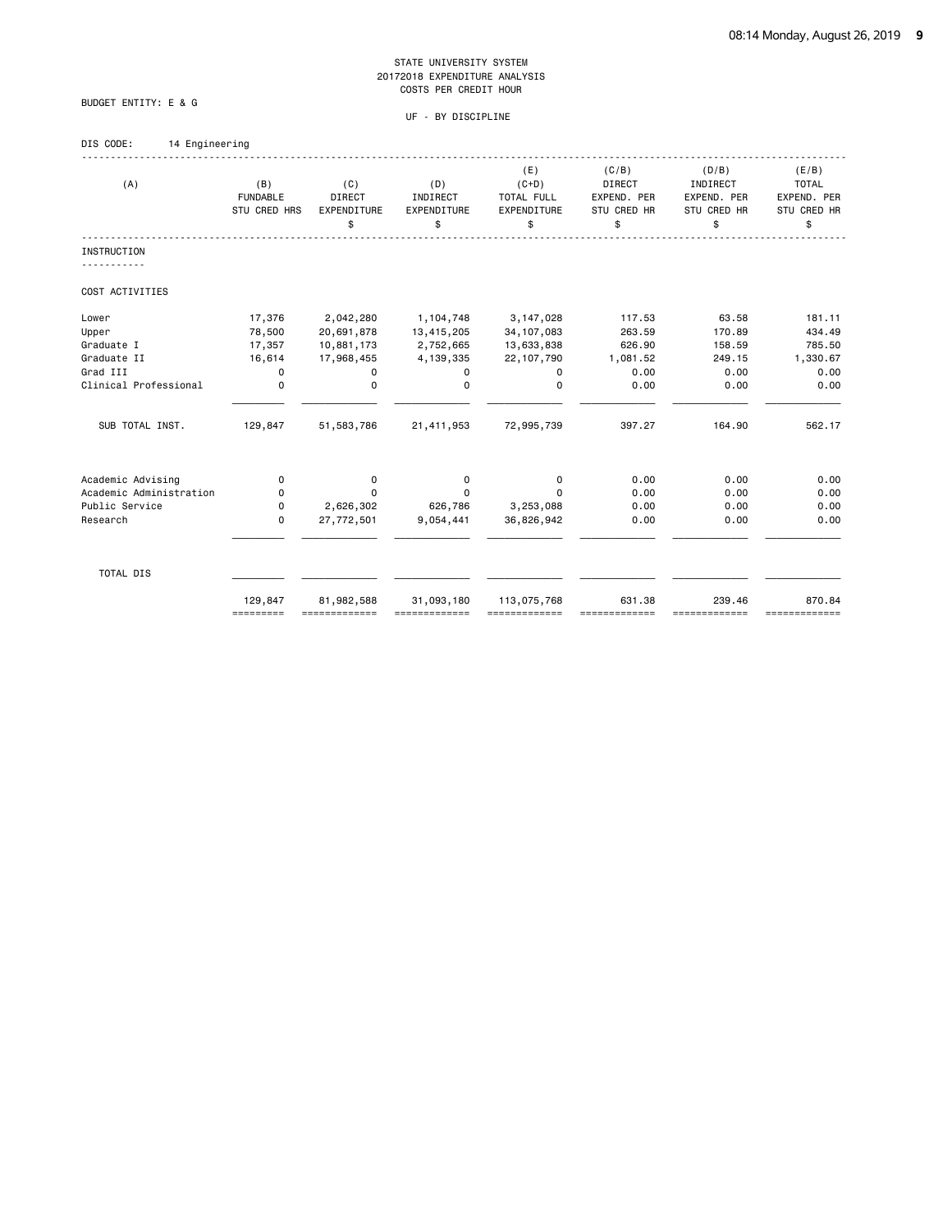UF - BY DISCIPLINE

# DIS CODE: 14 Engineering

BUDGET ENTITY: E & G

| (A)                     | (B)<br><b>FUNDABLE</b><br>STU CRED HRS | (C)<br>DIRECT<br>EXPENDITURE<br>\$ | (D)<br>INDIRECT<br>EXPENDITURE<br>\$ | (E)<br>$(C+D)$<br>TOTAL FULL<br><b>EXPENDITURE</b><br>\$ | (C/B)<br><b>DIRECT</b><br>EXPEND. PER<br>STU CRED HR<br>\$ | (D/B)<br>INDIRECT<br>EXPEND. PER<br>STU CRED HR<br>\$ | (E/B)<br><b>TOTAL</b><br>EXPEND. PER<br>STU CRED HR<br>\$ |
|-------------------------|----------------------------------------|------------------------------------|--------------------------------------|----------------------------------------------------------|------------------------------------------------------------|-------------------------------------------------------|-----------------------------------------------------------|
| INSTRUCTION             |                                        |                                    |                                      |                                                          |                                                            |                                                       |                                                           |
| COST ACTIVITIES         |                                        |                                    |                                      |                                                          |                                                            |                                                       |                                                           |
| Lower                   | 17,376                                 | 2,042,280                          | 1,104,748                            | 3, 147, 028                                              | 117.53                                                     | 63.58                                                 | 181.11                                                    |
| Upper                   | 78,500                                 | 20,691,878                         | 13,415,205                           | 34, 107, 083                                             | 263.59                                                     | 170.89                                                | 434.49                                                    |
| Graduate I              | 17,357                                 | 10,881,173                         | 2,752,665                            | 13,633,838                                               | 626.90                                                     | 158.59                                                | 785.50                                                    |
| Graduate II             | 16,614                                 | 17,968,455                         | 4,139,335                            | 22, 107, 790                                             | 1,081.52                                                   | 249.15                                                | 1,330.67                                                  |
| Grad III                | 0                                      | 0                                  | 0                                    | 0                                                        | 0.00                                                       | 0.00                                                  | 0.00                                                      |
| Clinical Professional   | 0                                      | 0                                  | $\Omega$                             | 0                                                        | 0.00                                                       | 0.00                                                  | 0.00                                                      |
| SUB TOTAL INST.         | 129,847                                | 51,583,786                         | 21,411,953                           | 72,995,739                                               | 397.27                                                     | 164.90                                                | 562.17                                                    |
| Academic Advising       | 0                                      | 0                                  | 0                                    | 0                                                        | 0.00                                                       | 0.00                                                  | 0.00                                                      |
| Academic Administration | 0                                      | 0                                  | $\Omega$                             | $\Omega$                                                 | 0.00                                                       | 0.00                                                  | 0.00                                                      |
| Public Service          | 0                                      | 2,626,302                          | 626,786                              | 3,253,088                                                | 0.00                                                       | 0.00                                                  | 0.00                                                      |
| Research                | 0                                      | 27,772,501                         | 9,054,441                            | 36,826,942                                               | 0.00                                                       | 0.00                                                  | 0.00                                                      |
| TOTAL DIS               |                                        |                                    |                                      |                                                          |                                                            |                                                       |                                                           |
|                         | 129,847<br>=========                   | 81,982,588<br>=============        | 31,093,180                           | 113,075,768<br>=============                             | 631.38                                                     | 239.46<br>-------------                               | 870.84<br>=============                                   |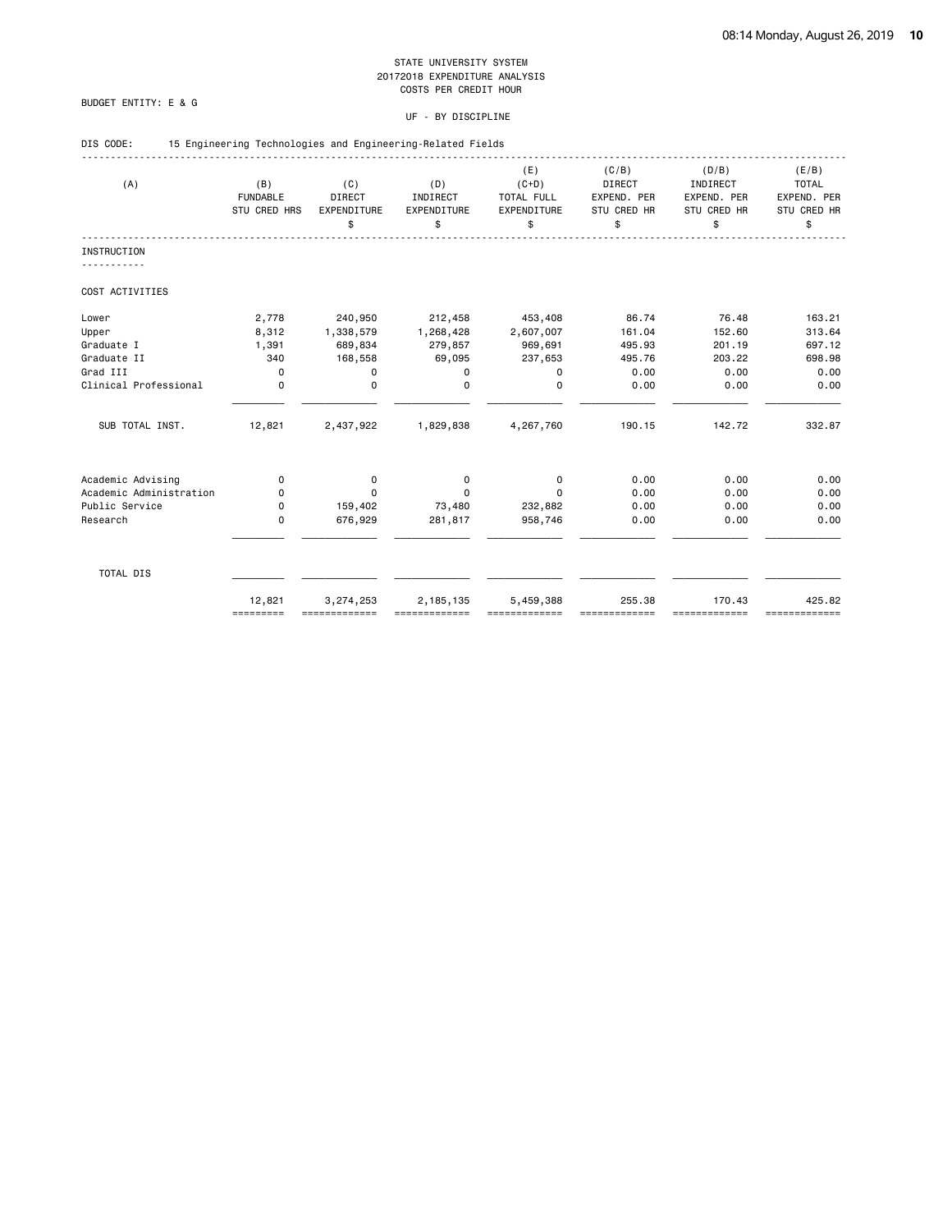# BUDGET ENTITY: E & G

| DIS CODE: |  |  |  |  | 15 Engineering Technologies and Engineering-Related Fields |  |
|-----------|--|--|--|--|------------------------------------------------------------|--|
|-----------|--|--|--|--|------------------------------------------------------------|--|

| (A)                     | (B)<br><b>FUNDABLE</b><br>STU CRED HRS | (C)<br><b>DIRECT</b><br>EXPENDITURE<br>\$ | (D)<br>INDIRECT<br>EXPENDITURE<br>\$ | (E)<br>$(C+D)$<br>TOTAL FULL<br>EXPENDITURE<br>\$ | (C/B)<br><b>DIRECT</b><br>EXPEND. PER<br><b>STU CRED HR</b><br>\$ | (D/B)<br>INDIRECT<br>EXPEND. PER<br>STU CRED HR<br>\$ | (E/B)<br><b>TOTAL</b><br>EXPEND. PER<br>STU CRED HR<br>\$ |
|-------------------------|----------------------------------------|-------------------------------------------|--------------------------------------|---------------------------------------------------|-------------------------------------------------------------------|-------------------------------------------------------|-----------------------------------------------------------|
| <b>INSTRUCTION</b>      |                                        |                                           |                                      |                                                   |                                                                   |                                                       |                                                           |
| COST ACTIVITIES         |                                        |                                           |                                      |                                                   |                                                                   |                                                       |                                                           |
| Lower                   | 2,778                                  | 240,950                                   | 212,458                              | 453,408                                           | 86.74                                                             | 76.48                                                 | 163.21                                                    |
| Upper                   | 8,312                                  | 1,338,579                                 | 1,268,428                            | 2,607,007                                         | 161.04                                                            | 152.60                                                | 313.64                                                    |
| Graduate I              | 1,391                                  | 689,834                                   | 279,857                              | 969,691                                           | 495.93                                                            | 201.19                                                | 697.12                                                    |
| Graduate II             | 340                                    | 168,558                                   | 69,095                               | 237,653                                           | 495.76                                                            | 203.22                                                | 698.98                                                    |
| Grad III                | $\mathbf 0$                            | 0                                         | 0                                    | $\mathbf 0$                                       | 0.00                                                              | 0.00                                                  | 0.00                                                      |
| Clinical Professional   | $\mathbf 0$                            | $\mathbf 0$                               | $\Omega$                             | 0                                                 | 0.00                                                              | 0.00                                                  | 0.00                                                      |
| SUB TOTAL INST.         | 12,821                                 | 2,437,922                                 | 1,829,838                            | 4,267,760                                         | 190.15                                                            | 142.72                                                | 332.87                                                    |
| Academic Advising       | 0                                      | 0                                         | 0                                    | 0                                                 | 0.00                                                              | 0.00                                                  | 0.00                                                      |
| Academic Administration | 0                                      | $\mathbf 0$                               | $\Omega$                             | $\Omega$                                          | 0.00                                                              | 0.00                                                  | 0.00                                                      |
| Public Service          | 0                                      | 159,402                                   | 73,480                               | 232,882                                           | 0.00                                                              | 0.00                                                  | 0.00                                                      |
| Research                | 0                                      | 676,929                                   | 281,817                              | 958,746                                           | 0.00                                                              | 0.00                                                  | 0.00                                                      |
|                         |                                        |                                           |                                      |                                                   |                                                                   |                                                       |                                                           |
| TOTAL DIS               |                                        |                                           |                                      |                                                   |                                                                   |                                                       |                                                           |
|                         | 12,821<br>=========                    | 3,274,253                                 | 2,185,135                            | 5,459,388                                         | 255.38                                                            | 170.43<br>==========                                  | 425.82<br>=============                                   |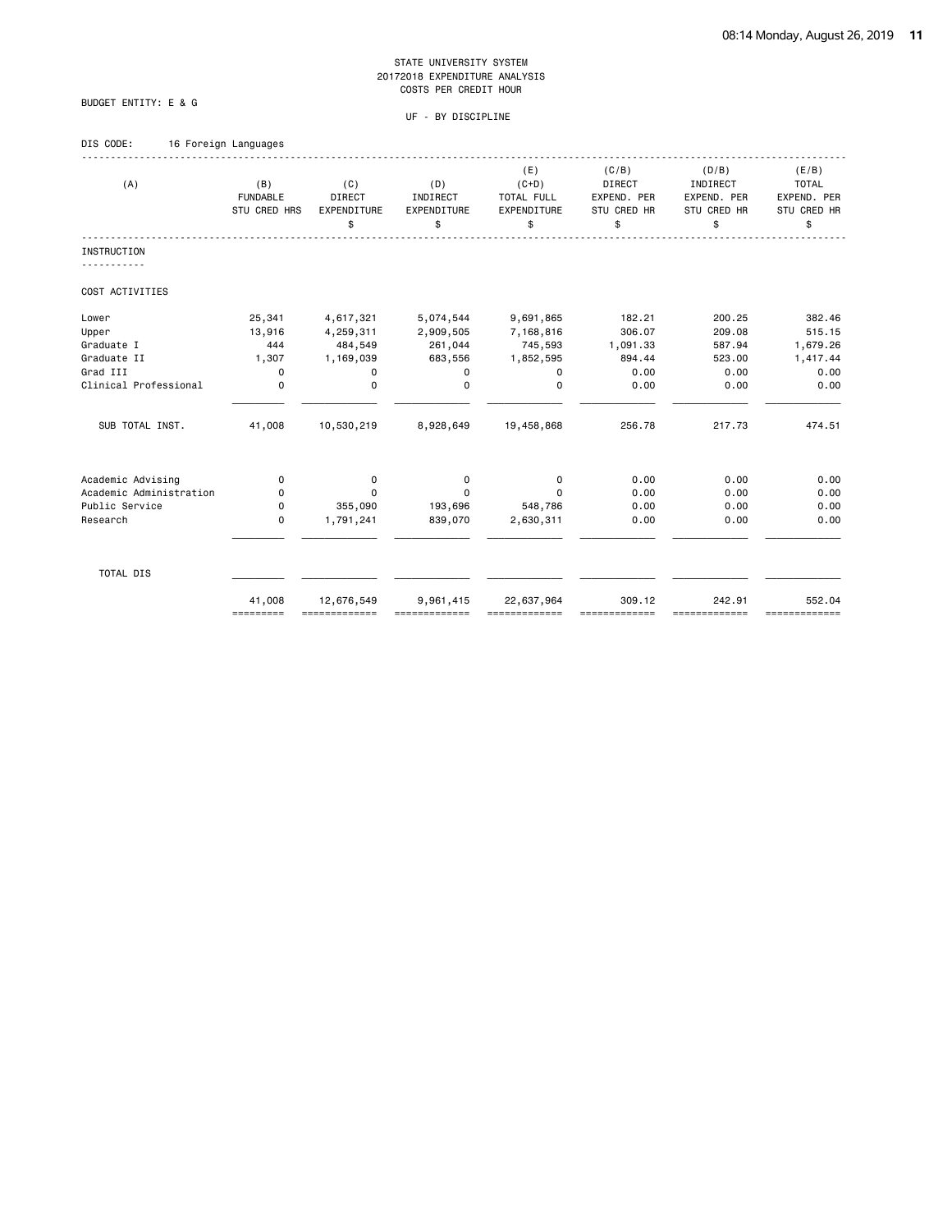# BUDGET ENTITY: E & G

# UF - BY DISCIPLINE

# DIS CODE: 16 Foreign Languages

| (A)                     | (B)<br><b>FUNDABLE</b><br>STU CRED HRS | (C)<br>DIRECT<br>EXPENDITURE<br>\$ | (D)<br>INDIRECT<br>EXPENDITURE<br>\$ | (E)<br>$(C+D)$<br>TOTAL FULL<br>EXPENDITURE<br>\$ | (C/B)<br><b>DIRECT</b><br>EXPEND. PER<br>STU CRED HR<br>\$ | (D/B)<br>INDIRECT<br>EXPEND. PER<br><b>STU CRED HR</b><br>\$ | (E/B)<br><b>TOTAL</b><br>EXPEND. PER<br>STU CRED HR<br>\$ |
|-------------------------|----------------------------------------|------------------------------------|--------------------------------------|---------------------------------------------------|------------------------------------------------------------|--------------------------------------------------------------|-----------------------------------------------------------|
| <b>INSTRUCTION</b>      |                                        |                                    |                                      |                                                   |                                                            |                                                              |                                                           |
| COST ACTIVITIES         |                                        |                                    |                                      |                                                   |                                                            |                                                              |                                                           |
| Lower                   | 25,341                                 | 4,617,321                          | 5,074,544                            | 9,691,865                                         | 182.21                                                     | 200.25                                                       | 382.46                                                    |
| Upper                   | 13,916                                 | 4,259,311                          | 2,909,505                            | 7,168,816                                         | 306.07                                                     | 209.08                                                       | 515.15                                                    |
| Graduate I              | 444                                    | 484,549                            | 261,044                              | 745,593                                           | 1,091.33                                                   | 587.94                                                       | 1,679.26                                                  |
| Graduate II             | 1,307                                  | 1,169,039                          | 683,556                              | 1,852,595                                         | 894.44                                                     | 523.00                                                       | 1,417.44                                                  |
| Grad III                | 0                                      | 0                                  | 0                                    | 0                                                 | 0.00                                                       | 0.00                                                         | 0.00                                                      |
| Clinical Professional   | 0                                      | $\mathbf 0$                        | $\Omega$                             | $\Omega$                                          | 0.00                                                       | 0.00                                                         | 0.00                                                      |
| SUB TOTAL INST.         | 41,008                                 | 10,530,219                         | 8,928,649                            | 19,458,868                                        | 256.78                                                     | 217.73                                                       | 474.51                                                    |
| Academic Advising       | 0                                      | 0                                  | 0                                    | 0                                                 | 0.00                                                       | 0.00                                                         | 0.00                                                      |
| Academic Administration | 0                                      | $\Omega$                           | $\Omega$                             | $\Omega$                                          | 0.00                                                       | 0.00                                                         | 0.00                                                      |
| Public Service          | 0                                      | 355,090                            | 193,696                              | 548,786                                           | 0.00                                                       | 0.00                                                         | 0.00                                                      |
| Research                | 0                                      | 1,791,241                          | 839,070                              | 2,630,311                                         | 0.00                                                       | 0.00                                                         | 0.00                                                      |
| TOTAL DIS               |                                        |                                    |                                      |                                                   |                                                            |                                                              |                                                           |
|                         | 41,008<br>=========                    | 12,676,549                         | 9,961,415                            | 22,637,964                                        | 309.12                                                     | 242.91<br>=============                                      | 552.04<br>=============                                   |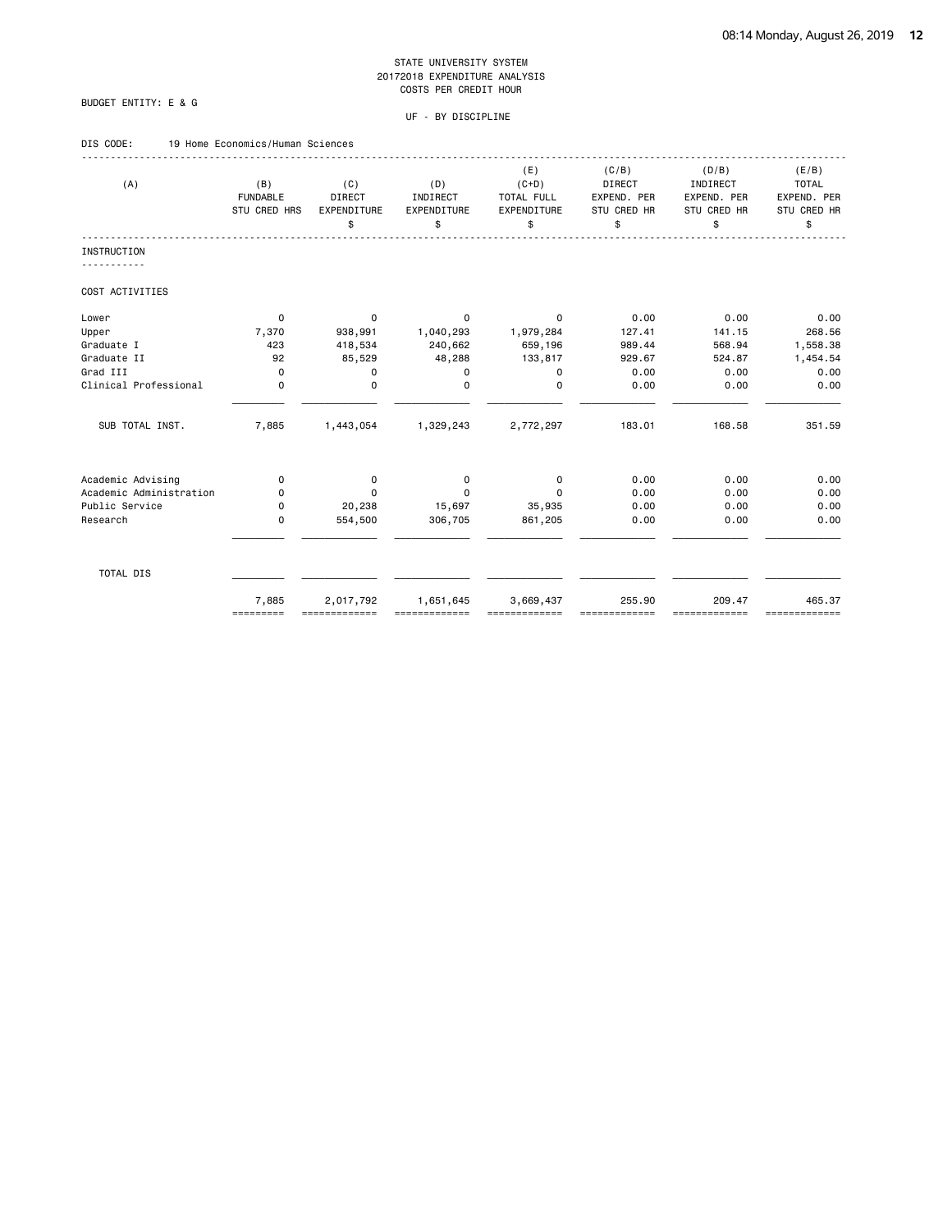# BUDGET ENTITY: E & G

| DIS CODE: |  | 19 Home Economics/Human Sciences |  |
|-----------|--|----------------------------------|--|
|           |  |                                  |  |

| (A)                     | (B)<br><b>FUNDABLE</b><br>STU CRED HRS | (C)<br><b>DIRECT</b><br>EXPENDITURE<br>\$ | (D)<br>INDIRECT<br>EXPENDITURE<br>\$ | (E)<br>$(C+D)$<br>TOTAL FULL<br>EXPENDITURE<br>\$ | (C/B)<br><b>DIRECT</b><br>EXPEND. PER<br>STU CRED HR<br>\$ | (D/B)<br>INDIRECT<br>EXPEND. PER<br>STU CRED HR<br>\$ | (E/B)<br><b>TOTAL</b><br>EXPEND. PER<br>STU CRED HR<br>\$ |
|-------------------------|----------------------------------------|-------------------------------------------|--------------------------------------|---------------------------------------------------|------------------------------------------------------------|-------------------------------------------------------|-----------------------------------------------------------|
| <b>INSTRUCTION</b>      |                                        |                                           |                                      |                                                   |                                                            |                                                       |                                                           |
| COST ACTIVITIES         |                                        |                                           |                                      |                                                   |                                                            |                                                       |                                                           |
| Lower                   | 0                                      | 0                                         | 0                                    | 0                                                 | 0.00                                                       | 0.00                                                  | 0.00                                                      |
| Upper                   | 7,370                                  | 938,991                                   | 1,040,293                            | 1,979,284                                         | 127.41                                                     | 141.15                                                | 268.56                                                    |
| Graduate I              | 423                                    | 418,534                                   | 240,662                              | 659,196                                           | 989.44                                                     | 568.94                                                | 1,558.38                                                  |
| Graduate II             | 92                                     | 85,529                                    | 48,288                               | 133,817                                           | 929.67                                                     | 524.87                                                | 1,454.54                                                  |
| Grad III                | $\mathbf 0$                            | 0                                         | 0                                    | $\mathbf 0$                                       | 0.00                                                       | 0.00                                                  | 0.00                                                      |
| Clinical Professional   | $\mathbf 0$                            | $\mathbf 0$                               | $\Omega$                             | $\mathbf 0$                                       | 0.00                                                       | 0.00                                                  | 0.00                                                      |
| SUB TOTAL INST.         | 7,885                                  | 1,443,054                                 | 1,329,243                            | 2,772,297                                         | 183.01                                                     | 168.58                                                | 351.59                                                    |
| Academic Advising       | 0                                      | 0                                         | 0                                    | 0                                                 | 0.00                                                       | 0.00                                                  | 0.00                                                      |
| Academic Administration | 0                                      | $\mathbf 0$                               | 0                                    | $\Omega$                                          | 0.00                                                       | 0.00                                                  | 0.00                                                      |
| Public Service          | 0                                      | 20,238                                    | 15,697                               | 35,935                                            | 0.00                                                       | 0.00                                                  | 0.00                                                      |
| Research                | $\mathbf 0$                            | 554,500                                   | 306,705                              | 861,205                                           | 0.00                                                       | 0.00                                                  | 0.00                                                      |
| TOTAL DIS               |                                        |                                           |                                      |                                                   |                                                            |                                                       |                                                           |
|                         | 7,885<br>=========                     | 2,017,792                                 | 1,651,645                            | 3,669,437                                         | 255.90                                                     | 209.47<br>=========                                   | 465.37<br>=============                                   |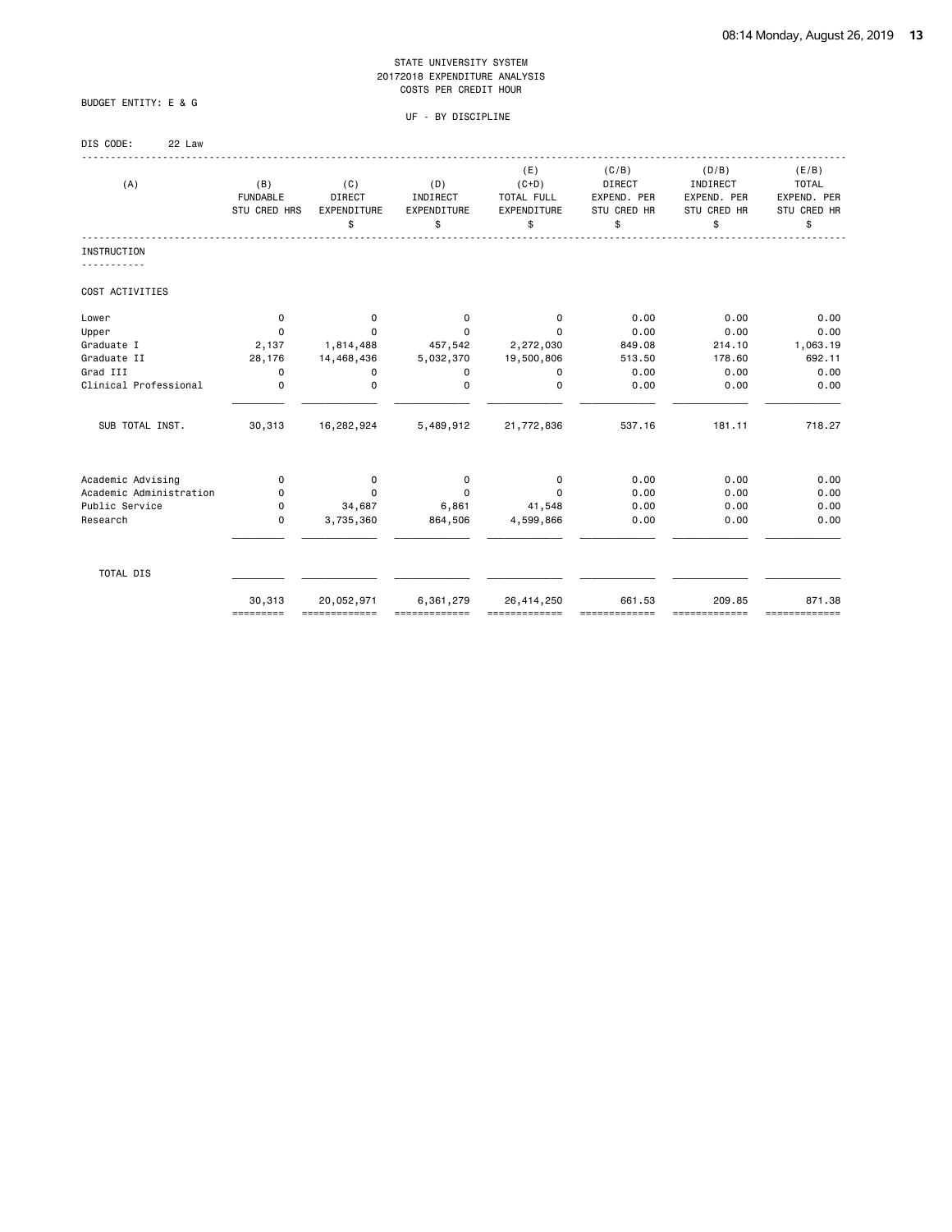# BUDGET ENTITY: E & G

| DIS CODE: | 22 Law |
|-----------|--------|
|-----------|--------|

| (A)                     | (B)<br><b>FUNDABLE</b><br>STU CRED HRS | (C)<br><b>DIRECT</b><br>EXPENDITURE<br>\$ | (D)<br>INDIRECT<br>EXPENDITURE<br>\$ | (E)<br>$(C+D)$<br>TOTAL FULL<br>EXPENDITURE<br>\$ | (C/B)<br>DIRECT<br>EXPEND. PER<br>STU CRED HR<br>\$ | (D/B)<br>INDIRECT<br>EXPEND. PER<br>STU CRED HR<br>\$ | (E/B)<br><b>TOTAL</b><br>EXPEND. PER<br>STU CRED HR<br>\$ |
|-------------------------|----------------------------------------|-------------------------------------------|--------------------------------------|---------------------------------------------------|-----------------------------------------------------|-------------------------------------------------------|-----------------------------------------------------------|
| INSTRUCTION             |                                        |                                           |                                      |                                                   |                                                     |                                                       |                                                           |
| COST ACTIVITIES         |                                        |                                           |                                      |                                                   |                                                     |                                                       |                                                           |
| Lower                   | 0                                      | 0                                         | 0                                    | 0                                                 | 0.00                                                | 0.00                                                  | 0.00                                                      |
| Upper                   | 0                                      | 0                                         | $\Omega$                             | $\Omega$                                          | 0.00                                                | 0.00                                                  | 0.00                                                      |
| Graduate I              | 2,137                                  | 1,814,488                                 | 457,542                              | 2,272,030                                         | 849.08                                              | 214.10                                                | 1,063.19                                                  |
| Graduate II             | 28,176                                 | 14,468,436                                | 5,032,370                            | 19,500,806                                        | 513.50                                              | 178.60                                                | 692.11                                                    |
| Grad III                | 0                                      | 0                                         | 0                                    | 0                                                 | 0.00                                                | 0.00                                                  | 0.00                                                      |
| Clinical Professional   | 0                                      | 0                                         | 0                                    | 0                                                 | 0.00                                                | 0.00                                                  | 0.00                                                      |
| SUB TOTAL INST.         | 30,313                                 | 16,282,924                                | 5,489,912                            | 21,772,836                                        | 537.16                                              | 181.11                                                | 718.27                                                    |
| Academic Advising       | 0                                      | 0                                         | 0                                    | 0                                                 | 0.00                                                | 0.00                                                  | 0.00                                                      |
| Academic Administration | 0                                      | $\mathbf 0$                               | $\Omega$                             | $\Omega$                                          | 0.00                                                | 0.00                                                  | 0.00                                                      |
| Public Service          | 0                                      | 34,687                                    | 6,861                                | 41,548                                            | 0.00                                                | 0.00                                                  | 0.00                                                      |
| Research                | 0                                      | 3,735,360                                 | 864,506                              | 4,599,866                                         | 0.00                                                | 0.00                                                  | 0.00                                                      |
| TOTAL DIS               |                                        |                                           |                                      |                                                   |                                                     |                                                       |                                                           |
|                         | 30,313<br>=========                    | 20,052,971<br>=============               | 6,361,279                            | 26,414,250<br>=============                       | 661.53                                              | 209.85<br>=============                               | 871.38<br>=============                                   |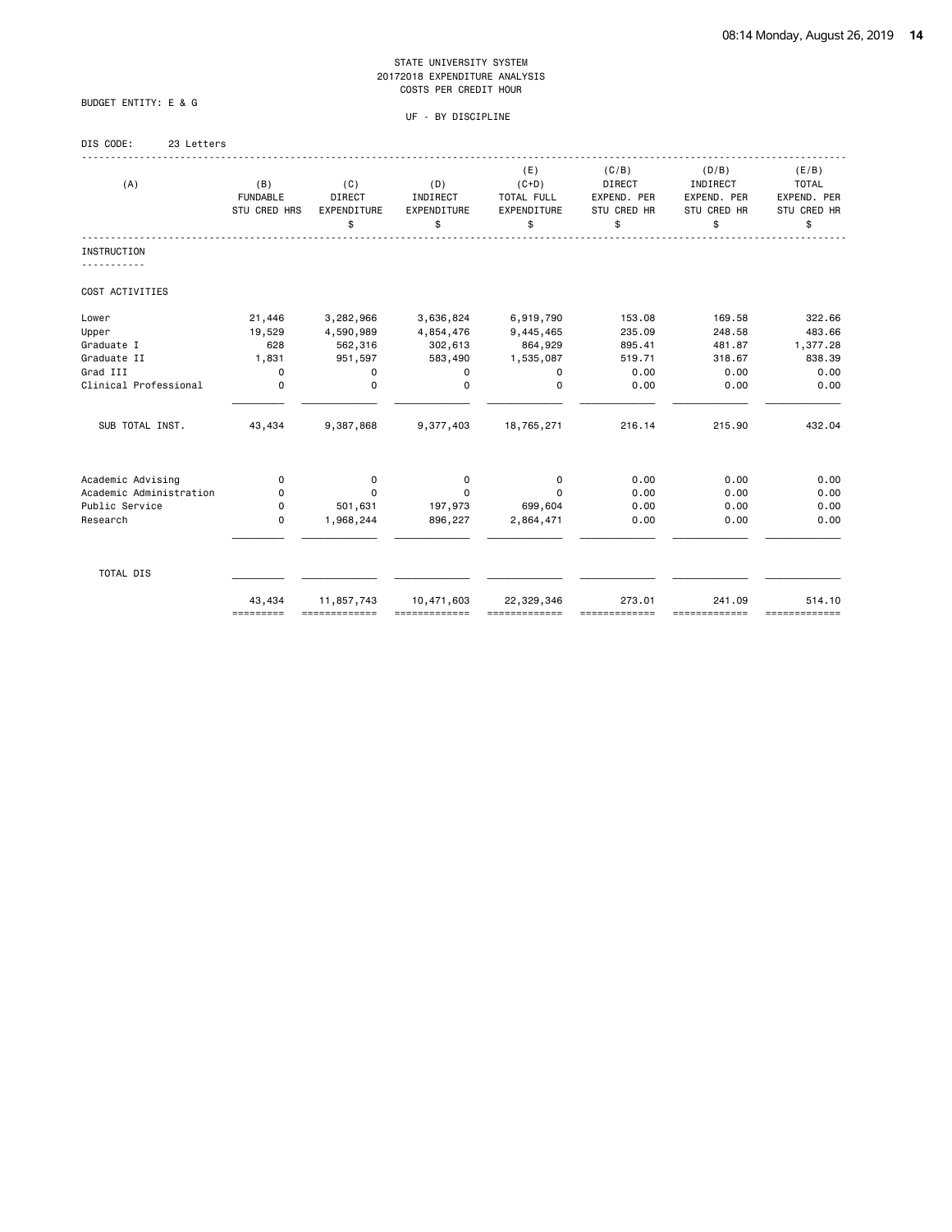BUDGET ENTITY: E & G

| DIS CODE: | 23 Letters |
|-----------|------------|
|           |            |

| (A)                     | (B)<br><b>FUNDABLE</b><br>STU CRED HRS | (C)<br><b>DIRECT</b><br>EXPENDITURE<br>\$ | (D)<br>INDIRECT<br>EXPENDITURE<br>\$ | (E)<br>$(C+D)$<br>TOTAL FULL<br>EXPENDITURE<br>\$ | (C/B)<br><b>DIRECT</b><br>EXPEND. PER<br>STU CRED HR<br>\$ | (D/B)<br>INDIRECT<br>EXPEND. PER<br><b>STU CRED HR</b><br>\$ | (E/B)<br><b>TOTAL</b><br>EXPEND. PER<br>STU CRED HR<br>\$ |
|-------------------------|----------------------------------------|-------------------------------------------|--------------------------------------|---------------------------------------------------|------------------------------------------------------------|--------------------------------------------------------------|-----------------------------------------------------------|
| <b>INSTRUCTION</b>      |                                        |                                           |                                      |                                                   |                                                            |                                                              |                                                           |
| COST ACTIVITIES         |                                        |                                           |                                      |                                                   |                                                            |                                                              |                                                           |
| Lower                   | 21,446                                 | 3,282,966                                 | 3,636,824                            | 6,919,790                                         | 153.08                                                     | 169.58                                                       | 322.66                                                    |
| Upper                   | 19,529                                 | 4,590,989                                 | 4,854,476                            | 9,445,465                                         | 235.09                                                     | 248.58                                                       | 483.66                                                    |
| Graduate I              | 628                                    | 562,316                                   | 302,613                              | 864,929                                           | 895.41                                                     | 481.87                                                       | 1,377.28                                                  |
| Graduate II             | 1,831                                  | 951,597                                   | 583,490                              | 1,535,087                                         | 519.71                                                     | 318.67                                                       | 838.39                                                    |
| Grad III                | $\mathbf 0$                            | 0                                         | 0                                    | 0                                                 | 0.00                                                       | 0.00                                                         | 0.00                                                      |
| Clinical Professional   | $\Omega$                               | 0                                         | $\Omega$                             | $\Omega$                                          | 0.00                                                       | 0.00                                                         | 0.00                                                      |
| SUB TOTAL INST.         | 43,434                                 | 9,387,868                                 | 9,377,403                            | 18,765,271                                        | 216.14                                                     | 215.90                                                       | 432.04                                                    |
| Academic Advising       | 0                                      | 0                                         | 0                                    | 0                                                 | 0.00                                                       | 0.00                                                         | 0.00                                                      |
| Academic Administration | 0                                      | 0                                         | $\Omega$                             | $\Omega$                                          | 0.00                                                       | 0.00                                                         | 0.00                                                      |
| Public Service          | 0                                      | 501,631                                   | 197,973                              | 699,604                                           | 0.00                                                       | 0.00                                                         | 0.00                                                      |
| Research                | $\mathbf 0$                            | 1,968,244                                 | 896,227                              | 2,864,471                                         | 0.00                                                       | 0.00                                                         | 0.00                                                      |
| TOTAL DIS               |                                        |                                           |                                      |                                                   |                                                            |                                                              |                                                           |
|                         | 43,434<br>=========                    | 11,857,743                                | 10,471,603                           | 22,329,346                                        | 273.01                                                     | 241.09<br>===========                                        | 514.10<br>=============                                   |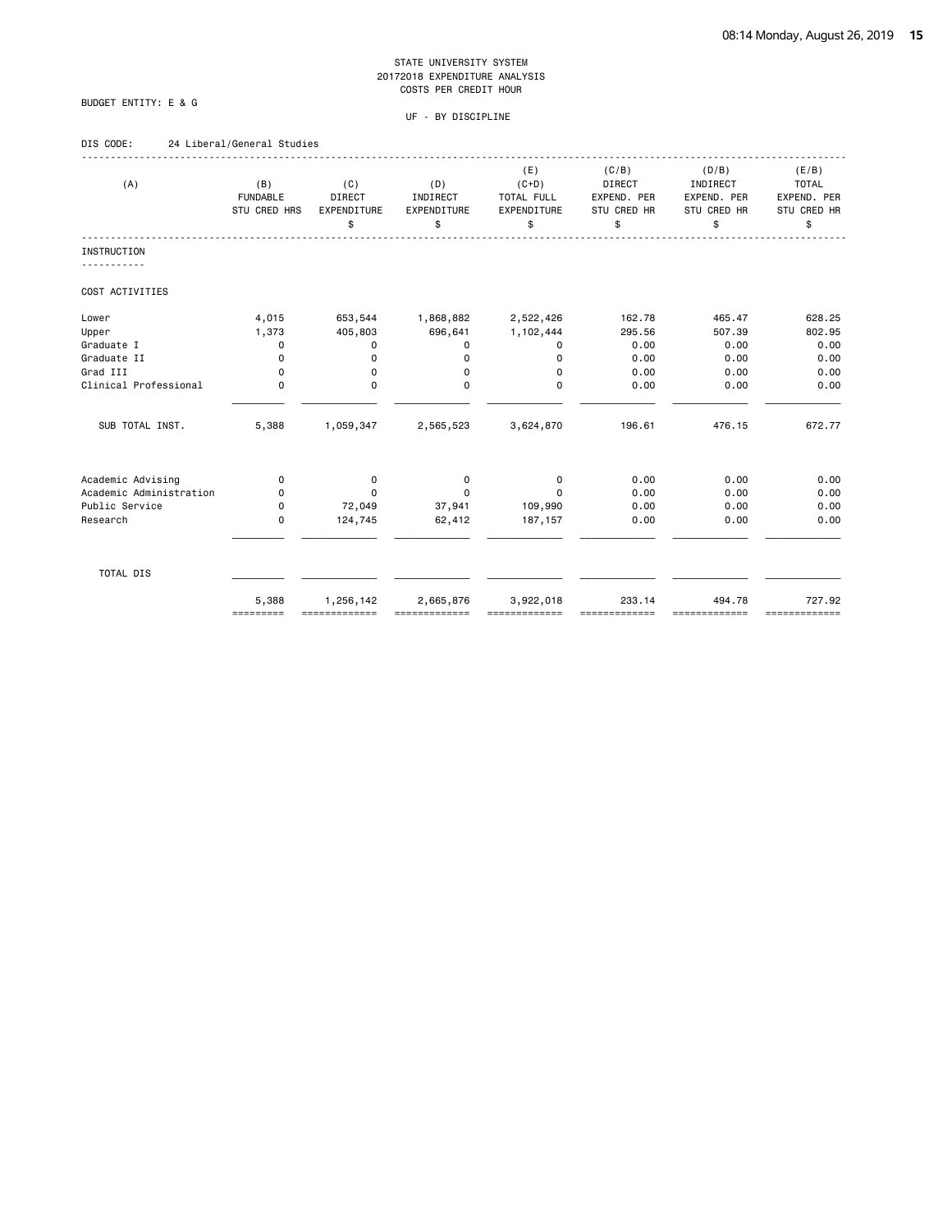# BUDGET ENTITY: E & G

#### UF - BY DISCIPLINE

# DIS CODE: 24 Liberal/General Studies

| (A)                     | (B)<br><b>FUNDABLE</b><br>STU CRED HRS | (C)<br><b>DIRECT</b><br>EXPENDITURE<br>\$ | (D)<br>INDIRECT<br>EXPENDITURE<br>\$ | (E)<br>$(C+D)$<br>TOTAL FULL<br>EXPENDITURE<br>\$ | (C/B)<br><b>DIRECT</b><br>EXPEND. PER<br>STU CRED HR<br>\$ | (D/B)<br>INDIRECT<br>EXPEND. PER<br>STU CRED HR<br>\$ | (E/B)<br><b>TOTAL</b><br>EXPEND. PER<br>STU CRED HR<br>\$ |
|-------------------------|----------------------------------------|-------------------------------------------|--------------------------------------|---------------------------------------------------|------------------------------------------------------------|-------------------------------------------------------|-----------------------------------------------------------|
| <b>INSTRUCTION</b>      |                                        |                                           |                                      |                                                   |                                                            |                                                       |                                                           |
|                         |                                        |                                           |                                      |                                                   |                                                            |                                                       |                                                           |
| COST ACTIVITIES         |                                        |                                           |                                      |                                                   |                                                            |                                                       |                                                           |
| Lower                   | 4,015                                  | 653,544                                   | 1,868,882                            | 2,522,426                                         | 162.78                                                     | 465.47                                                | 628.25                                                    |
| Upper                   | 1,373                                  | 405,803                                   | 696,641                              | 1,102,444                                         | 295.56                                                     | 507.39                                                | 802.95                                                    |
| Graduate I              | $\Omega$                               | 0                                         | $\Omega$                             | 0                                                 | 0.00                                                       | 0.00                                                  | 0.00                                                      |
| Graduate II             | 0                                      | 0                                         | $\Omega$                             | 0                                                 | 0.00                                                       | 0.00                                                  | 0.00                                                      |
| Grad III                | $\Omega$                               | 0                                         | 0                                    | $\Omega$                                          | 0.00                                                       | 0.00                                                  | 0.00                                                      |
| Clinical Professional   | $\mathbf 0$                            | $\mathbf 0$                               | $\mathbf 0$                          | $\mathbf 0$                                       | 0.00                                                       | 0.00                                                  | 0.00                                                      |
| SUB TOTAL INST.         | 5,388                                  | 1,059,347                                 | 2,565,523                            | 3,624,870                                         | 196.61                                                     | 476.15                                                | 672.77                                                    |
| Academic Advising       | 0                                      | 0                                         | $\mathbf 0$                          | 0                                                 | 0.00                                                       | 0.00                                                  | 0.00                                                      |
| Academic Administration | 0                                      | $\Omega$                                  | $\Omega$                             | $\Omega$                                          | 0.00                                                       | 0.00                                                  | 0.00                                                      |
| Public Service          | $\mathbf 0$                            | 72,049                                    | 37,941                               | 109,990                                           | 0.00                                                       | 0.00                                                  | 0.00                                                      |
| Research                | $\mathbf 0$                            | 124,745                                   | 62,412                               | 187,157                                           | 0.00                                                       | 0.00                                                  | 0.00                                                      |
| TOTAL DIS               |                                        |                                           |                                      |                                                   |                                                            |                                                       |                                                           |
|                         | 5,388<br>=========                     | 1,256,142<br>=============                | 2,665,876                            | 3,922,018                                         | 233.14                                                     | 494.78<br>==========                                  | 727.92<br>=============                                   |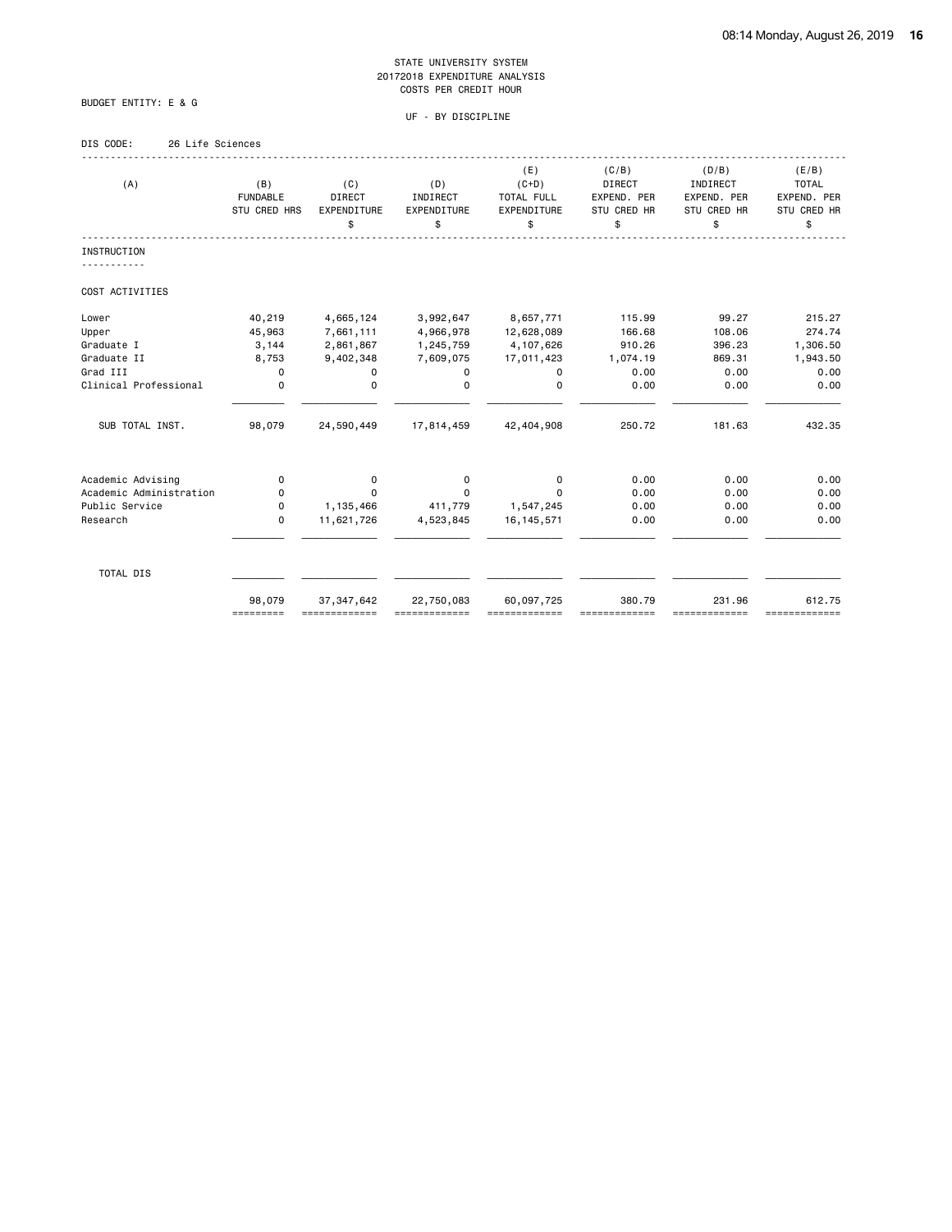# BUDGET ENTITY: E & G

# UF - BY DISCIPLINE

# DIS CODE: 26 Life Sciences

| (A)                     | (B)<br><b>FUNDABLE</b><br>STU CRED HRS | (C)<br>DIRECT<br>EXPENDITURE<br>\$ | (D)<br>INDIRECT<br>EXPENDITURE<br>\$ | (E)<br>$(C+D)$<br>TOTAL FULL<br>EXPENDITURE<br>\$ | (C/B)<br><b>DIRECT</b><br>EXPEND. PER<br>STU CRED HR<br>\$ | (D/B)<br>INDIRECT<br>EXPEND. PER<br>STU CRED HR<br>\$ | (E/B)<br><b>TOTAL</b><br>EXPEND. PER<br>STU CRED HR<br>\$ |
|-------------------------|----------------------------------------|------------------------------------|--------------------------------------|---------------------------------------------------|------------------------------------------------------------|-------------------------------------------------------|-----------------------------------------------------------|
| <b>INSTRUCTION</b>      |                                        |                                    |                                      |                                                   |                                                            |                                                       |                                                           |
| COST ACTIVITIES         |                                        |                                    |                                      |                                                   |                                                            |                                                       |                                                           |
| Lower                   | 40,219                                 | 4,665,124                          | 3,992,647                            | 8,657,771                                         | 115.99                                                     | 99.27                                                 | 215.27                                                    |
| Upper                   | 45,963                                 | 7,661,111                          | 4,966,978                            | 12,628,089                                        | 166.68                                                     | 108.06                                                | 274.74                                                    |
| Graduate I              | 3,144                                  | 2,861,867                          | 1,245,759                            | 4,107,626                                         | 910.26                                                     | 396.23                                                | 1,306.50                                                  |
| Graduate II             | 8,753                                  | 9,402,348                          | 7,609,075                            | 17,011,423                                        | 1,074.19                                                   | 869.31                                                | 1,943.50                                                  |
| Grad III                | 0                                      | 0                                  | 0                                    | 0                                                 | 0.00                                                       | 0.00                                                  | 0.00                                                      |
| Clinical Professional   | $\mathbf 0$                            | $\mathbf 0$                        | $\Omega$                             | $\Omega$                                          | 0.00                                                       | 0.00                                                  | 0.00                                                      |
| SUB TOTAL INST.         | 98,079                                 | 24,590,449                         | 17,814,459                           | 42,404,908                                        | 250.72                                                     | 181.63                                                | 432.35                                                    |
| Academic Advising       | 0                                      | 0                                  | 0                                    | 0                                                 | 0.00                                                       | 0.00                                                  | 0.00                                                      |
| Academic Administration | 0                                      | $\Omega$                           | $\Omega$                             | $\Omega$                                          | 0.00                                                       | 0.00                                                  | 0.00                                                      |
| Public Service          | 0                                      | 1,135,466                          | 411,779                              | 1,547,245                                         | 0.00                                                       | 0.00                                                  | 0.00                                                      |
| Research                | 0                                      | 11,621,726                         | 4,523,845                            | 16, 145, 571                                      | 0.00                                                       | 0.00                                                  | 0.00                                                      |
| TOTAL DIS               |                                        |                                    |                                      |                                                   |                                                            |                                                       |                                                           |
|                         | 98,079<br>=========                    | 37, 347, 642                       | 22,750,083                           | 60,097,725                                        | 380.79                                                     | 231.96<br>==========                                  | 612.75<br>=============                                   |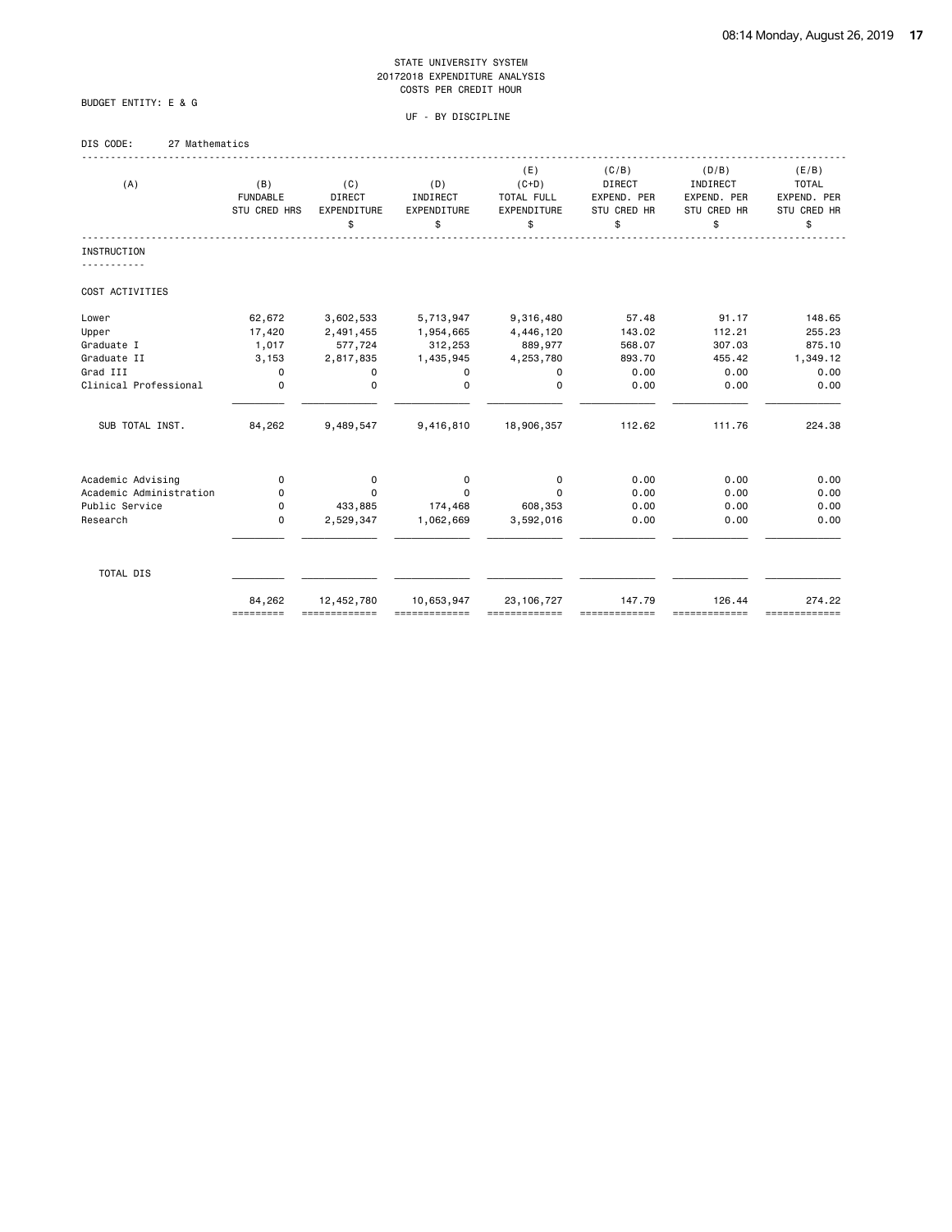UF - BY DISCIPLINE

# DIS CODE: 27 Mathematics

BUDGET ENTITY: E & G

| (A)                     | (B)<br><b>FUNDABLE</b><br>STU CRED HRS | (C)<br><b>DIRECT</b><br>EXPENDITURE<br>\$ | (D)<br>INDIRECT<br>EXPENDITURE<br>\$ | (E)<br>$(C+D)$<br>TOTAL FULL<br>EXPENDITURE<br>\$ | (C/B)<br>DIRECT<br>EXPEND. PER<br><b>STU CRED HR</b><br>\$ | (D/B)<br>INDIRECT<br>EXPEND. PER<br>STU CRED HR<br>\$ | (E/B)<br><b>TOTAL</b><br>EXPEND. PER<br>STU CRED HR<br>\$ |
|-------------------------|----------------------------------------|-------------------------------------------|--------------------------------------|---------------------------------------------------|------------------------------------------------------------|-------------------------------------------------------|-----------------------------------------------------------|
| <b>INSTRUCTION</b>      |                                        |                                           |                                      |                                                   |                                                            |                                                       |                                                           |
| COST ACTIVITIES         |                                        |                                           |                                      |                                                   |                                                            |                                                       |                                                           |
| Lower                   | 62,672                                 | 3,602,533                                 | 5,713,947                            | 9,316,480                                         | 57.48                                                      | 91.17                                                 | 148.65                                                    |
| Upper                   | 17,420                                 | 2,491,455                                 | 1,954,665                            | 4,446,120                                         | 143.02                                                     | 112.21                                                | 255.23                                                    |
| Graduate I              | 1,017                                  | 577,724                                   | 312,253                              | 889,977                                           | 568.07                                                     | 307.03                                                | 875.10                                                    |
| Graduate II             | 3,153                                  | 2,817,835                                 | 1,435,945                            | 4,253,780                                         | 893.70                                                     | 455.42                                                | 1,349.12                                                  |
| Grad III                | $\mathbf 0$                            | 0                                         | 0                                    | 0                                                 | 0.00                                                       | 0.00                                                  | 0.00                                                      |
| Clinical Professional   | $\mathbf 0$                            | 0                                         | $\Omega$                             | $\Omega$                                          | 0.00                                                       | 0.00                                                  | 0.00                                                      |
| SUB TOTAL INST.         | 84,262                                 | 9,489,547                                 | 9,416,810                            | 18,906,357                                        | 112.62                                                     | 111.76                                                | 224.38                                                    |
| Academic Advising       | 0                                      | 0                                         | 0                                    | 0                                                 | 0.00                                                       | 0.00                                                  | 0.00                                                      |
| Academic Administration | 0                                      | $\Omega$                                  | 0                                    | $\Omega$                                          | 0.00                                                       | 0.00                                                  | 0.00                                                      |
| Public Service          | 0                                      | 433,885                                   | 174,468                              | 608,353                                           | 0.00                                                       | 0.00                                                  | 0.00                                                      |
| Research                | $\Omega$                               | 2,529,347                                 | 1,062,669                            | 3,592,016                                         | 0.00                                                       | 0.00                                                  | 0.00                                                      |
| TOTAL DIS               |                                        |                                           |                                      |                                                   |                                                            |                                                       |                                                           |
|                         | 84,262<br>=========                    | 12,452,780                                | 10,653,947                           | 23, 106, 727                                      | 147.79                                                     | 126.44<br>==========                                  | 274.22<br>=============                                   |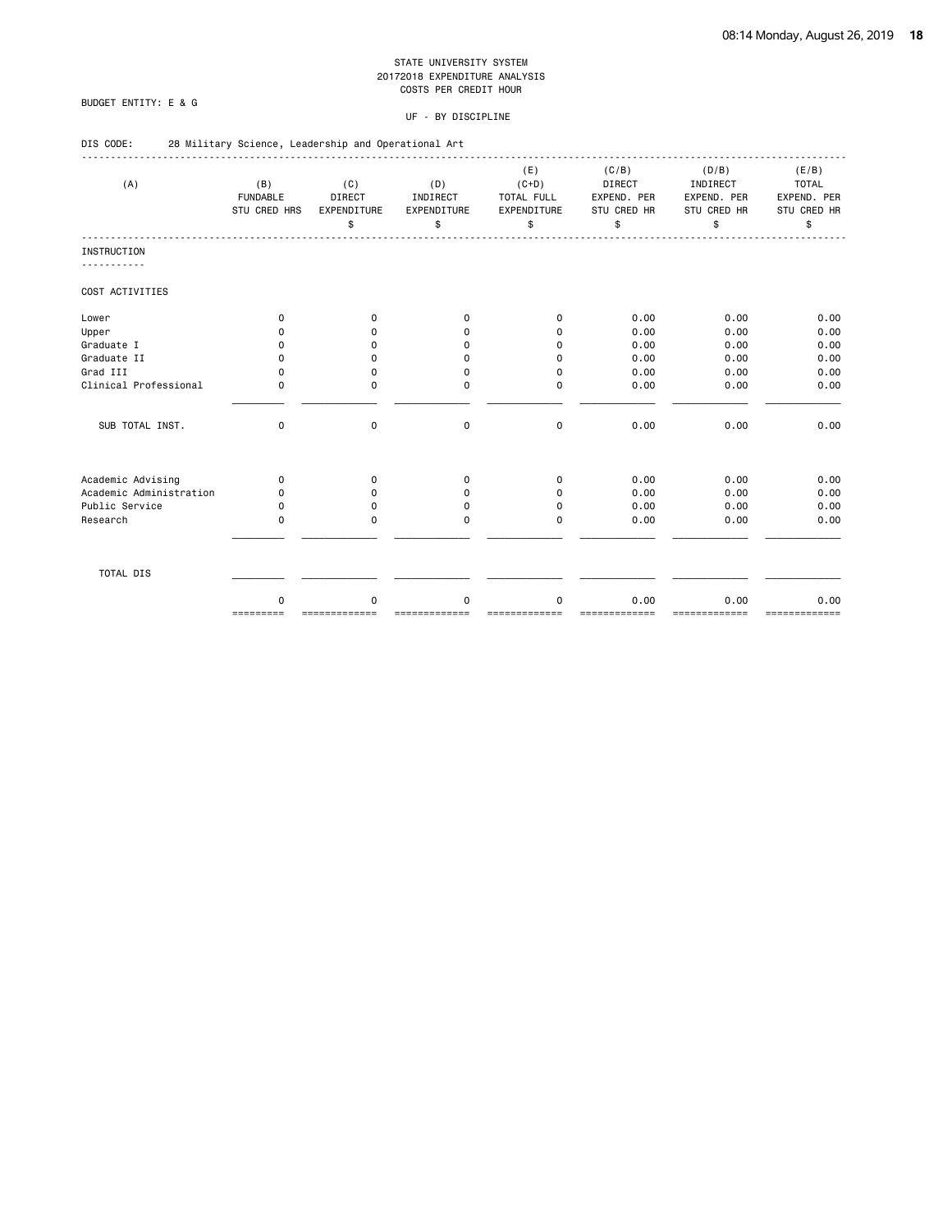# BUDGET ENTITY: E & G

DIS CODE: 28 Military Science, Leadership and Operational Art

#### UF - BY DISCIPLINE

| (A)                     | (B)<br><b>FUNDABLE</b><br><b>STU CRED HRS</b> | (C)<br>DIRECT<br><b>EXPENDITURE</b><br>\$ | (D)<br>INDIRECT<br>EXPENDITURE<br>\$ | (E)<br>$(C+D)$<br>TOTAL FULL<br>EXPENDITURE<br>\$ | (C/B)<br>DIRECT<br>EXPEND. PER<br>STU CRED HR<br>\$ | (D/B)<br>INDIRECT<br>EXPEND. PER<br>STU CRED HR<br>\$ | (E/B)<br><b>TOTAL</b><br>EXPEND. PER<br>STU CRED HR<br>\$ |
|-------------------------|-----------------------------------------------|-------------------------------------------|--------------------------------------|---------------------------------------------------|-----------------------------------------------------|-------------------------------------------------------|-----------------------------------------------------------|
| <b>INSTRUCTION</b>      |                                               |                                           |                                      |                                                   |                                                     |                                                       |                                                           |
|                         |                                               |                                           |                                      |                                                   |                                                     |                                                       |                                                           |
| COST ACTIVITIES         |                                               |                                           |                                      |                                                   |                                                     |                                                       |                                                           |
| Lower                   | $\Omega$                                      | 0                                         | $\Omega$                             | $\Omega$                                          | 0.00                                                | 0.00                                                  | 0.00                                                      |
| Upper                   | 0                                             | 0                                         | 0                                    | $\Omega$                                          | 0.00                                                | 0.00                                                  | 0.00                                                      |
| Graduate I              | 0                                             | $\Omega$                                  | $\Omega$                             | $\mathbf 0$                                       | 0.00                                                | 0.00                                                  | 0.00                                                      |
| Graduate II             | 0                                             | $\mathbf 0$                               | $\Omega$                             | $\mathbf 0$                                       | 0.00                                                | 0.00                                                  | 0.00                                                      |
| Grad III                | 0                                             | 0                                         | 0                                    | $\Omega$                                          | 0.00                                                | 0.00                                                  | 0.00                                                      |
| Clinical Professional   | 0                                             | $\Omega$                                  | $\Omega$                             | $\Omega$                                          | 0.00                                                | 0.00                                                  | 0.00                                                      |
| SUB TOTAL INST.         | $\Omega$                                      | $\mathbf 0$                               | $\mathbf 0$                          | $\mathbf 0$                                       | 0.00                                                | 0.00                                                  | 0.00                                                      |
| Academic Advising       | $\Omega$                                      | $\Omega$                                  | $\Omega$                             | $\mathbf 0$                                       | 0.00                                                | 0.00                                                  | 0.00                                                      |
| Academic Administration | 0                                             | 0                                         | $\Omega$                             | 0                                                 | 0.00                                                | 0.00                                                  | 0.00                                                      |
| Public Service          | $\Omega$                                      | 0                                         | $\Omega$                             | $\Omega$                                          | 0.00                                                | 0.00                                                  | 0.00                                                      |
| Research                | $\Omega$                                      | $\mathbf 0$                               | $\Omega$                             | $\Omega$                                          | 0.00                                                | 0.00                                                  | 0.00                                                      |
| TOTAL DIS               |                                               |                                           |                                      |                                                   |                                                     |                                                       |                                                           |
|                         | $\mathbf 0$                                   | 0                                         | $\mathbf 0$                          | 0                                                 | 0.00                                                | 0.00                                                  | 0.00                                                      |

========= ============= ============= ============= ============= ============= =============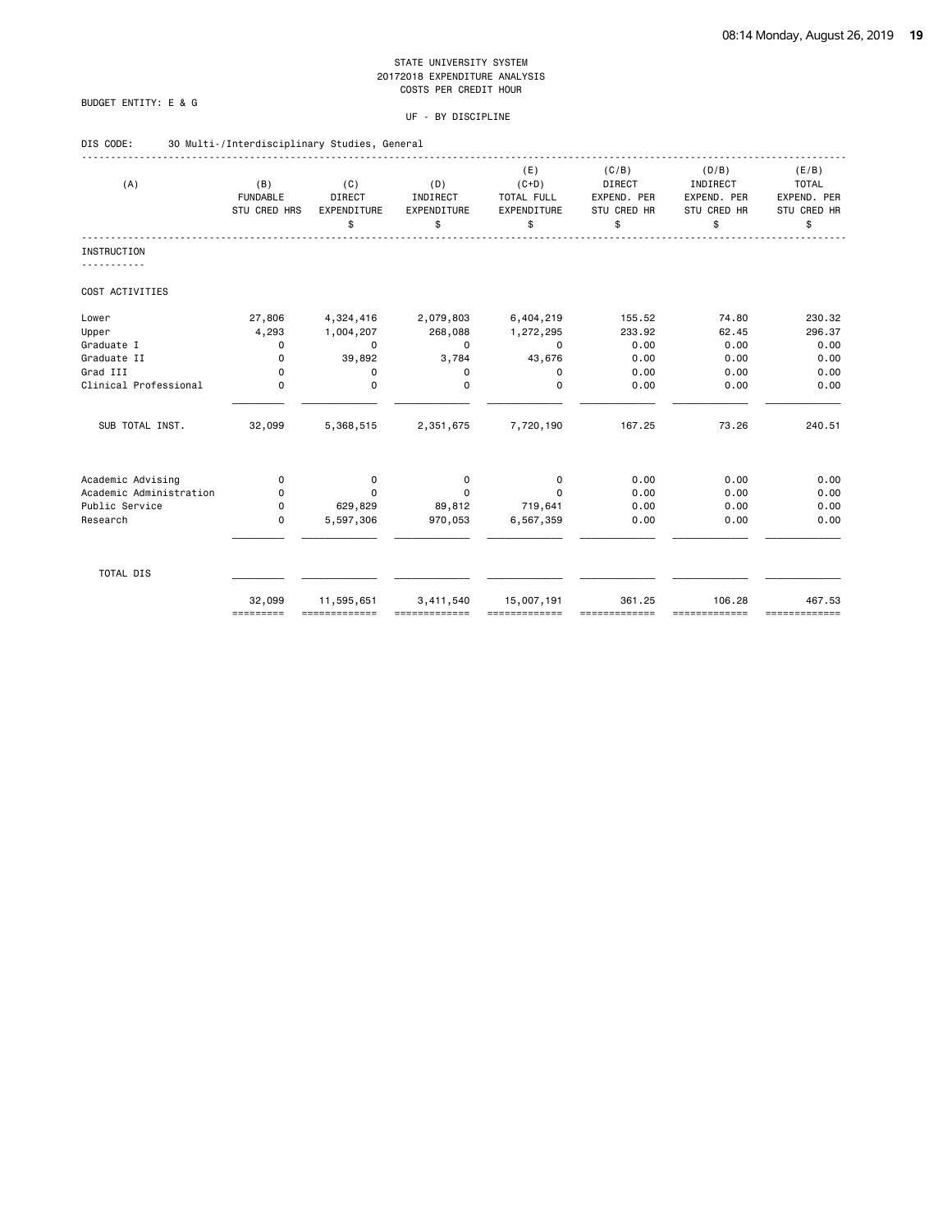# BUDGET ENTITY: E & G

|  | DIS CODE: |  |  |  |  |  |  |  | 30 Multi-/Interdisciplinary Studies, General |  |  |
|--|-----------|--|--|--|--|--|--|--|----------------------------------------------|--|--|
|--|-----------|--|--|--|--|--|--|--|----------------------------------------------|--|--|

|                         |                     |                             |             | (E)         | (C/B)         | (D/B)                   | (E/B)                   |
|-------------------------|---------------------|-----------------------------|-------------|-------------|---------------|-------------------------|-------------------------|
| (A)                     | (B)                 | (C)                         | (D)         | $(C+D)$     | <b>DIRECT</b> | INDIRECT                | <b>TOTAL</b>            |
|                         | <b>FUNDABLE</b>     | <b>DIRECT</b>               | INDIRECT    | TOTAL FULL  | EXPEND. PER   | EXPEND. PER             | EXPEND. PER             |
|                         | STU CRED HRS        | EXPENDITURE                 | EXPENDITURE | EXPENDITURE | STU CRED HR   | STU CRED HR             | STU CRED HR             |
|                         |                     | \$                          | \$          | \$          | \$            | \$                      | \$                      |
| <b>INSTRUCTION</b>      |                     |                             |             |             |               |                         |                         |
| COST ACTIVITIES         |                     |                             |             |             |               |                         |                         |
| Lower                   | 27,806              | 4,324,416                   | 2,079,803   | 6,404,219   | 155.52        | 74.80                   | 230.32                  |
| Upper                   | 4,293               | 1,004,207                   | 268,088     | 1,272,295   | 233.92        | 62.45                   | 296.37                  |
| Graduate I              | 0                   | $\mathbf 0$                 | $\Omega$    | $\mathbf 0$ | 0.00          | 0.00                    | 0.00                    |
| Graduate II             | $\mathbf 0$         | 39,892                      | 3,784       | 43,676      | 0.00          | 0.00                    | 0.00                    |
| Grad III                | $\mathbf 0$         | 0                           | 0           | 0           | 0.00          | 0.00                    | 0.00                    |
| Clinical Professional   | $\Omega$            | $\mathbf 0$                 | $\Omega$    | $\Omega$    | 0.00          | 0.00                    | 0.00                    |
| SUB TOTAL INST.         | 32,099              | 5,368,515                   | 2,351,675   | 7,720,190   | 167.25        | 73.26                   | 240.51                  |
| Academic Advising       | 0                   | 0                           | 0           | 0           | 0.00          | 0.00                    | 0.00                    |
| Academic Administration | 0                   | $\Omega$                    | 0           | $\Omega$    | 0.00          | 0.00                    | 0.00                    |
| Public Service          | 0                   | 629,829                     | 89,812      | 719,641     | 0.00          | 0.00                    | 0.00                    |
| Research                | $\mathbf 0$         | 5,597,306                   | 970,053     | 6,567,359   | 0.00          | 0.00                    | 0.00                    |
| TOTAL DIS               |                     |                             |             |             |               |                         |                         |
|                         |                     |                             |             |             |               |                         |                         |
|                         | 32,099<br>========= | 11,595,651<br>============= | 3,411,540   | 15,007,191  | 361.25        | 106.28<br>============= | 467.53<br>============= |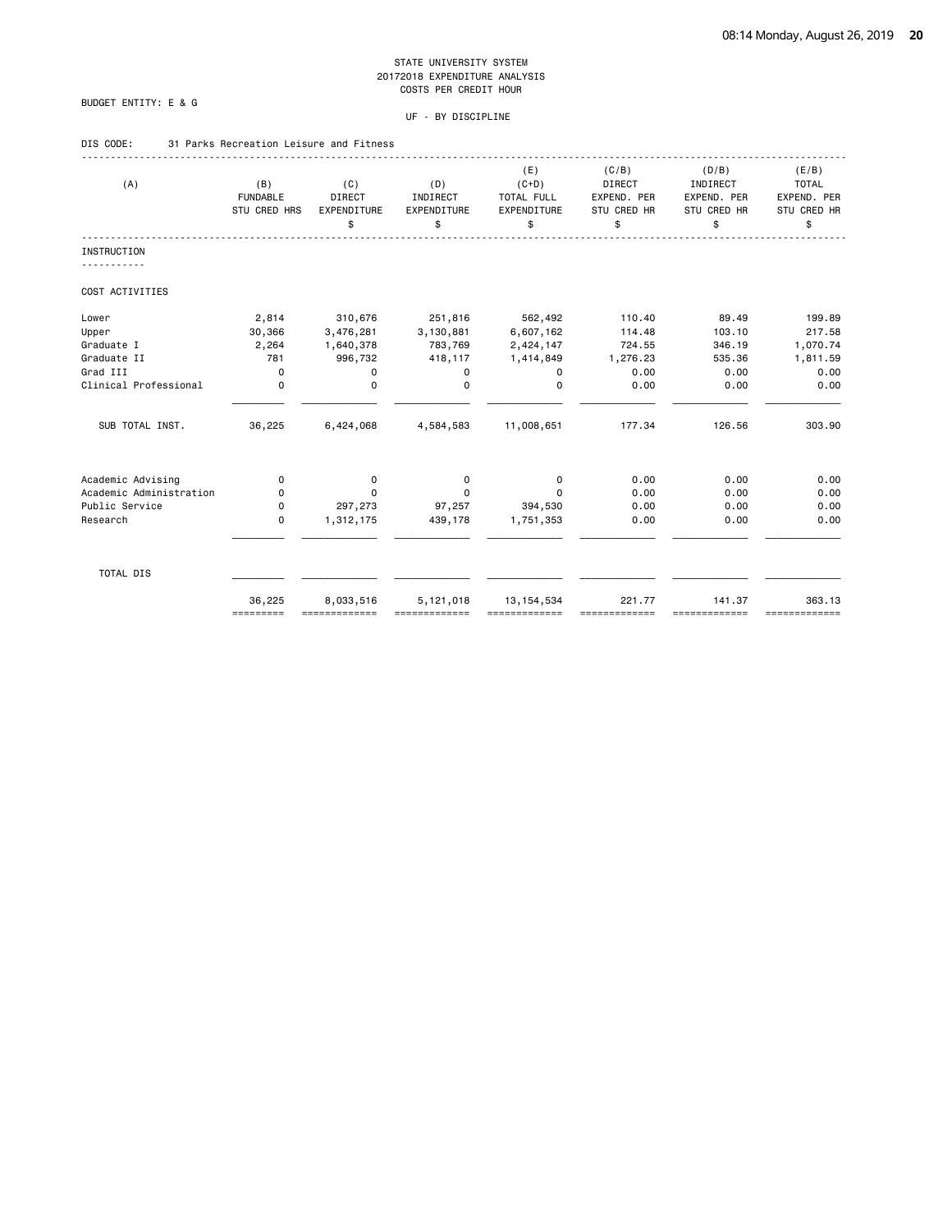# BUDGET ENTITY: E & G

# UF - BY DISCIPLINE

# DIS CODE: 31 Parks Recreation Leisure and Fitness

| (B)<br><b>FUNDABLE</b><br>STU CRED HRS<br>2,814 | (C)<br><b>DIRECT</b><br><b>EXPENDITURE</b><br>\$ | (D)<br>INDIRECT<br>EXPENDITURE<br>\$ | (E)<br>$(C+D)$<br>TOTAL FULL<br>EXPENDITURE<br>\$ | (C/B)<br><b>DIRECT</b><br>EXPEND. PER<br>STU CRED HR<br>\$ | (D/B)<br>INDIRECT<br>EXPEND. PER<br>STU CRED HR<br>\$ | (E/B)<br><b>TOTAL</b><br>EXPEND. PER<br>STU CRED HR<br>\$ |
|-------------------------------------------------|--------------------------------------------------|--------------------------------------|---------------------------------------------------|------------------------------------------------------------|-------------------------------------------------------|-----------------------------------------------------------|
|                                                 |                                                  |                                      |                                                   |                                                            |                                                       |                                                           |
|                                                 |                                                  |                                      |                                                   |                                                            |                                                       |                                                           |
|                                                 |                                                  |                                      |                                                   |                                                            |                                                       |                                                           |
|                                                 | 310,676                                          | 251,816                              | 562,492                                           | 110.40                                                     | 89.49                                                 | 199.89                                                    |
| 30,366                                          | 3,476,281                                        | 3,130,881                            | 6,607,162                                         | 114.48                                                     | 103.10                                                | 217.58                                                    |
| 2,264                                           | 1,640,378                                        | 783,769                              | 2,424,147                                         | 724.55                                                     | 346.19                                                | 1,070.74                                                  |
| 781                                             | 996,732                                          | 418,117                              | 1,414,849                                         | 1,276.23                                                   | 535.36                                                | 1,811.59                                                  |
| $\mathbf 0$                                     | 0                                                | 0                                    | 0                                                 | 0.00                                                       | 0.00                                                  | 0.00                                                      |
| $\mathbf 0$                                     | $\mathbf 0$                                      | $\Omega$                             | $\Omega$                                          | 0.00                                                       | 0.00                                                  | 0.00                                                      |
| 36,225                                          | 6,424,068                                        | 4,584,583                            | 11,008,651                                        | 177.34                                                     | 126.56                                                | 303.90                                                    |
| 0                                               | 0                                                | 0                                    | 0                                                 | 0.00                                                       | 0.00                                                  | 0.00                                                      |
| 0                                               | $\Omega$                                         | 0                                    | $\Omega$                                          | 0.00                                                       | 0.00                                                  | 0.00                                                      |
| 0                                               | 297,273                                          | 97,257                               | 394,530                                           | 0.00                                                       | 0.00                                                  | 0.00                                                      |
| $\mathbf 0$                                     | 1,312,175                                        | 439,178                              | 1,751,353                                         | 0.00                                                       | 0.00                                                  | 0.00                                                      |
|                                                 |                                                  |                                      |                                                   |                                                            |                                                       |                                                           |
|                                                 | 8,033,516                                        | 5,121,018                            | 13, 154, 534                                      | 221.77                                                     | 141.37                                                | 363.13<br>=============                                   |
|                                                 | 36,225                                           |                                      |                                                   |                                                            |                                                       | =========<br>=============<br>==========                  |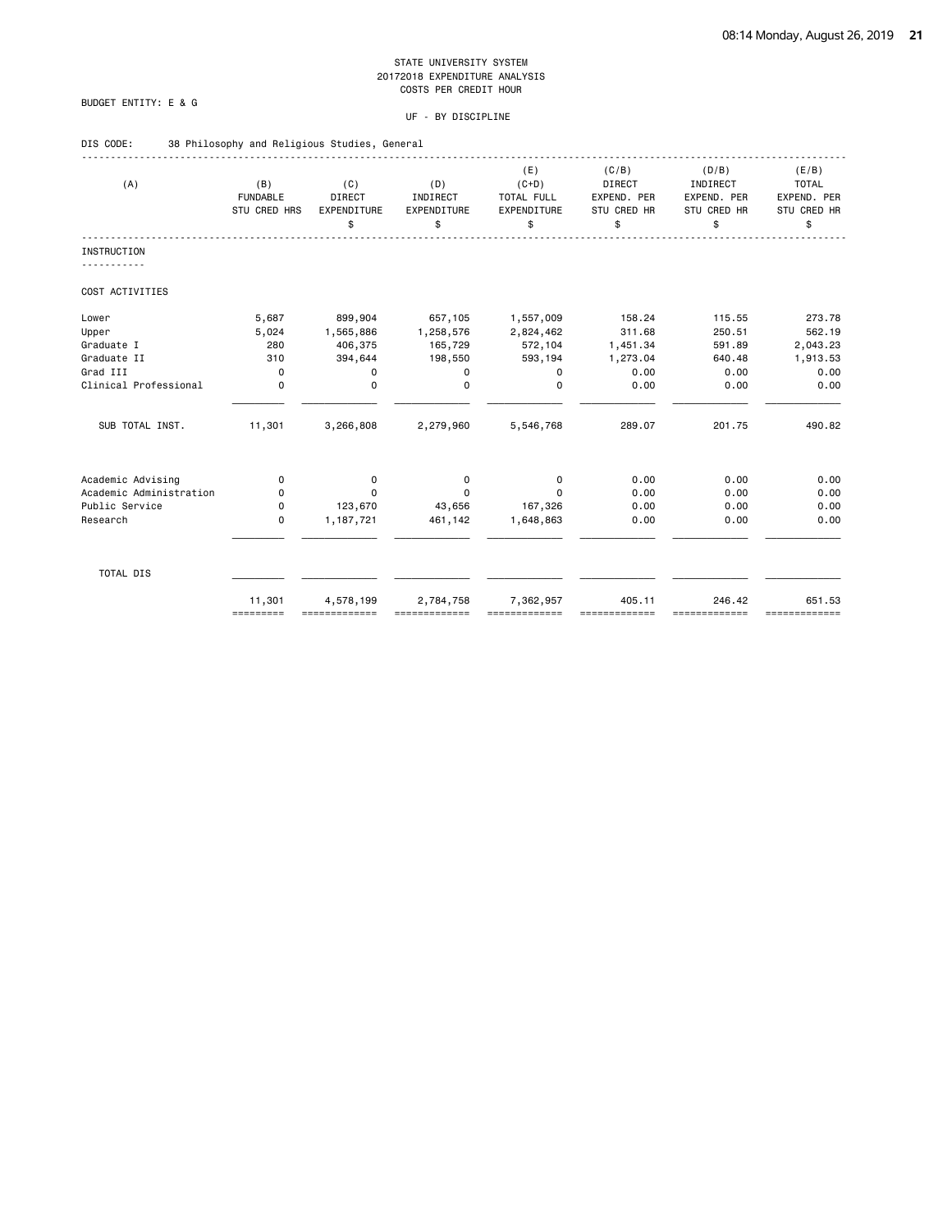# BUDGET ENTITY: E & G

| DIS CODE: |  | 38 Philosophy and Religious Studies, General |  |  |  |
|-----------|--|----------------------------------------------|--|--|--|
|-----------|--|----------------------------------------------|--|--|--|

| (A)                     | (B)<br><b>FUNDABLE</b><br>STU CRED HRS | (C)<br><b>DIRECT</b><br>EXPENDITURE<br>\$ | (D)<br>INDIRECT<br>EXPENDITURE<br>\$ | (E)<br>$(C+D)$<br>TOTAL FULL<br>EXPENDITURE<br>\$ | (C/B)<br><b>DIRECT</b><br>EXPEND. PER<br>STU CRED HR<br>\$ | (D/B)<br>INDIRECT<br>EXPEND. PER<br>STU CRED HR<br>\$ | (E/B)<br><b>TOTAL</b><br>EXPEND. PER<br>STU CRED HR<br>\$ |
|-------------------------|----------------------------------------|-------------------------------------------|--------------------------------------|---------------------------------------------------|------------------------------------------------------------|-------------------------------------------------------|-----------------------------------------------------------|
| <b>INSTRUCTION</b>      |                                        |                                           |                                      |                                                   |                                                            |                                                       |                                                           |
| COST ACTIVITIES         |                                        |                                           |                                      |                                                   |                                                            |                                                       |                                                           |
| Lower                   | 5,687                                  | 899,904                                   | 657,105                              | 1,557,009                                         | 158.24                                                     | 115.55                                                | 273.78                                                    |
| Upper                   | 5,024                                  | 1,565,886                                 | 1,258,576                            | 2,824,462                                         | 311.68                                                     | 250.51                                                | 562.19                                                    |
| Graduate I              | 280                                    | 406,375                                   | 165,729                              | 572,104                                           | 1,451.34                                                   | 591.89                                                | 2,043.23                                                  |
| Graduate II             | 310                                    | 394,644                                   | 198,550                              | 593,194                                           | 1,273.04                                                   | 640.48                                                | 1,913.53                                                  |
| Grad III                | $\mathbf 0$                            | 0                                         | 0                                    | 0                                                 | 0.00                                                       | 0.00                                                  | 0.00                                                      |
| Clinical Professional   | $\mathbf 0$                            | $\mathbf 0$                               | $\Omega$                             | $\Omega$                                          | 0.00                                                       | 0.00                                                  | 0.00                                                      |
| SUB TOTAL INST.         | 11,301                                 | 3,266,808                                 | 2,279,960                            | 5,546,768                                         | 289.07                                                     | 201.75                                                | 490.82                                                    |
| Academic Advising       | 0                                      | 0                                         | 0                                    | 0                                                 | 0.00                                                       | 0.00                                                  | 0.00                                                      |
| Academic Administration | 0                                      | $\Omega$                                  | $\Omega$                             | $\Omega$                                          | 0.00                                                       | 0.00                                                  | 0.00                                                      |
| Public Service          | 0                                      | 123,670                                   | 43,656                               | 167,326                                           | 0.00                                                       | 0.00                                                  | 0.00                                                      |
| Research                | $\mathbf 0$                            | 1,187,721                                 | 461,142                              | 1,648,863                                         | 0.00                                                       | 0.00                                                  | 0.00                                                      |
| TOTAL DIS               |                                        |                                           |                                      |                                                   |                                                            |                                                       |                                                           |
|                         | 11,301<br>=========                    | 4,578,199                                 | 2,784,758                            | 7,362,957                                         | 405.11                                                     | 246.42<br>==========                                  | 651.53<br>=============                                   |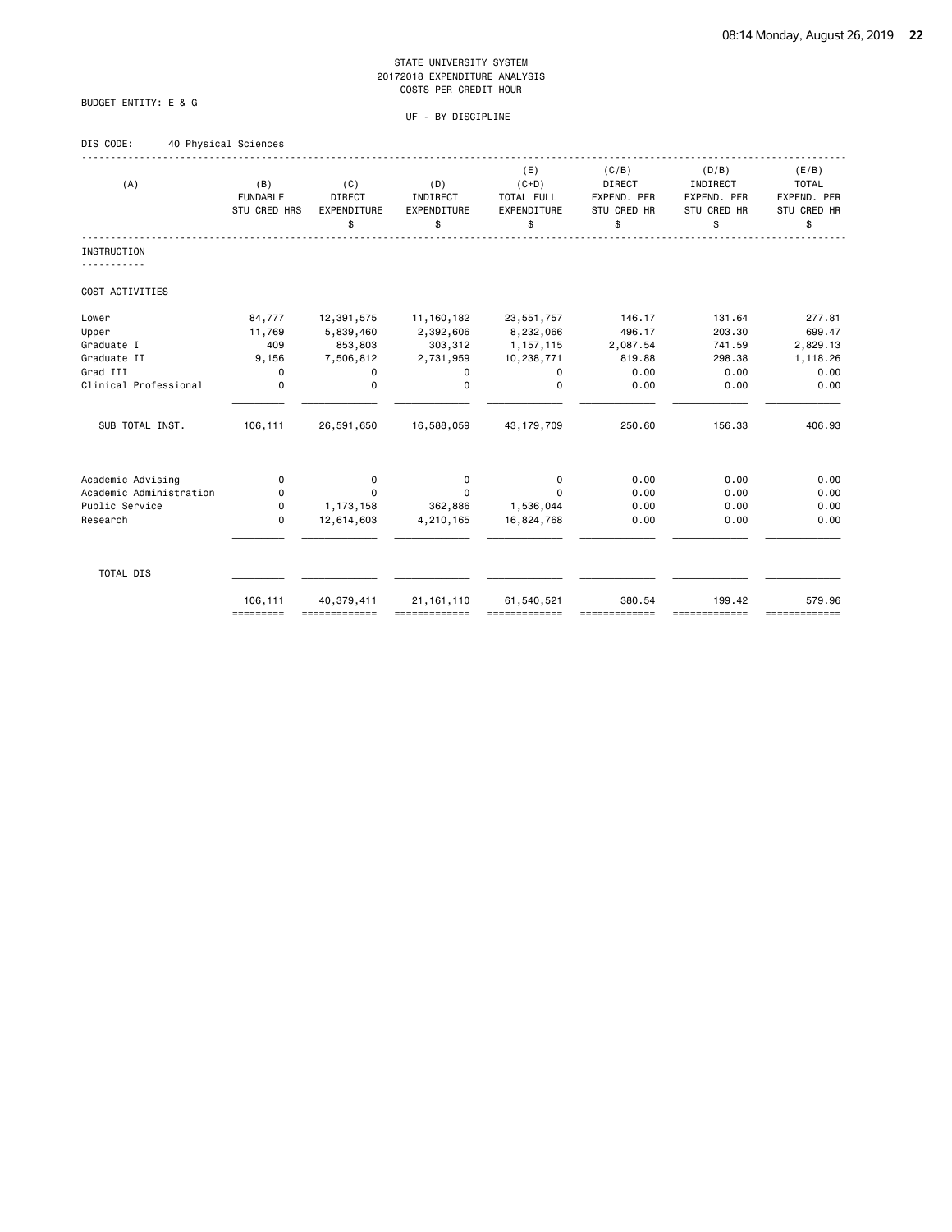# BUDGET ENTITY: E & G

| DIS CODE: | 40 Physical Sciences |  |
|-----------|----------------------|--|
|           |                      |  |

| (A)                     | (B)<br><b>FUNDABLE</b><br>STU CRED HRS | (C)<br>DIRECT<br>EXPENDITURE<br>\$ | (D)<br>INDIRECT<br>EXPENDITURE<br>\$ | (E)<br>$(C+D)$<br>TOTAL FULL<br>EXPENDITURE<br>\$ | (C/B)<br>DIRECT<br>EXPEND. PER<br>STU CRED HR<br>\$ | (D/B)<br>INDIRECT<br>EXPEND. PER<br>STU CRED HR<br>\$ | (E/B)<br><b>TOTAL</b><br>EXPEND. PER<br>STU CRED HR<br>\$ |
|-------------------------|----------------------------------------|------------------------------------|--------------------------------------|---------------------------------------------------|-----------------------------------------------------|-------------------------------------------------------|-----------------------------------------------------------|
| <b>INSTRUCTION</b>      |                                        |                                    |                                      |                                                   |                                                     |                                                       |                                                           |
|                         |                                        |                                    |                                      |                                                   |                                                     |                                                       |                                                           |
| COST ACTIVITIES         |                                        |                                    |                                      |                                                   |                                                     |                                                       |                                                           |
| Lower                   | 84,777                                 | 12,391,575                         | 11,160,182                           | 23,551,757                                        | 146.17                                              | 131.64                                                | 277.81                                                    |
| Upper                   | 11,769                                 | 5,839,460                          | 2,392,606                            | 8,232,066                                         | 496.17                                              | 203.30                                                | 699.47                                                    |
| Graduate I              | 409                                    | 853,803                            | 303,312                              | 1, 157, 115                                       | 2,087.54                                            | 741.59                                                | 2,829.13                                                  |
| Graduate II             | 9,156                                  | 7,506,812                          | 2,731,959                            | 10,238,771                                        | 819.88                                              | 298.38                                                | 1,118.26                                                  |
| Grad III                | 0                                      | 0                                  | 0                                    | 0                                                 | 0.00                                                | 0.00                                                  | 0.00                                                      |
| Clinical Professional   | $\mathbf 0$                            | 0                                  | $\mathbf 0$                          | $\mathbf 0$                                       | 0.00                                                | 0.00                                                  | 0.00                                                      |
| SUB TOTAL INST.         | 106,111                                | 26,591,650                         | 16,588,059                           | 43, 179, 709                                      | 250.60                                              | 156.33                                                | 406.93                                                    |
| Academic Advising       | $\mathbf 0$                            | 0                                  | 0                                    | 0                                                 | 0.00                                                | 0.00                                                  | 0.00                                                      |
| Academic Administration | 0                                      | $\Omega$                           | 0                                    | $\Omega$                                          | 0.00                                                | 0.00                                                  | 0.00                                                      |
| Public Service          | $\mathbf 0$                            | 1,173,158                          | 362,886                              | 1,536,044                                         | 0.00                                                | 0.00                                                  | 0.00                                                      |
| Research                | $\mathbf 0$                            | 12,614,603                         | 4,210,165                            | 16,824,768                                        | 0.00                                                | 0.00                                                  | 0.00                                                      |
|                         |                                        |                                    |                                      |                                                   |                                                     |                                                       |                                                           |
| TOTAL DIS               |                                        |                                    |                                      |                                                   |                                                     |                                                       |                                                           |
|                         | 106,111<br>=========                   | 40,379,411<br>=============        | 21, 161, 110                         | 61,540,521<br>-------------                       | 380.54                                              | 199.42<br>=============                               | 579.96<br>=============                                   |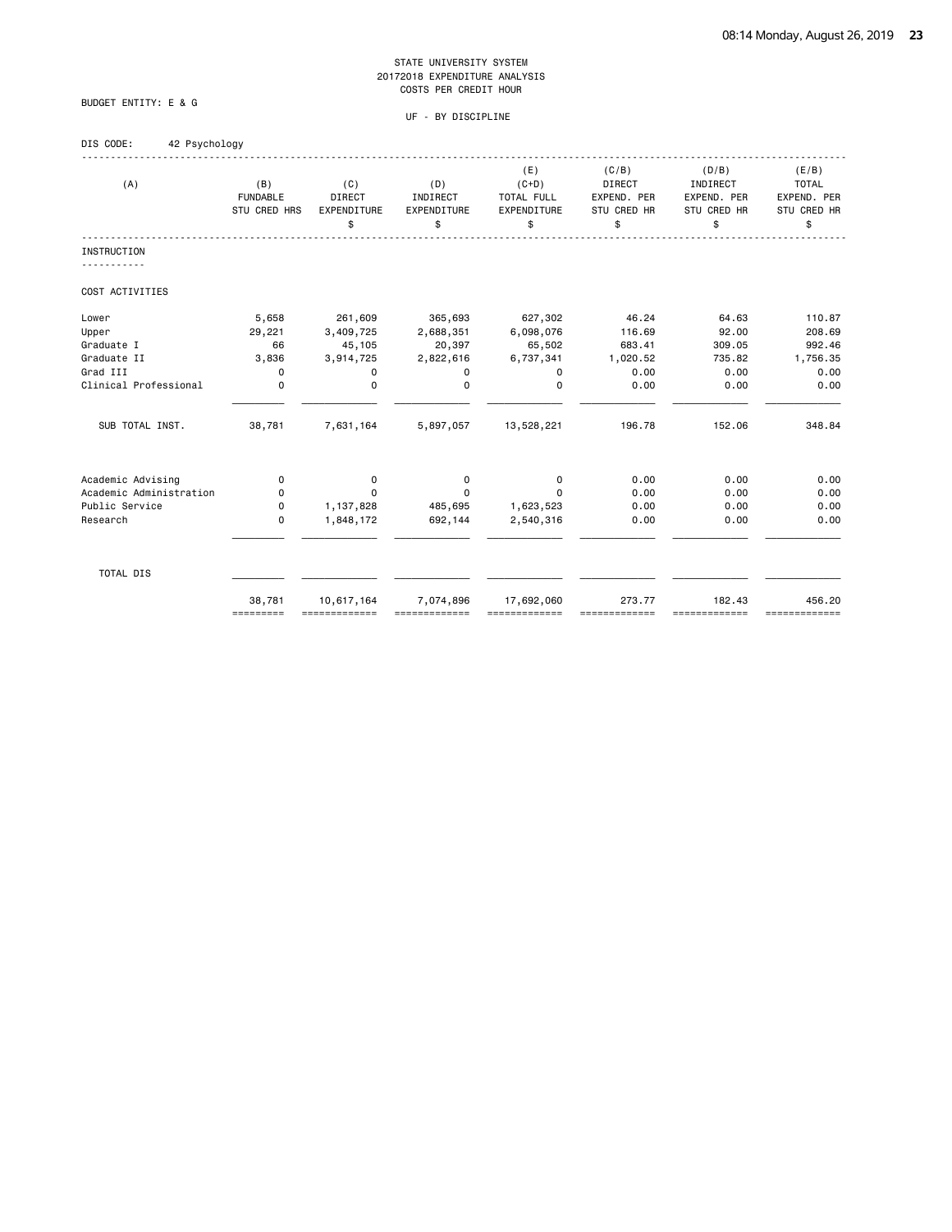UF - BY DISCIPLINE

BUDGET ENTITY: E & G

# DIS CODE: 42 Psychology

| (A)                     | (B)<br><b>FUNDABLE</b><br>STU CRED HRS | (C)<br>DIRECT<br>EXPENDITURE<br>\$ | (D)<br>INDIRECT<br>EXPENDITURE<br>\$ | (E)<br>$(C+D)$<br>TOTAL FULL<br>EXPENDITURE<br>\$ | (C/B)<br><b>DIRECT</b><br>EXPEND. PER<br>STU CRED HR<br>\$ | (D/B)<br>INDIRECT<br>EXPEND. PER<br>STU CRED HR<br>\$ | (E/B)<br><b>TOTAL</b><br>EXPEND. PER<br>STU CRED HR<br>\$ |
|-------------------------|----------------------------------------|------------------------------------|--------------------------------------|---------------------------------------------------|------------------------------------------------------------|-------------------------------------------------------|-----------------------------------------------------------|
| <b>INSTRUCTION</b>      |                                        |                                    |                                      |                                                   |                                                            |                                                       |                                                           |
|                         |                                        |                                    |                                      |                                                   |                                                            |                                                       |                                                           |
| COST ACTIVITIES         |                                        |                                    |                                      |                                                   |                                                            |                                                       |                                                           |
| Lower                   | 5,658                                  | 261,609                            | 365,693                              | 627,302                                           | 46.24                                                      | 64.63                                                 | 110.87                                                    |
| Upper                   | 29,221                                 | 3,409,725                          | 2,688,351                            | 6,098,076                                         | 116.69                                                     | 92.00                                                 | 208.69                                                    |
| Graduate I              | 66                                     | 45,105                             | 20,397                               | 65,502                                            | 683.41                                                     | 309.05                                                | 992.46                                                    |
| Graduate II             | 3,836                                  | 3,914,725                          | 2,822,616                            | 6,737,341                                         | 1,020.52                                                   | 735.82                                                | 1,756.35                                                  |
| Grad III                | 0                                      | 0                                  | 0                                    | 0                                                 | 0.00                                                       | 0.00                                                  | 0.00                                                      |
| Clinical Professional   | $\mathbf 0$                            | $\mathbf 0$                        | $\mathbf 0$                          | $\mathbf 0$                                       | 0.00                                                       | 0.00                                                  | 0.00                                                      |
| SUB TOTAL INST.         | 38,781                                 | 7,631,164                          | 5,897,057                            | 13,528,221                                        | 196.78                                                     | 152.06                                                | 348.84                                                    |
| Academic Advising       | $\Omega$                               | 0                                  | 0                                    | 0                                                 | 0.00                                                       | 0.00                                                  | 0.00                                                      |
| Academic Administration | 0                                      | 0                                  | 0                                    | $\Omega$                                          | 0.00                                                       | 0.00                                                  | 0.00                                                      |
| Public Service          | 0                                      | 1,137,828                          | 485,695                              | 1,623,523                                         | 0.00                                                       | 0.00                                                  | 0.00                                                      |
| Research                | $\mathbf 0$                            | 1,848,172                          | 692,144                              | 2,540,316                                         | 0.00                                                       | 0.00                                                  | 0.00                                                      |
|                         |                                        |                                    |                                      |                                                   |                                                            |                                                       |                                                           |
| TOTAL DIS               |                                        |                                    |                                      |                                                   |                                                            |                                                       |                                                           |
|                         | 38,781<br>=========                    | 10,617,164<br>=============        | 7,074,896                            | 17,692,060                                        | 273.77                                                     | 182.43<br>-------------                               | 456.20<br>=============                                   |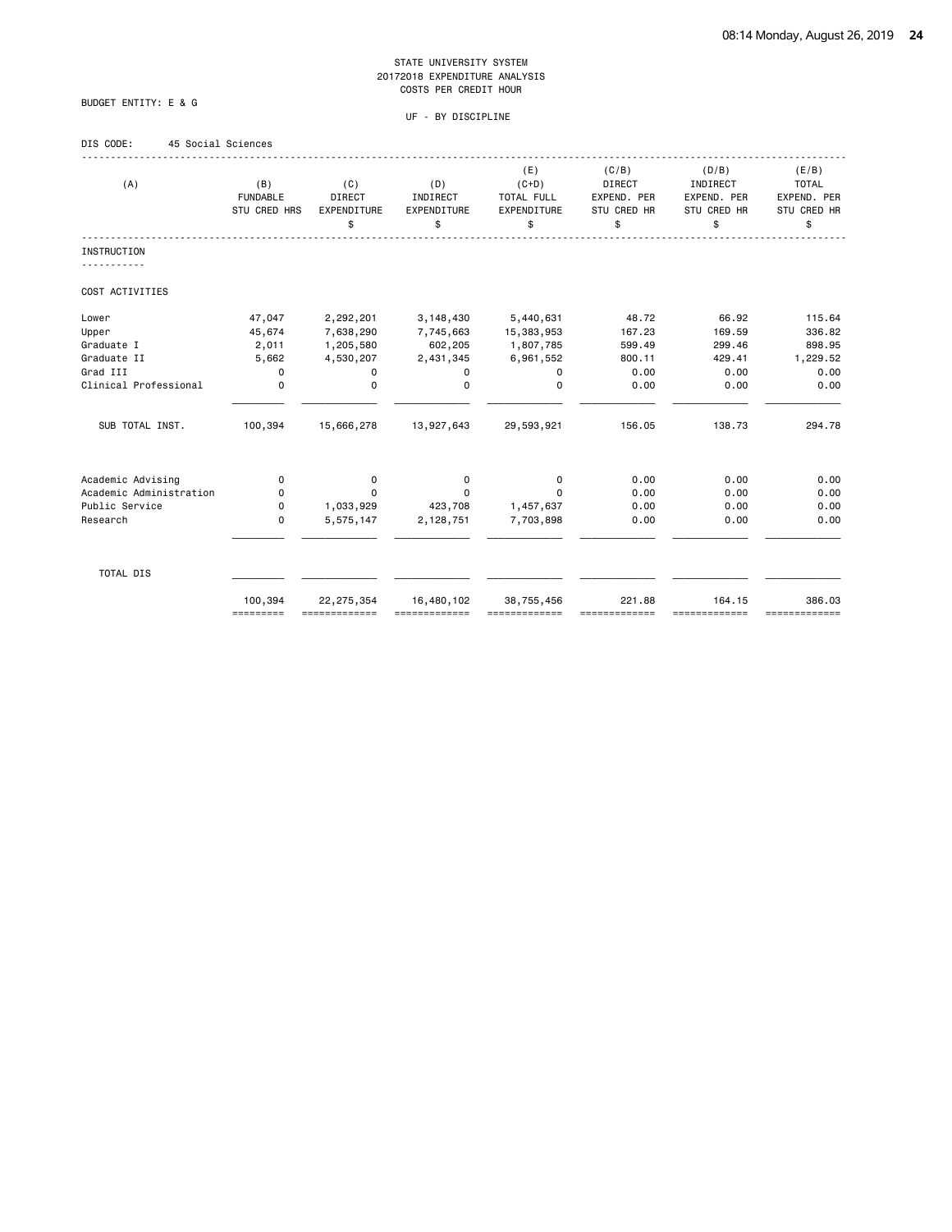# BUDGET ENTITY: E & G

# UF - BY DISCIPLINE

# DIS CODE: 45 Social Sciences

| (A)                     | (B)<br><b>FUNDABLE</b><br>STU CRED HRS | (C)<br>DIRECT<br>EXPENDITURE<br>\$ | (D)<br>INDIRECT<br>EXPENDITURE<br>\$ | (E)<br>$(C+D)$<br>TOTAL FULL<br>EXPENDITURE<br>\$ | (C/B)<br><b>DIRECT</b><br>EXPEND. PER<br>STU CRED HR<br>\$ | (D/B)<br>INDIRECT<br>EXPEND. PER<br><b>STU CRED HR</b><br>\$ | (E/B)<br><b>TOTAL</b><br>EXPEND. PER<br>STU CRED HR<br>\$ |
|-------------------------|----------------------------------------|------------------------------------|--------------------------------------|---------------------------------------------------|------------------------------------------------------------|--------------------------------------------------------------|-----------------------------------------------------------|
| <b>INSTRUCTION</b>      |                                        |                                    |                                      |                                                   |                                                            |                                                              |                                                           |
| COST ACTIVITIES         |                                        |                                    |                                      |                                                   |                                                            |                                                              |                                                           |
| Lower                   | 47,047                                 | 2,292,201                          | 3,148,430                            | 5,440,631                                         | 48.72                                                      | 66.92                                                        | 115.64                                                    |
| Upper                   | 45,674                                 | 7,638,290                          | 7,745,663                            | 15,383,953                                        | 167.23                                                     | 169.59                                                       | 336.82                                                    |
| Graduate I              | 2,011                                  | 1,205,580                          | 602,205                              | 1,807,785                                         | 599.49                                                     | 299.46                                                       | 898.95                                                    |
| Graduate II             | 5,662                                  | 4,530,207                          | 2,431,345                            | 6,961,552                                         | 800.11                                                     | 429.41                                                       | 1,229.52                                                  |
| Grad III                | 0                                      | 0                                  | 0                                    | 0                                                 | 0.00                                                       | 0.00                                                         | 0.00                                                      |
| Clinical Professional   | $\mathbf 0$                            | $\mathbf 0$                        | $\Omega$                             | $\Omega$                                          | 0.00                                                       | 0.00                                                         | 0.00                                                      |
| SUB TOTAL INST.         | 100,394                                | 15,666,278                         | 13,927,643                           | 29,593,921                                        | 156.05                                                     | 138.73                                                       | 294.78                                                    |
| Academic Advising       | 0                                      | 0                                  | 0                                    | 0                                                 | 0.00                                                       | 0.00                                                         | 0.00                                                      |
| Academic Administration | 0                                      | $\Omega$                           | $\Omega$                             | $\Omega$                                          | 0.00                                                       | 0.00                                                         | 0.00                                                      |
| Public Service          | 0                                      | 1,033,929                          | 423,708                              | 1,457,637                                         | 0.00                                                       | 0.00                                                         | 0.00                                                      |
| Research                | 0                                      | 5,575,147                          | 2,128,751                            | 7,703,898                                         | 0.00                                                       | 0.00                                                         | 0.00                                                      |
| TOTAL DIS               |                                        |                                    |                                      |                                                   |                                                            |                                                              |                                                           |
|                         | 100,394<br>=========                   | 22, 275, 354                       | 16,480,102                           | 38,755,456                                        | 221.88                                                     | 164.15<br>==========                                         | 386.03<br>=============                                   |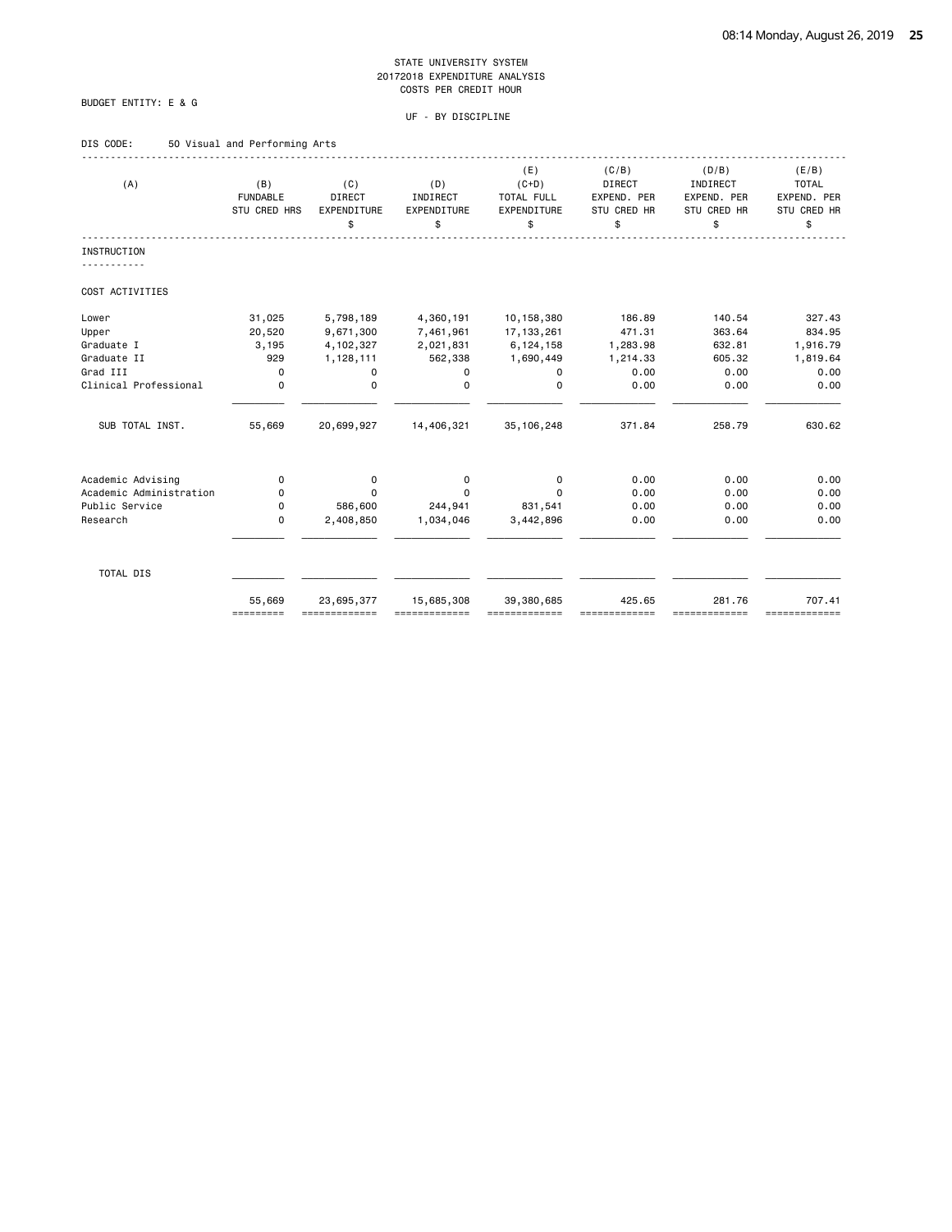# BUDGET ENTITY: E & G

|  | DIS CODE: |  |  |  | 50 Visual and Performing Arts |  |
|--|-----------|--|--|--|-------------------------------|--|
|--|-----------|--|--|--|-------------------------------|--|

| (A)                     | (B)<br><b>FUNDABLE</b><br>STU CRED HRS | (C)<br><b>DIRECT</b><br>EXPENDITURE<br>\$ | (D)<br>INDIRECT<br>EXPENDITURE<br>\$ | (E)<br>$(C+D)$<br>TOTAL FULL<br>EXPENDITURE<br>\$ | (C/B)<br><b>DIRECT</b><br>EXPEND. PER<br>STU CRED HR<br>\$ | (D/B)<br>INDIRECT<br>EXPEND. PER<br><b>STU CRED HR</b><br>\$ | (E/B)<br><b>TOTAL</b><br>EXPEND. PER<br>STU CRED HR<br>\$ |
|-------------------------|----------------------------------------|-------------------------------------------|--------------------------------------|---------------------------------------------------|------------------------------------------------------------|--------------------------------------------------------------|-----------------------------------------------------------|
| <b>INSTRUCTION</b>      |                                        |                                           |                                      |                                                   |                                                            |                                                              |                                                           |
| COST ACTIVITIES         |                                        |                                           |                                      |                                                   |                                                            |                                                              |                                                           |
| Lower                   | 31,025                                 | 5,798,189                                 | 4,360,191                            | 10, 158, 380                                      | 186.89                                                     | 140.54                                                       | 327.43                                                    |
| Upper                   | 20,520                                 | 9,671,300                                 | 7,461,961                            | 17, 133, 261                                      | 471.31                                                     | 363.64                                                       | 834.95                                                    |
| Graduate I              | 3,195                                  | 4, 102, 327                               | 2,021,831                            | 6, 124, 158                                       | 1,283.98                                                   | 632.81                                                       | 1,916.79                                                  |
| Graduate II             | 929                                    | 1,128,111                                 | 562,338                              | 1,690,449                                         | 1,214.33                                                   | 605.32                                                       | 1,819.64                                                  |
| Grad III                | $\mathbf 0$                            | 0                                         | 0                                    | 0                                                 | 0.00                                                       | 0.00                                                         | 0.00                                                      |
| Clinical Professional   | $\mathbf 0$                            | $\mathbf 0$                               | $\Omega$                             | $\Omega$                                          | 0.00                                                       | 0.00                                                         | 0.00                                                      |
| SUB TOTAL INST.         | 55,669                                 | 20,699,927                                | 14,406,321                           | 35, 106, 248                                      | 371.84                                                     | 258.79                                                       | 630.62                                                    |
| Academic Advising       | 0                                      | 0                                         | 0                                    | 0                                                 | 0.00                                                       | 0.00                                                         | 0.00                                                      |
| Academic Administration | 0                                      | $\Omega$                                  | 0                                    | $\Omega$                                          | 0.00                                                       | 0.00                                                         | 0.00                                                      |
| Public Service          | 0                                      | 586,600                                   | 244,941                              | 831,541                                           | 0.00                                                       | 0.00                                                         | 0.00                                                      |
| Research                | $\mathbf 0$                            | 2,408,850                                 | 1,034,046                            | 3,442,896                                         | 0.00                                                       | 0.00                                                         | 0.00                                                      |
| TOTAL DIS               |                                        |                                           |                                      |                                                   |                                                            |                                                              |                                                           |
|                         | 55,669<br>=========                    | 23,695,377                                | 15,685,308                           | 39,380,685<br>============                        | 425.65                                                     | 281.76<br>==========                                         | 707.41<br>===========                                     |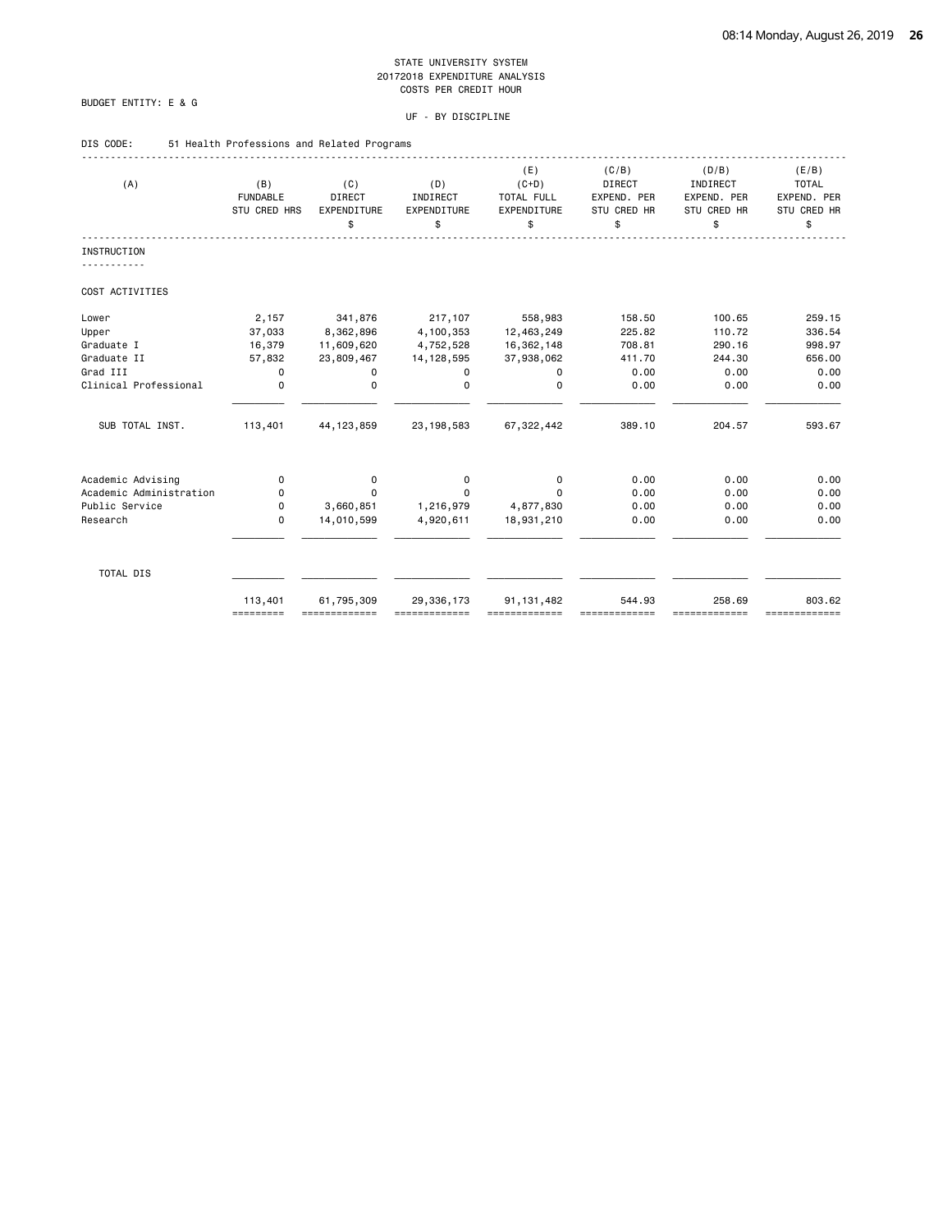# BUDGET ENTITY: E & G

# UF - BY DISCIPLINE

# DIS CODE: 51 Health Professions and Related Programs

| (A)                     | (B)<br><b>FUNDABLE</b><br>STU CRED HRS | (C)<br>DIRECT<br>EXPENDITURE<br>\$ | (D)<br>INDIRECT<br>EXPENDITURE<br>\$ | (E)<br>$(C+D)$<br>TOTAL FULL<br>EXPENDITURE<br>\$ | (C/B)<br>DIRECT<br>EXPEND. PER<br>STU CRED HR<br>\$ | (D/B)<br>INDIRECT<br>EXPEND. PER<br>STU CRED HR<br>\$ | (E/B)<br><b>TOTAL</b><br>EXPEND. PER<br>STU CRED HR<br>\$ |
|-------------------------|----------------------------------------|------------------------------------|--------------------------------------|---------------------------------------------------|-----------------------------------------------------|-------------------------------------------------------|-----------------------------------------------------------|
| <b>INSTRUCTION</b>      |                                        |                                    |                                      |                                                   |                                                     |                                                       |                                                           |
| COST ACTIVITIES         |                                        |                                    |                                      |                                                   |                                                     |                                                       |                                                           |
| Lower                   | 2,157                                  | 341,876                            | 217,107                              | 558,983                                           | 158.50                                              | 100.65                                                | 259.15                                                    |
| Upper                   | 37,033                                 | 8,362,896                          | 4,100,353                            | 12,463,249                                        | 225.82                                              | 110.72                                                | 336.54                                                    |
| Graduate I              | 16,379                                 | 11,609,620                         | 4,752,528                            | 16,362,148                                        | 708.81                                              | 290.16                                                | 998.97                                                    |
| Graduate II             | 57,832                                 | 23,809,467                         | 14, 128, 595                         | 37,938,062                                        | 411.70                                              | 244.30                                                | 656.00                                                    |
| Grad III                | 0                                      | 0                                  | 0                                    | 0                                                 | 0.00                                                | 0.00                                                  | 0.00                                                      |
| Clinical Professional   | $\mathbf 0$                            | 0                                  | $\Omega$                             | $\Omega$                                          | 0.00                                                | 0.00                                                  | 0.00                                                      |
| SUB TOTAL INST.         | 113,401                                | 44, 123, 859                       | 23, 198, 583                         | 67, 322, 442                                      | 389.10                                              | 204.57                                                | 593.67                                                    |
| Academic Advising       | 0                                      | 0                                  | 0                                    | 0                                                 | 0.00                                                | 0.00                                                  | 0.00                                                      |
| Academic Administration | 0                                      | 0                                  | $\Omega$                             | $\Omega$                                          | 0.00                                                | 0.00                                                  | 0.00                                                      |
| Public Service          | 0                                      | 3,660,851                          | 1,216,979                            | 4,877,830                                         | 0.00                                                | 0.00                                                  | 0.00                                                      |
| Research                | $\Omega$                               | 14,010,599                         | 4,920,611                            | 18,931,210                                        | 0.00                                                | 0.00                                                  | 0.00                                                      |
| TOTAL DIS               |                                        |                                    |                                      |                                                   |                                                     |                                                       |                                                           |
|                         | 113,401<br>=========                   | 61,795,309                         | 29,336,173                           | 91, 131, 482                                      | 544.93                                              | 258.69<br>-------------                               | 803.62<br>=============                                   |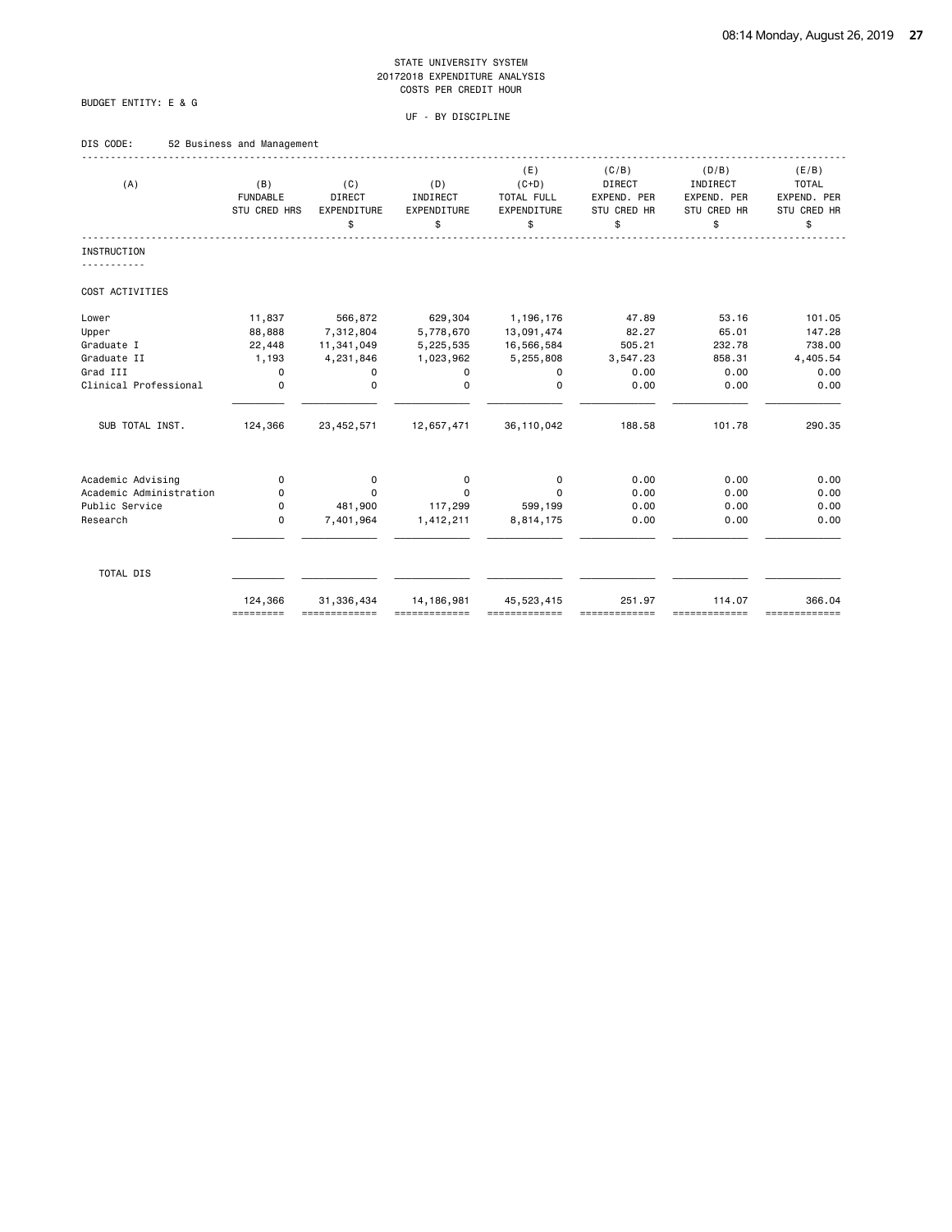# BUDGET ENTITY: E & G

# UF - BY DISCIPLINE

# DIS CODE: 52 Business and Management

| (A)                     | (B)<br><b>FUNDABLE</b><br>STU CRED HRS | (C)<br>DIRECT<br>EXPENDITURE<br>\$ | (D)<br>INDIRECT<br>EXPENDITURE<br>\$ | (E)<br>$(C+D)$<br>TOTAL FULL<br>EXPENDITURE<br>\$ | (C/B)<br><b>DIRECT</b><br>EXPEND. PER<br>STU CRED HR<br>\$ | (D/B)<br>INDIRECT<br>EXPEND. PER<br>STU CRED HR<br>\$ | (E/B)<br><b>TOTAL</b><br>EXPEND. PER<br>STU CRED HR<br>\$ |
|-------------------------|----------------------------------------|------------------------------------|--------------------------------------|---------------------------------------------------|------------------------------------------------------------|-------------------------------------------------------|-----------------------------------------------------------|
| <b>INSTRUCTION</b>      |                                        |                                    |                                      |                                                   |                                                            |                                                       |                                                           |
| COST ACTIVITIES         |                                        |                                    |                                      |                                                   |                                                            |                                                       |                                                           |
| Lower                   | 11,837                                 | 566,872                            | 629,304                              | 1,196,176                                         | 47.89                                                      | 53.16                                                 | 101.05                                                    |
| Upper                   | 88,888                                 | 7,312,804                          | 5,778,670                            | 13,091,474                                        | 82.27                                                      | 65.01                                                 | 147.28                                                    |
| Graduate I              | 22,448                                 | 11,341,049                         | 5,225,535                            | 16,566,584                                        | 505.21                                                     | 232.78                                                | 738.00                                                    |
| Graduate II             | 1,193                                  | 4,231,846                          | 1,023,962                            | 5,255,808                                         | 3,547.23                                                   | 858.31                                                | 4,405.54                                                  |
| Grad III                | $\mathbf 0$                            | 0                                  | 0                                    | 0                                                 | 0.00                                                       | 0.00                                                  | 0.00                                                      |
| Clinical Professional   | $\mathbf 0$                            | $\mathbf 0$                        | $\Omega$                             | $\Omega$                                          | 0.00                                                       | 0.00                                                  | 0.00                                                      |
| SUB TOTAL INST.         | 124,366                                | 23, 452, 571                       | 12,657,471                           | 36, 110, 042                                      | 188.58                                                     | 101.78                                                | 290.35                                                    |
| Academic Advising       | 0                                      |                                    | 0                                    | 0                                                 | 0.00                                                       | 0.00                                                  | 0.00                                                      |
| Academic Administration | 0                                      | 0<br>$\Omega$                      | $\Omega$                             | $\Omega$                                          | 0.00                                                       | 0.00                                                  | 0.00                                                      |
| Public Service          | 0                                      | 481,900                            | 117,299                              | 599,199                                           | 0.00                                                       | 0.00                                                  | 0.00                                                      |
| Research                | 0                                      | 7,401,964                          | 1,412,211                            | 8,814,175                                         | 0.00                                                       | 0.00                                                  | 0.00                                                      |
|                         |                                        |                                    |                                      |                                                   |                                                            |                                                       |                                                           |
| TOTAL DIS               |                                        |                                    |                                      |                                                   |                                                            |                                                       |                                                           |
|                         | 124,366<br>=========                   | 31,336,434<br>=============        | 14, 186, 981                         | 45,523,415                                        | 251.97                                                     | 114.07<br>==========                                  | 366.04<br>=============                                   |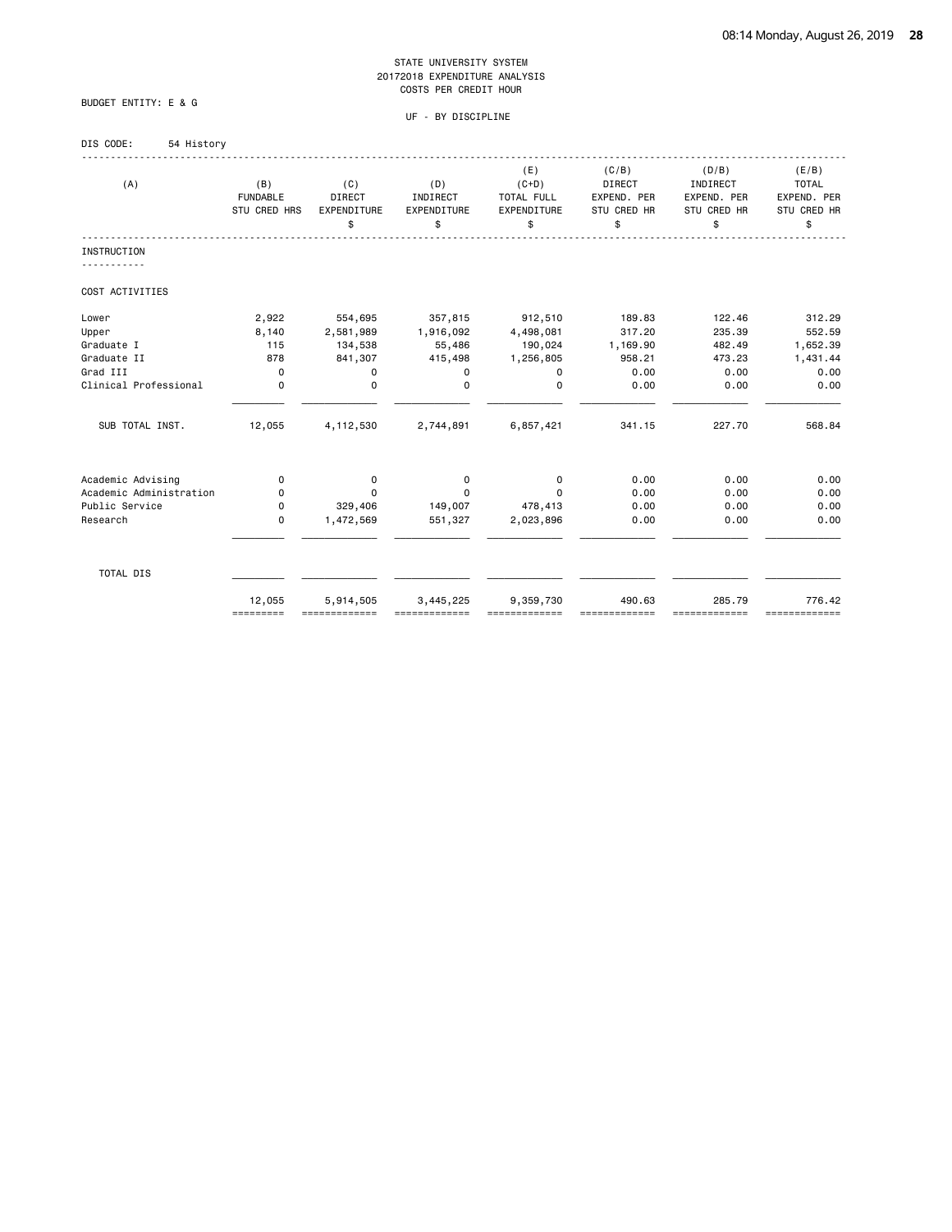BUDGET ENTITY: E & G

| DIS CODE: | 54 History |
|-----------|------------|
|-----------|------------|

| (A)                     | (B)<br><b>FUNDABLE</b><br>STU CRED HRS | (C)<br>DIRECT<br>EXPENDITURE<br>\$ | (D)<br>INDIRECT<br>EXPENDITURE<br>\$ | (E)<br>$(C+D)$<br>TOTAL FULL<br>EXPENDITURE<br>\$ | (C/B)<br><b>DIRECT</b><br>EXPEND. PER<br>STU CRED HR<br>\$ | (D/B)<br>INDIRECT<br>EXPEND. PER<br>STU CRED HR<br>\$ | (E/B)<br><b>TOTAL</b><br>EXPEND. PER<br>STU CRED HR<br>\$ |
|-------------------------|----------------------------------------|------------------------------------|--------------------------------------|---------------------------------------------------|------------------------------------------------------------|-------------------------------------------------------|-----------------------------------------------------------|
| <b>INSTRUCTION</b>      |                                        |                                    |                                      |                                                   |                                                            |                                                       |                                                           |
| COST ACTIVITIES         |                                        |                                    |                                      |                                                   |                                                            |                                                       |                                                           |
| Lower                   | 2,922                                  | 554,695                            | 357,815                              | 912,510                                           | 189.83                                                     | 122.46                                                | 312.29                                                    |
| Upper                   | 8,140                                  | 2,581,989                          | 1,916,092                            | 4,498,081                                         | 317.20                                                     | 235.39                                                | 552.59                                                    |
| Graduate I              | 115                                    | 134,538                            | 55,486                               | 190,024                                           | 1,169.90                                                   | 482.49                                                | 1,652.39                                                  |
| Graduate II             | 878                                    | 841,307                            | 415,498                              | 1,256,805                                         | 958.21                                                     | 473.23                                                | 1,431.44                                                  |
| Grad III                | $\mathbf 0$                            | 0                                  | 0                                    | 0                                                 | 0.00                                                       | 0.00                                                  | 0.00                                                      |
| Clinical Professional   | 0                                      | $\mathbf 0$                        | $\Omega$                             | $\mathbf 0$                                       | 0.00                                                       | 0.00                                                  | 0.00                                                      |
| SUB TOTAL INST.         | 12,055                                 | 4, 112, 530                        | 2,744,891                            | 6,857,421                                         | 341.15                                                     | 227.70                                                | 568.84                                                    |
| Academic Advising       | 0                                      | 0                                  | 0                                    | $\mathbf 0$                                       | 0.00                                                       | 0.00                                                  | 0.00                                                      |
| Academic Administration | 0                                      | $\Omega$                           | $\Omega$                             | $\Omega$                                          | 0.00                                                       | 0.00                                                  | 0.00                                                      |
| Public Service          | 0                                      | 329,406                            | 149,007                              | 478,413                                           | 0.00                                                       | 0.00                                                  | 0.00                                                      |
| Research                | 0                                      | 1,472,569                          | 551,327                              | 2,023,896                                         | 0.00                                                       | 0.00                                                  | 0.00                                                      |
| TOTAL DIS               |                                        |                                    |                                      |                                                   |                                                            |                                                       |                                                           |
|                         | 12,055<br>=========                    | 5,914,505                          | 3,445,225                            | 9,359,730                                         | 490.63                                                     | 285.79<br>==========                                  | 776.42<br>=============                                   |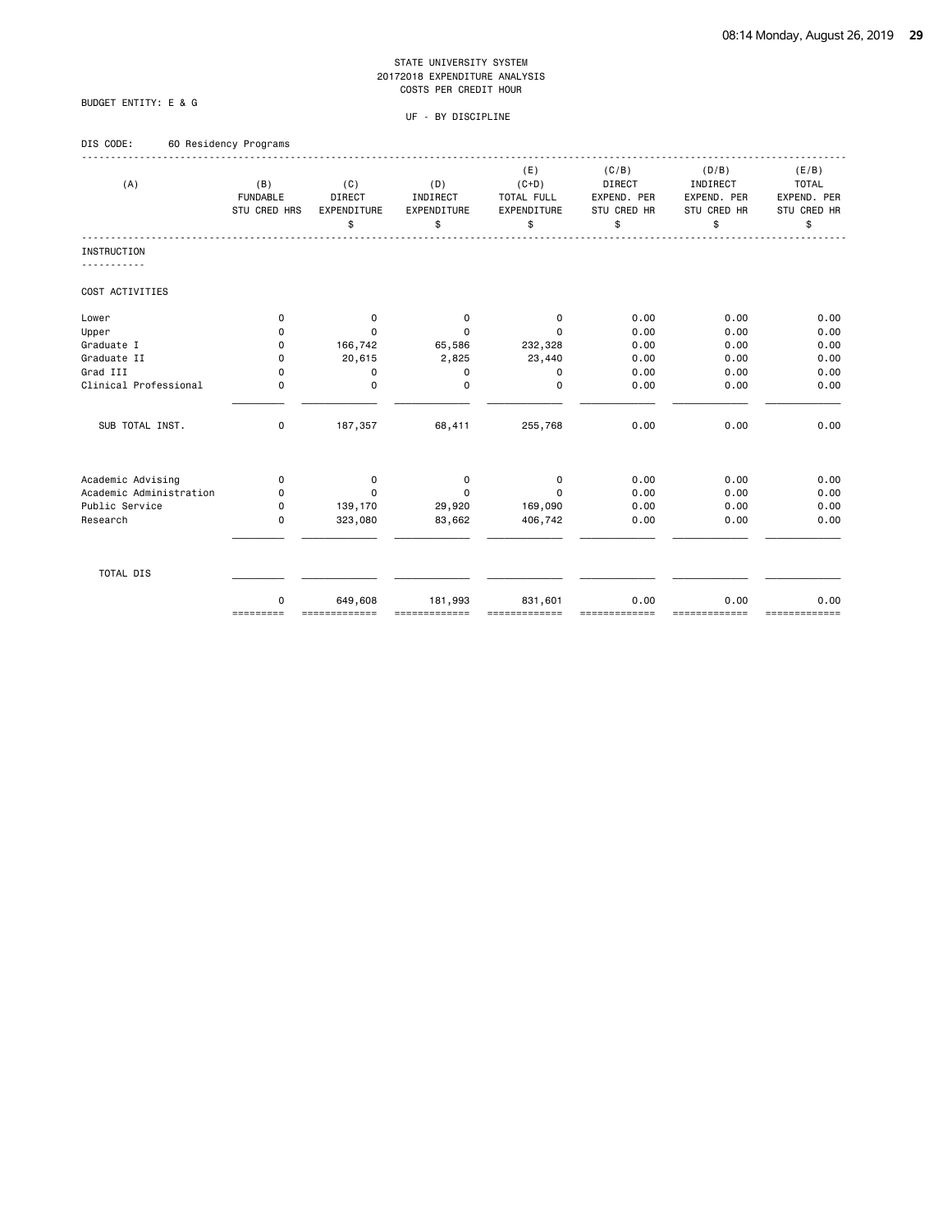# BUDGET ENTITY: E & G

| DIS CODE: | 60 Residency Programs |  |
|-----------|-----------------------|--|

|                         |                 |               |             | (E)         | (C/B)         | (D/B)       | (E/B)        |
|-------------------------|-----------------|---------------|-------------|-------------|---------------|-------------|--------------|
| (A)                     | (B)             | (C)           | (D)         | $(C+D)$     | <b>DIRECT</b> | INDIRECT    | <b>TOTAL</b> |
|                         | <b>FUNDABLE</b> | DIRECT        | INDIRECT    | TOTAL FULL  | EXPEND. PER   | EXPEND. PER | EXPEND. PER  |
|                         | STU CRED HRS    | EXPENDITURE   | EXPENDITURE | EXPENDITURE | STU CRED HR   | STU CRED HR | STU CRED HR  |
|                         |                 | \$            | \$          | \$          | \$            | \$          | \$           |
| <b>INSTRUCTION</b>      |                 |               |             |             |               |             |              |
| COST ACTIVITIES         |                 |               |             |             |               |             |              |
|                         |                 |               |             |             |               |             |              |
| Lower                   | 0               | 0             | 0           | 0           | 0.00          | 0.00        | 0.00         |
| Upper                   | 0               | $\Omega$      | $\Omega$    | $\Omega$    | 0.00          | 0.00        | 0.00         |
| Graduate I              | 0               | 166,742       | 65,586      | 232,328     | 0.00          | 0.00        | 0.00         |
| Graduate II             | 0               | 20,615        | 2,825       | 23,440      | 0.00          | 0.00        | 0.00         |
| Grad III                | 0               | 0             | $\mathbf 0$ | 0           | 0.00          | 0.00        | 0.00         |
| Clinical Professional   | 0               | $\mathbf 0$   | $\Omega$    | $\mathbf 0$ | 0.00          | 0.00        | 0.00         |
| SUB TOTAL INST.         | 0               | 187,357       | 68,411      | 255,768     | 0.00          | 0.00        | 0.00         |
| Academic Advising       | 0               |               | 0           | $\mathbf 0$ | 0.00          | 0.00        | 0.00         |
| Academic Administration | 0               | 0<br>$\Omega$ | $\Omega$    | $\Omega$    | 0.00          | 0.00        | 0.00         |
| Public Service          | 0               | 139,170       | 29,920      | 169,090     | 0.00          | 0.00        | 0.00         |
| Research                | 0               | 323,080       | 83,662      | 406,742     | 0.00          | 0.00        | 0.00         |
|                         |                 |               |             |             |               |             |              |
| TOTAL DIS               |                 |               |             |             |               |             |              |
|                         | 0               | 649,608       | 181,993     | 831,601     | 0.00          | 0.00        | 0.00         |
|                         | =========       | ==========    |             |             |               |             | ==========   |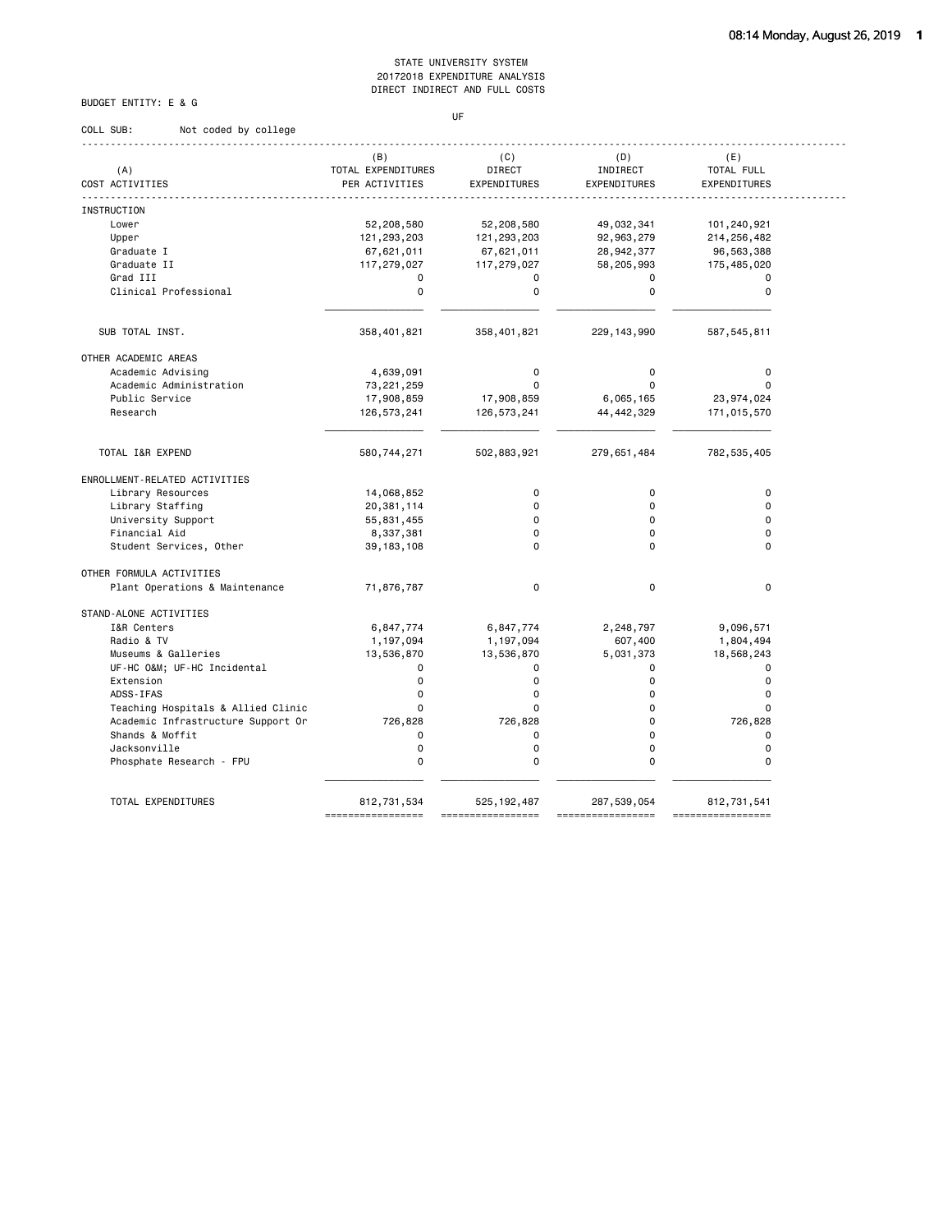# BUDGET ENTITY: E & G

#### **UF UF**

| COLL SUB:<br>Not coded by college  |                                             |                               |                                 |                                   |
|------------------------------------|---------------------------------------------|-------------------------------|---------------------------------|-----------------------------------|
| (A)<br>COST ACTIVITIES             | (B)<br>TOTAL EXPENDITURES<br>PER ACTIVITIES | (C)<br>DIRECT<br>EXPENDITURES | (D)<br>INDIRECT<br>EXPENDITURES | (E)<br>TOTAL FULL<br>EXPENDITURES |
|                                    |                                             |                               |                                 |                                   |
| <b>INSTRUCTION</b>                 |                                             |                               |                                 |                                   |
| Lower                              | 52,208,580                                  | 52,208,580                    | 49,032,341                      | 101,240,921                       |
| Upper                              | 121,293,203                                 | 121,293,203                   | 92,963,279                      | 214, 256, 482                     |
| Graduate I                         | 67,621,011                                  | 67,621,011                    | 28,942,377                      | 96,563,388                        |
| Graduate II                        | 117,279,027                                 | 117,279,027                   | 58,205,993                      | 175,485,020                       |
| Grad III                           | $\mathbf 0$                                 | $\mathbf 0$                   | 0                               | $\mathbf 0$                       |
| Clinical Professional              | $\mathbf 0$                                 | $\mathbf 0$                   | $\Omega$                        | $\mathbf 0$                       |
| SUB TOTAL INST.                    | 358,401,821                                 | 358,401,821                   | 229, 143, 990                   | 587,545,811                       |
|                                    |                                             |                               |                                 |                                   |
| OTHER ACADEMIC AREAS               |                                             |                               |                                 |                                   |
| Academic Advising                  | 4,639,091                                   | 0                             | 0                               | 0                                 |
| Academic Administration            | 73, 221, 259                                | $\Omega$                      | $\Omega$                        | $\Omega$                          |
| Public Service                     | 17,908,859                                  | 17,908,859                    | 6,065,165                       | 23, 974, 024                      |
| Research                           | 126,573,241                                 | 126,573,241                   | 44, 442, 329                    | 171,015,570                       |
| TOTAL I&R EXPEND                   | 580,744,271                                 | 502,883,921                   | 279,651,484                     | 782, 535, 405                     |
| ENROLLMENT-RELATED ACTIVITIES      |                                             |                               |                                 |                                   |
| Library Resources                  | 14,068,852                                  | $\mathbf 0$                   | $\mathbf 0$                     | $\mathbf 0$                       |
| Library Staffing                   | 20,381,114                                  | $\mathbf 0$                   | $\Omega$                        | $\mathbf 0$                       |
| University Support                 | 55,831,455                                  | 0                             | $\mathbf 0$                     | $\mathbf 0$                       |
| Financial Aid                      | 8,337,381                                   | $\Omega$                      | $\Omega$                        | $\Omega$                          |
| Student Services, Other            | 39, 183, 108                                | $\Omega$                      | $\Omega$                        | $\Omega$                          |
| OTHER FORMULA ACTIVITIES           |                                             |                               |                                 |                                   |
| Plant Operations & Maintenance     | 71,876,787                                  | $\mathbf 0$                   | 0                               | $\mathbf 0$                       |
| STAND-ALONE ACTIVITIES             |                                             |                               |                                 |                                   |
| I&R Centers                        | 6,847,774                                   | 6,847,774                     | 2,248,797                       | 9,096,571                         |
| Radio & TV                         | 1,197,094                                   | 1,197,094                     | 607,400                         | 1,804,494                         |
| Museums & Galleries                | 13,536,870                                  | 13,536,870                    | 5,031,373                       | 18,568,243                        |
| UF-HC O&M UF-HC Incidental         | $\Omega$                                    | $\Omega$                      | $\Omega$                        | $\mathbf 0$                       |
| Extension                          | $\mathbf 0$                                 | $\mathbf 0$                   | $\Omega$                        | $\mathbf 0$                       |
| ADSS-IFAS                          | $\mathbf 0$                                 | $\mathbf 0$                   | $\mathbf 0$                     | $\mathbf 0$                       |
| Teaching Hospitals & Allied Clinic | $\mathbf 0$                                 | $\Omega$                      | $\mathbf 0$                     | $\mathbf 0$                       |
| Academic Infrastructure Support Or | 726,828                                     | 726,828                       | 0                               | 726,828                           |
| Shands & Moffit                    | $\mathbf 0$                                 | 0                             | 0                               | $\mathbf 0$                       |
| Jacksonville                       | 0                                           | $\mathbf 0$                   | 0                               | 0                                 |
| Phosphate Research - FPU           | $\mathbf 0$                                 | $\Omega$                      | $\Omega$                        | $\Omega$                          |
|                                    |                                             |                               |                                 |                                   |

 TOTAL EXPENDITURES 812,731,534 525,192,487 287,539,054 812,731,541 ================= ================= ================= =================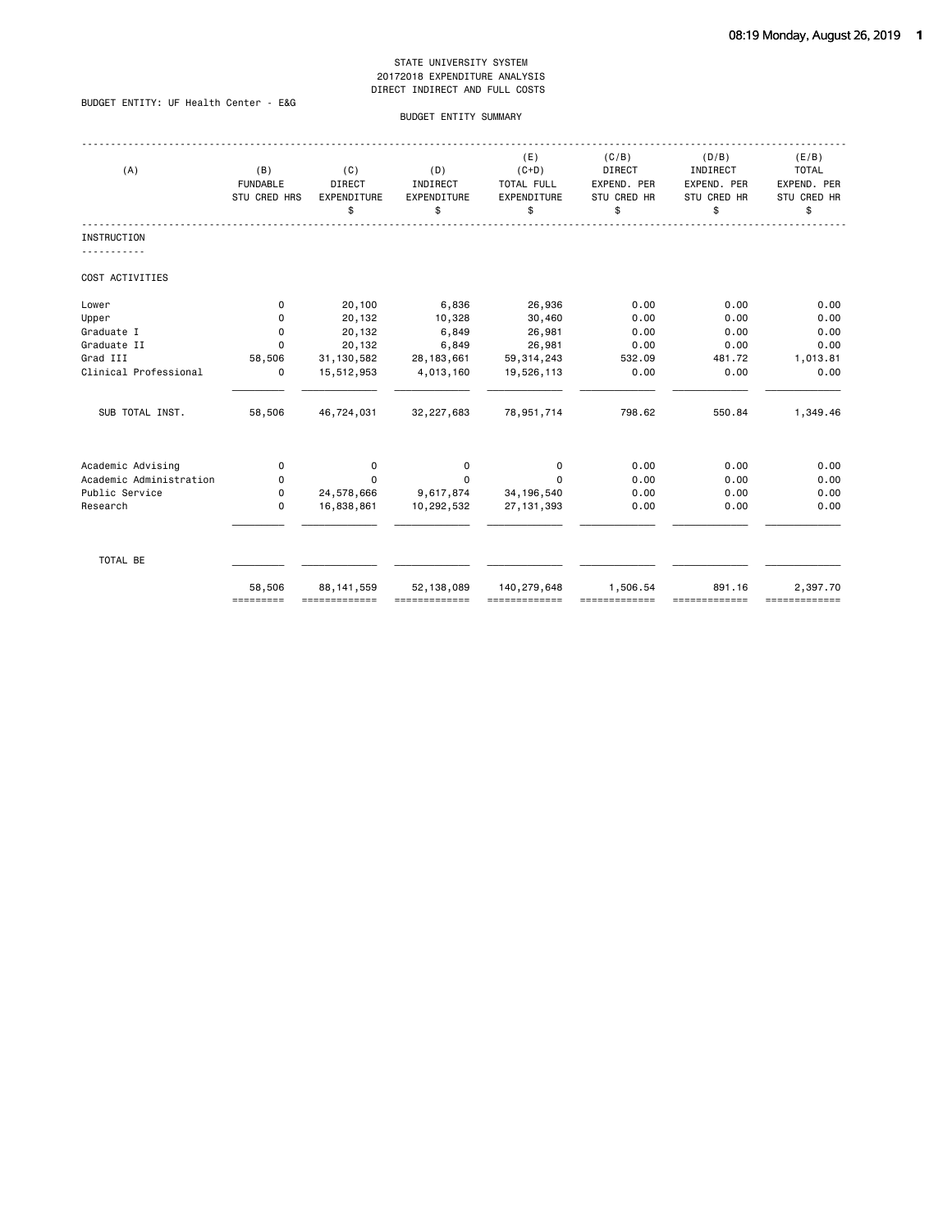# BUDGET ENTITY: UF Health Center - E&G

#### BUDGET ENTITY SUMMARY

| (A)                     | (B)<br><b>FUNDABLE</b><br>STU CRED HRS | (C)<br>DIRECT<br>EXPENDITURE<br>\$ | (D)<br>INDIRECT<br>EXPENDITURE<br>\$ | (E)<br>$(C+D)$<br>TOTAL FULL<br>EXPENDITURE<br>\$ | (C/B)<br>DIRECT<br>EXPEND. PER<br>STU CRED HR<br>\$ | (D/B)<br>INDIRECT<br>EXPEND. PER<br>STU CRED HR<br>\$ | (E/B)<br><b>TOTAL</b><br>EXPEND. PER<br>STU CRED HR<br>\$ |
|-------------------------|----------------------------------------|------------------------------------|--------------------------------------|---------------------------------------------------|-----------------------------------------------------|-------------------------------------------------------|-----------------------------------------------------------|
| <b>INSTRUCTION</b>      |                                        |                                    |                                      |                                                   |                                                     |                                                       |                                                           |
| COST ACTIVITIES         |                                        |                                    |                                      |                                                   |                                                     |                                                       |                                                           |
| Lower                   | 0                                      | 20,100                             | 6,836                                | 26,936                                            | 0.00                                                | 0.00                                                  | 0.00                                                      |
| Upper                   | $\Omega$                               | 20,132                             | 10,328                               | 30,460                                            | 0.00                                                | 0.00                                                  | 0.00                                                      |
| Graduate I              | 0                                      | 20,132                             | 6,849                                | 26,981                                            | 0.00                                                | 0.00                                                  | 0.00                                                      |
| Graduate II             | $\Omega$                               | 20,132                             | 6,849                                | 26,981                                            | 0.00                                                | 0.00                                                  | 0.00                                                      |
| Grad III                | 58,506                                 | 31, 130, 582                       | 28, 183, 661                         | 59, 314, 243                                      | 532.09                                              | 481.72                                                | 1,013.81                                                  |
| Clinical Professional   | 0                                      | 15,512,953                         | 4,013,160                            | 19,526,113                                        | 0.00                                                | 0.00                                                  | 0.00                                                      |
| SUB TOTAL INST.         | 58,506                                 | 46,724,031                         | 32,227,683                           | 78,951,714                                        | 798.62                                              | 550.84                                                | 1,349.46                                                  |
| Academic Advising       | 0                                      | 0                                  | 0                                    | 0                                                 | 0.00                                                | 0.00                                                  | 0.00                                                      |
| Academic Administration | 0                                      | $\Omega$                           | $\Omega$                             | $\Omega$                                          | 0.00                                                | 0.00                                                  | 0.00                                                      |
| Public Service          | 0                                      | 24,578,666                         | 9,617,874                            | 34, 196, 540                                      | 0.00                                                | 0.00                                                  | 0.00                                                      |
| Research                | $\Omega$                               | 16,838,861                         | 10,292,532                           | 27, 131, 393                                      | 0.00                                                | 0.00                                                  | 0.00                                                      |
| TOTAL BE                |                                        |                                    |                                      |                                                   |                                                     |                                                       |                                                           |
|                         | 58,506<br>=========                    | 88, 141, 559<br>=============      | 52, 138, 089                         | 140,279,648                                       | 1,506.54                                            | 891.16                                                | 2,397.70<br>=============                                 |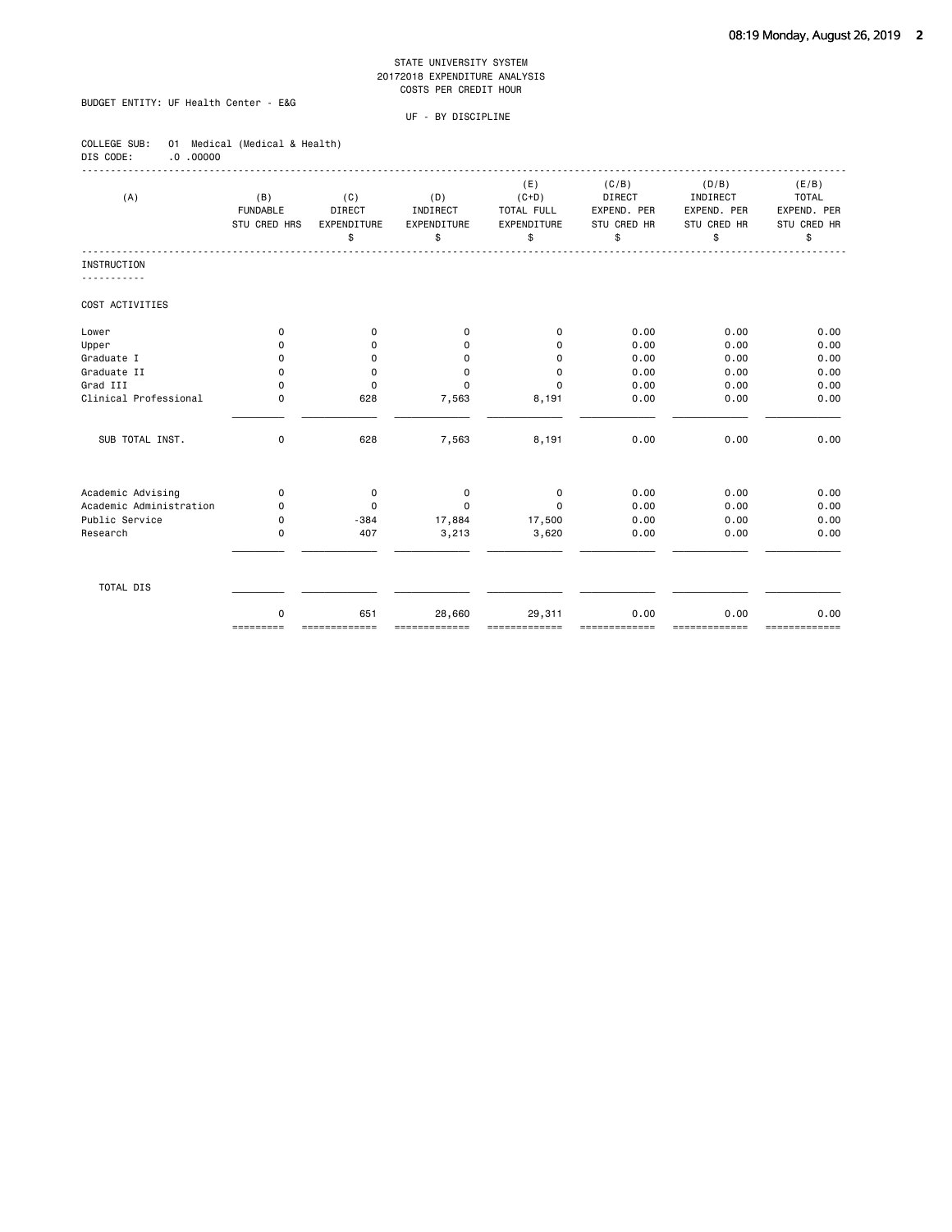# BUDGET ENTITY: UF Health Center - E&G

COLLEGE SUB: 01 Medical (Medical & Health)

| DIS CODE:<br>$0.00000$ . |                                        |                                           |                                      |                                                   |                                                     |                                                       |                                                           |
|--------------------------|----------------------------------------|-------------------------------------------|--------------------------------------|---------------------------------------------------|-----------------------------------------------------|-------------------------------------------------------|-----------------------------------------------------------|
| (A)                      | (B)<br><b>FUNDABLE</b><br>STU CRED HRS | (C)<br><b>DIRECT</b><br>EXPENDITURE<br>\$ | (D)<br>INDIRECT<br>EXPENDITURE<br>\$ | (E)<br>$(C+D)$<br>TOTAL FULL<br>EXPENDITURE<br>\$ | (C/B)<br>DIRECT<br>EXPEND. PER<br>STU CRED HR<br>\$ | (D/B)<br>INDIRECT<br>EXPEND. PER<br>STU CRED HR<br>\$ | (E/B)<br><b>TOTAL</b><br>EXPEND. PER<br>STU CRED HR<br>\$ |
| <b>INSTRUCTION</b>       |                                        |                                           |                                      |                                                   |                                                     |                                                       |                                                           |
| COST ACTIVITIES          |                                        |                                           |                                      |                                                   |                                                     |                                                       |                                                           |
| Lower                    | $\mathbf 0$                            | 0                                         | 0                                    | 0                                                 | 0.00                                                | 0.00                                                  | 0.00                                                      |
| Upper                    | 0                                      | $\mathbf 0$                               | 0                                    | $\mathbf 0$                                       | 0.00                                                | 0.00                                                  | 0.00                                                      |
| Graduate I               | $\mathbf 0$                            | 0                                         | $\mathbf 0$                          | $\mathbf 0$                                       | 0.00                                                | 0.00                                                  | 0.00                                                      |
| Graduate II              | $\mathbf 0$                            | $\mathbf 0$                               | 0                                    | $\mathbf 0$                                       | 0.00                                                | 0.00                                                  | 0.00                                                      |
| Grad III                 | $\Omega$                               | 0                                         | $\Omega$                             | $\mathbf 0$                                       | 0.00                                                | 0.00                                                  | 0.00                                                      |
| Clinical Professional    | $\mathbf 0$                            | 628                                       | 7,563                                | 8,191                                             | 0.00                                                | 0.00                                                  | 0.00                                                      |
| SUB TOTAL INST.          | 0                                      | 628                                       | 7,563                                | 8,191                                             | 0.00                                                | 0.00                                                  | 0.00                                                      |
| Academic Advising        | 0                                      | $\mathbf 0$                               | 0                                    | 0                                                 | 0.00                                                | 0.00                                                  | 0.00                                                      |
| Academic Administration  | $\mathbf 0$                            | 0                                         | $\mathbf 0$                          | $\mathbf 0$                                       | 0.00                                                | 0.00                                                  | 0.00                                                      |
| Public Service           | $\Omega$                               | $-384$                                    | 17,884                               | 17,500                                            | 0.00                                                | 0.00                                                  | 0.00                                                      |
| Research                 | $\mathbf 0$                            | 407                                       | 3,213                                | 3,620                                             | 0.00                                                | 0.00                                                  | 0.00                                                      |
| TOTAL DIS                |                                        |                                           |                                      |                                                   |                                                     |                                                       |                                                           |
|                          | $\Omega$<br>=========                  | 651<br>=============                      | 28,660<br>=============              | 29,311<br>-------------                           | 0.00<br>==========                                  | 0.00<br>-------------                                 | 0.00<br>=============                                     |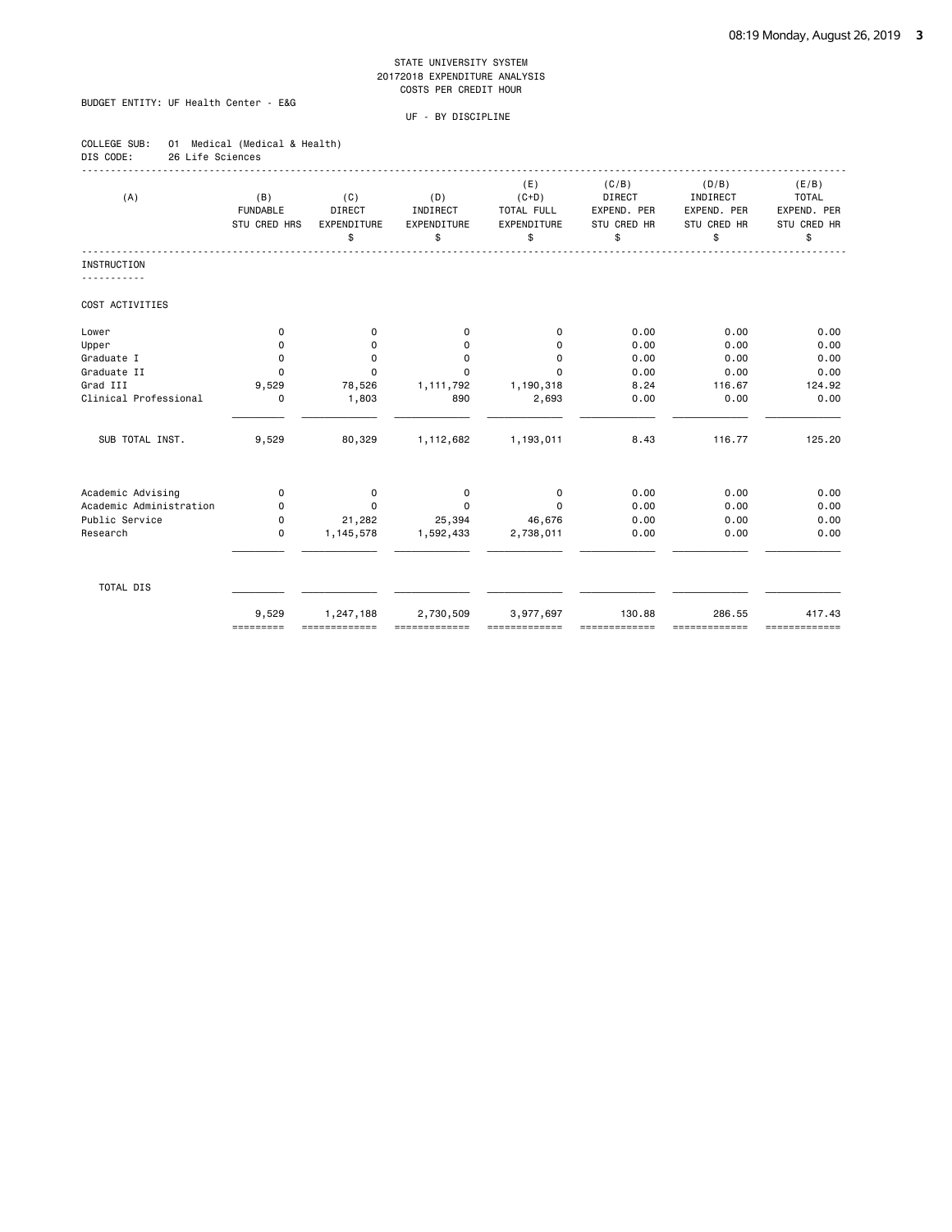# BUDGET ENTITY: UF Health Center - E&G

| COLLEGE SUB: |                  | 01 Medical (Medical & Health) |
|--------------|------------------|-------------------------------|
| DIS CODE:    | 26 Life Sciences |                               |

| (A)                     | (B)<br><b>FUNDABLE</b><br><b>STU CRED HRS</b> | (C)<br><b>DIRECT</b><br>EXPENDITURE<br>\$ | (D)<br>INDIRECT<br>EXPENDITURE<br>\$ | (E)<br>$(C+D)$<br><b>TOTAL FULL</b><br>EXPENDITURE<br>\$ | (C/B)<br>DIRECT<br>EXPEND, PER<br><b>STU CRED HR</b><br>\$ | (D/B)<br>INDIRECT<br>EXPEND, PER<br>STU CRED HR<br>\$ | (E/B)<br><b>TOTAL</b><br>EXPEND, PER<br>STU CRED HR<br>\$ |
|-------------------------|-----------------------------------------------|-------------------------------------------|--------------------------------------|----------------------------------------------------------|------------------------------------------------------------|-------------------------------------------------------|-----------------------------------------------------------|
| INSTRUCTION             |                                               |                                           |                                      |                                                          |                                                            |                                                       |                                                           |
| COST ACTIVITIES         |                                               |                                           |                                      |                                                          |                                                            |                                                       |                                                           |
| Lower                   | $\mathbf 0$                                   | $\mathbf 0$                               | $\mathbf 0$                          | $\mathbf 0$                                              | 0.00                                                       | 0.00                                                  | 0.00                                                      |
| Upper                   | 0                                             | 0                                         | $\mathbf 0$                          | $\Omega$                                                 | 0.00                                                       | 0.00                                                  | 0.00                                                      |
| Graduate I              | 0                                             | 0                                         | 0                                    | $\Omega$                                                 | 0.00                                                       | 0.00                                                  | 0.00                                                      |
| Graduate II             | 0                                             | $\Omega$                                  | $\Omega$                             | $\Omega$                                                 | 0.00                                                       | 0.00                                                  | 0.00                                                      |
| Grad III                | 9,529                                         | 78,526                                    | 1,111,792                            | 1,190,318                                                | 8.24                                                       | 116.67                                                | 124.92                                                    |
| Clinical Professional   | 0                                             | 1,803                                     | 890                                  | 2,693                                                    | 0.00                                                       | 0.00                                                  | 0.00                                                      |
| SUB TOTAL INST.         | 9,529                                         | 80,329                                    | 1,112,682                            | 1,193,011                                                | 8.43                                                       | 116.77                                                | 125.20                                                    |
| Academic Advising       | $\mathbf 0$                                   | $\mathbf 0$                               | $\mathbf 0$                          | $\mathbf 0$                                              | 0.00                                                       | 0.00                                                  | 0.00                                                      |
| Academic Administration | 0                                             | $\Omega$                                  | $\mathbf 0$                          | $\Omega$                                                 | 0.00                                                       | 0.00                                                  | 0.00                                                      |
| Public Service          | $\mathbf 0$                                   | 21,282                                    | 25,394                               | 46,676                                                   | 0.00                                                       | 0.00                                                  | 0.00                                                      |
| Research                | $\mathbf 0$                                   | 1,145,578                                 | 1,592,433                            | 2,738,011                                                | 0.00                                                       | 0.00                                                  | 0.00                                                      |
| TOTAL DIS               |                                               |                                           |                                      |                                                          |                                                            |                                                       |                                                           |
|                         | 9,529<br>=========                            | 1,247,188                                 | 2,730,509                            | 3,977,697                                                | 130.88                                                     | 286.55<br>===========                                 | 417.43<br>-------------                                   |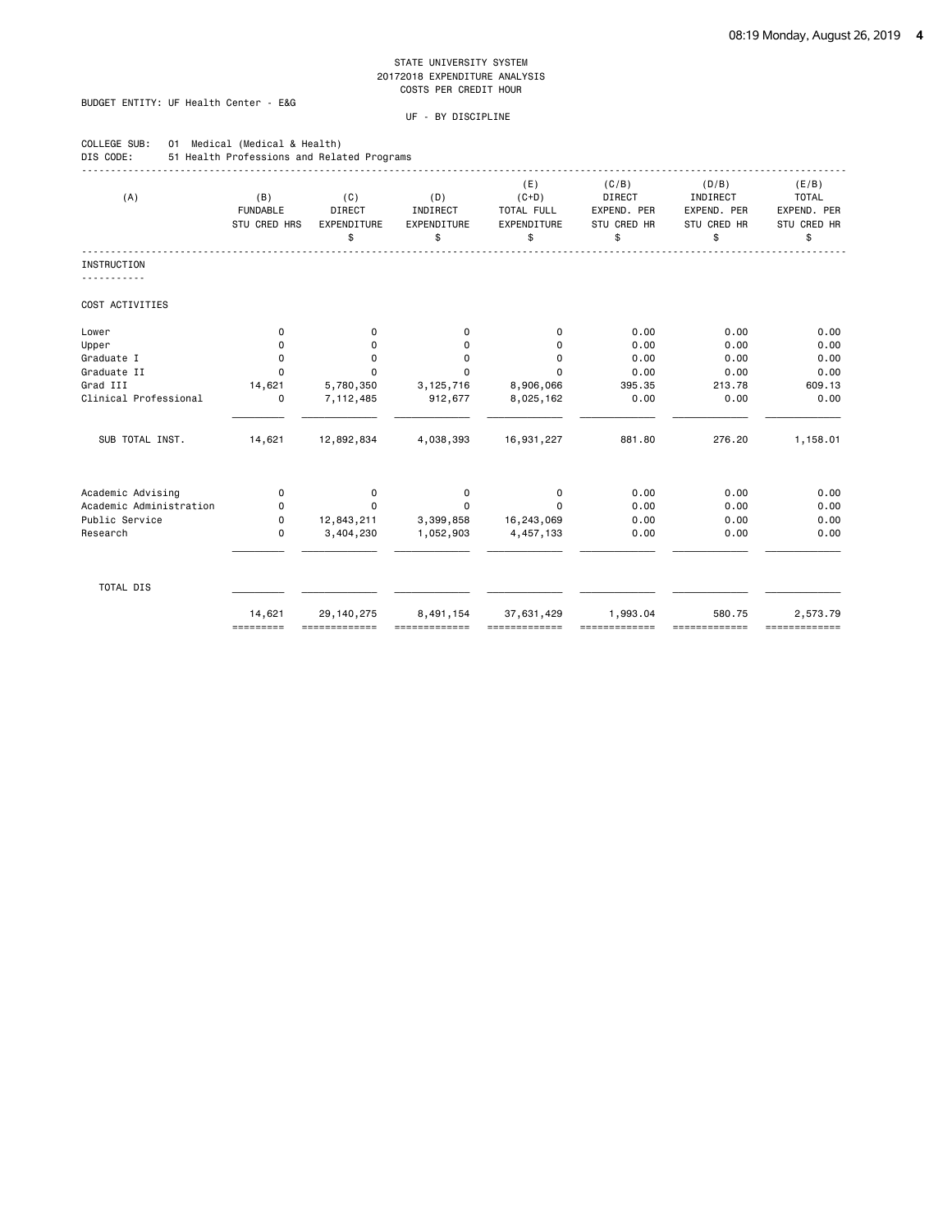# BUDGET ENTITY: UF Health Center - E&G

| COLLEGE SUB:<br>DIS CODE: | 01 Medical (Medical & Health)<br>51 Health Professions and Related Programs |                                           |                                      |                                                   |                                                     |                                                       |                                                           |
|---------------------------|-----------------------------------------------------------------------------|-------------------------------------------|--------------------------------------|---------------------------------------------------|-----------------------------------------------------|-------------------------------------------------------|-----------------------------------------------------------|
| (A)                       | (B)<br><b>FUNDABLE</b><br><b>STU CRED HRS</b>                               | (C)<br><b>DIRECT</b><br>EXPENDITURE<br>\$ | (D)<br>INDIRECT<br>EXPENDITURE<br>\$ | (E)<br>$(C+D)$<br>TOTAL FULL<br>EXPENDITURE<br>\$ | (C/B)<br>DIRECT<br>EXPEND. PER<br>STU CRED HR<br>\$ | (D/B)<br>INDIRECT<br>EXPEND. PER<br>STU CRED HR<br>\$ | (E/B)<br><b>TOTAL</b><br>EXPEND. PER<br>STU CRED HR<br>\$ |
| <b>INSTRUCTION</b>        |                                                                             |                                           |                                      |                                                   |                                                     |                                                       |                                                           |
| <u>.</u>                  |                                                                             |                                           |                                      |                                                   |                                                     |                                                       |                                                           |
| COST ACTIVITIES           |                                                                             |                                           |                                      |                                                   |                                                     |                                                       |                                                           |
| Lower                     | 0                                                                           | 0                                         | 0                                    | 0                                                 | 0.00                                                | 0.00                                                  | 0.00                                                      |
| Upper                     | 0                                                                           | 0                                         | 0                                    | $\Omega$                                          | 0.00                                                | 0.00                                                  | 0.00                                                      |
| Graduate I                | 0                                                                           | 0                                         | 0                                    | $\mathbf 0$                                       | 0.00                                                | 0.00                                                  | 0.00                                                      |
| Graduate II               | $\Omega$                                                                    | $\Omega$                                  | $\Omega$                             | $\Omega$                                          | 0.00                                                | 0.00                                                  | 0.00                                                      |
| Grad III                  | 14,621                                                                      | 5,780,350                                 | 3, 125, 716                          | 8,906,066                                         | 395.35                                              | 213.78                                                | 609.13                                                    |
| Clinical Professional     | 0                                                                           | 7,112,485                                 | 912,677                              | 8,025,162                                         | 0.00                                                | 0.00                                                  | 0.00                                                      |
| SUB TOTAL INST.           | 14,621                                                                      | 12,892,834                                | 4,038,393                            | 16,931,227                                        | 881.80                                              | 276.20                                                | 1,158.01                                                  |
| Academic Advising         | 0                                                                           | 0                                         | 0                                    | 0                                                 | 0.00                                                | 0.00                                                  | 0.00                                                      |
| Academic Administration   | $\Omega$                                                                    | $\Omega$                                  | $\Omega$                             | $\Omega$                                          | 0.00                                                | 0.00                                                  | 0.00                                                      |
| Public Service            | $\mathbf 0$                                                                 | 12,843,211                                | 3,399,858                            | 16,243,069                                        | 0.00                                                | 0.00                                                  | 0.00                                                      |
| Research                  | 0                                                                           | 3,404,230                                 | 1,052,903                            | 4,457,133                                         | 0.00                                                | 0.00                                                  | 0.00                                                      |
| TOTAL DIS                 |                                                                             |                                           |                                      |                                                   |                                                     |                                                       |                                                           |
|                           | 14,621<br>=========                                                         | 29, 140, 275                              | 8,491,154                            | 37,631,429                                        | 1,993.04                                            | 580.75                                                | 2,573.79<br>=============                                 |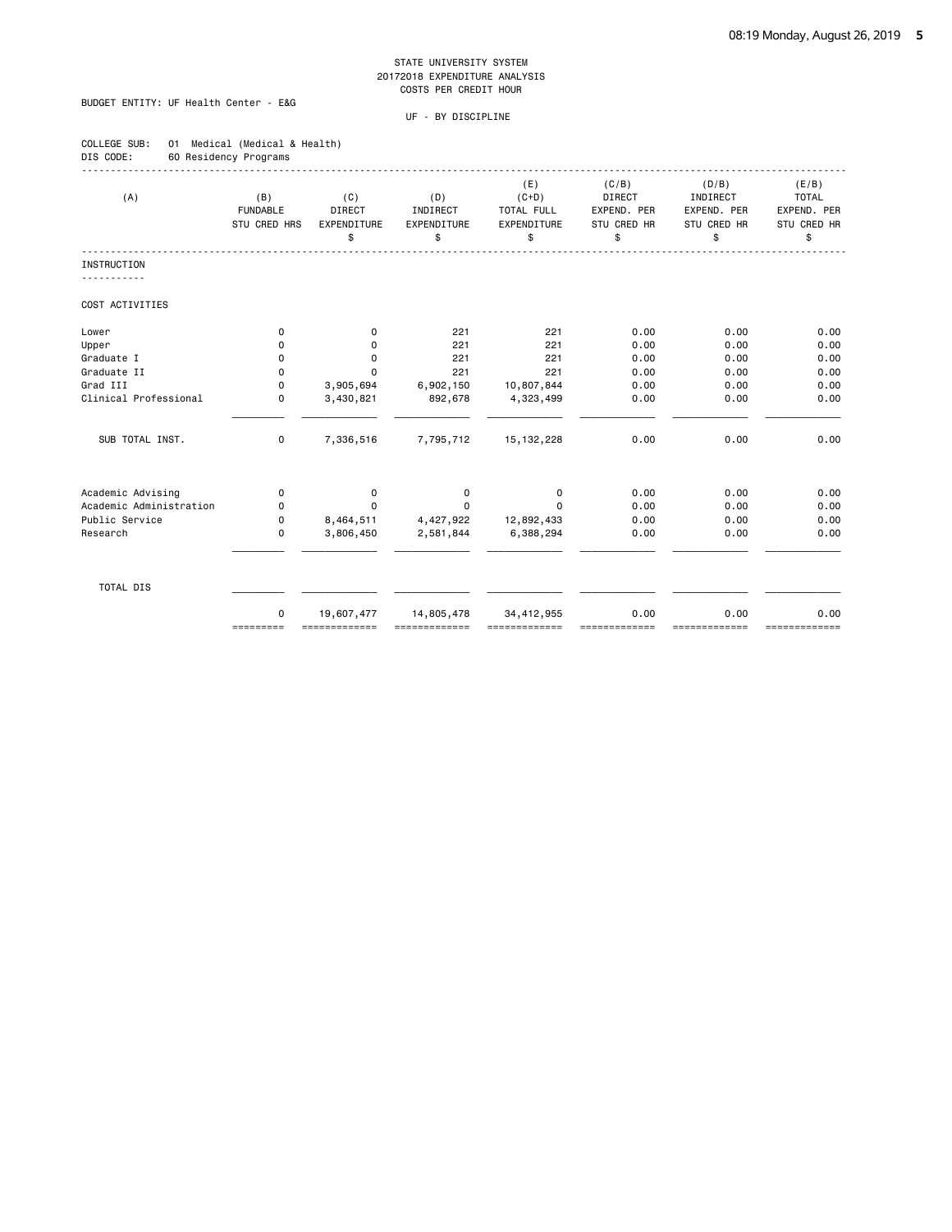# BUDGET ENTITY: UF Health Center - E&G

| COLLEGE SUB: |                       | 01 Medical (Medical & Health) |
|--------------|-----------------------|-------------------------------|
| DIS CODE:    | 60 Residency Programs |                               |

| (A)                     | (B)<br><b>FUNDABLE</b><br>STU CRED HRS | (C)<br>DIRECT<br>EXPENDITURE<br>\$ | (D)<br>INDIRECT<br>EXPENDITURE<br>\$ | (E)<br>$(C+D)$<br>TOTAL FULL<br>EXPENDITURE<br>\$ | (C/B)<br>DIRECT<br>EXPEND. PER<br>STU CRED HR<br>\$ | (D/B)<br>INDIRECT<br>EXPEND, PER<br>STU CRED HR<br>\$ | (E/B)<br><b>TOTAL</b><br>EXPEND. PER<br>STU CRED HR<br>\$ |
|-------------------------|----------------------------------------|------------------------------------|--------------------------------------|---------------------------------------------------|-----------------------------------------------------|-------------------------------------------------------|-----------------------------------------------------------|
| <b>INSTRUCTION</b>      |                                        |                                    |                                      |                                                   |                                                     |                                                       |                                                           |
| COST ACTIVITIES         |                                        |                                    |                                      |                                                   |                                                     |                                                       |                                                           |
| Lower                   | 0                                      | 0                                  | 221                                  | 221                                               | 0.00                                                | 0.00                                                  | 0.00                                                      |
| Upper                   | 0                                      | 0                                  | 221                                  | 221                                               | 0.00                                                | 0.00                                                  | 0.00                                                      |
| Graduate I              | 0                                      | 0                                  | 221                                  | 221                                               | 0.00                                                | 0.00                                                  | 0.00                                                      |
| Graduate II             | 0                                      | $\Omega$                           | 221                                  | 221                                               | 0.00                                                | 0.00                                                  | 0.00                                                      |
| Grad III                | 0                                      | 3,905,694                          | 6,902,150                            | 10,807,844                                        | 0.00                                                | 0.00                                                  | 0.00                                                      |
| Clinical Professional   | $\Omega$                               | 3,430,821                          | 892,678                              | 4,323,499                                         | 0.00                                                | 0.00                                                  | 0.00                                                      |
| SUB TOTAL INST.         | 0                                      | 7,336,516                          | 7,795,712                            | 15, 132, 228                                      | 0.00                                                | 0.00                                                  | 0.00                                                      |
| Academic Advising       | $\mathbf 0$                            | 0                                  | 0                                    | $\mathbf 0$                                       | 0.00                                                | 0.00                                                  | 0.00                                                      |
| Academic Administration | 0                                      | 0                                  | 0                                    | $\Omega$                                          | 0.00                                                | 0.00                                                  | 0.00                                                      |
| Public Service          | 0                                      | 8,464,511                          | 4,427,922                            | 12,892,433                                        | 0.00                                                | 0.00                                                  | 0.00                                                      |
| Research                | $\mathbf 0$                            | 3,806,450                          | 2,581,844                            | 6,388,294                                         | 0.00                                                | 0.00                                                  | 0.00                                                      |
| TOTAL DIS               |                                        |                                    |                                      |                                                   |                                                     |                                                       |                                                           |
|                         | $\mathbf 0$<br>=========               | 19,607,477                         | 14,805,478                           | 34,412,955                                        | 0.00                                                | 0.00<br>=======                                       | 0.00<br>=============                                     |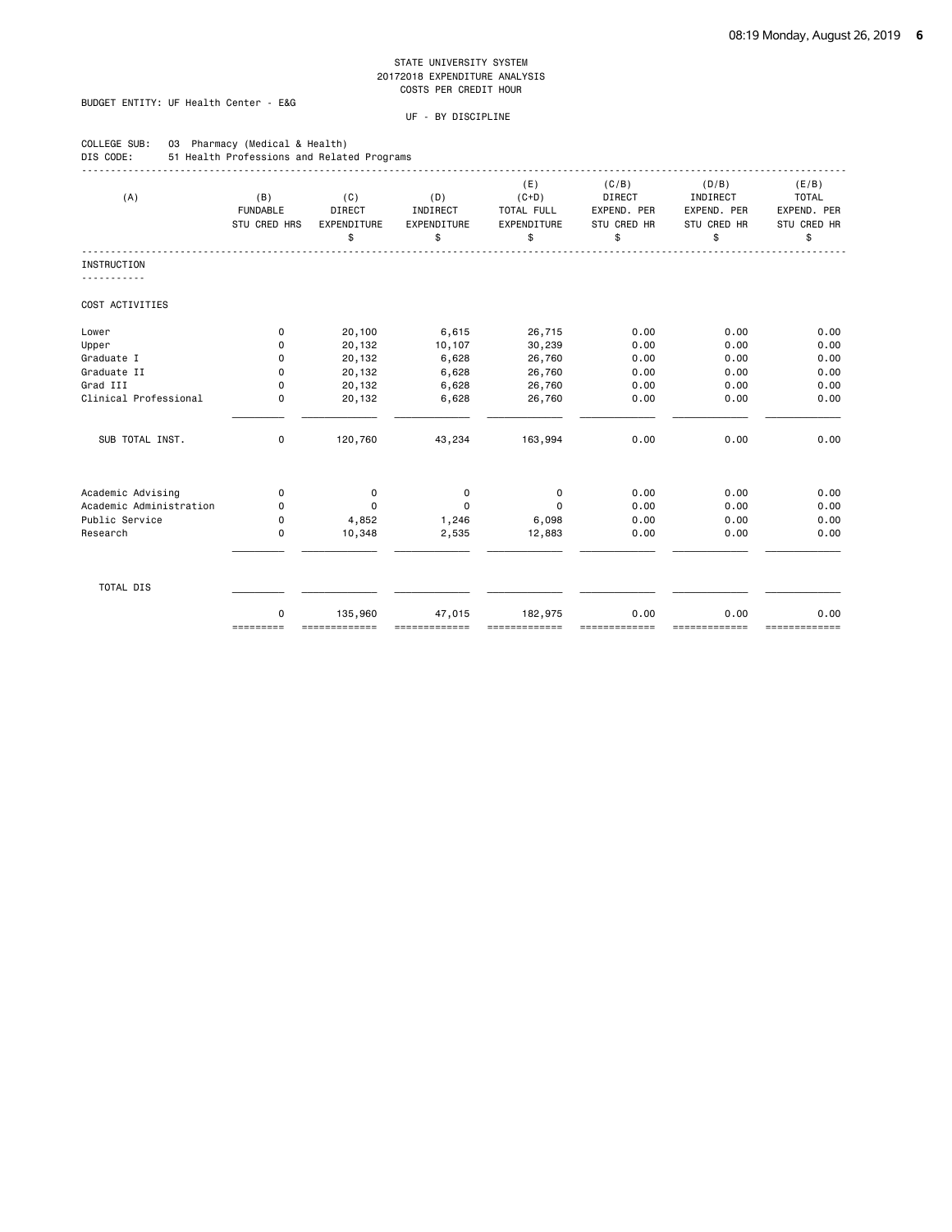# BUDGET ENTITY: UF Health Center - E&G

COLLEGE SUB: 03 Pharmacy (Medical & Health)

| DIS CODE:                                    | 51 Health Professions and Related Programs |                                           |                                      |                                                   |                                                            |                                                       |                                                           |
|----------------------------------------------|--------------------------------------------|-------------------------------------------|--------------------------------------|---------------------------------------------------|------------------------------------------------------------|-------------------------------------------------------|-----------------------------------------------------------|
| (A)                                          | (B)<br><b>FUNDABLE</b><br>STU CRED HRS     | (C)<br><b>DIRECT</b><br>EXPENDITURE<br>\$ | (D)<br>INDIRECT<br>EXPENDITURE<br>\$ | (E)<br>$(C+D)$<br>TOTAL FULL<br>EXPENDITURE<br>\$ | (C/B)<br><b>DIRECT</b><br>EXPEND. PER<br>STU CRED HR<br>\$ | (D/B)<br>INDIRECT<br>EXPEND. PER<br>STU CRED HR<br>\$ | (E/B)<br><b>TOTAL</b><br>EXPEND. PER<br>STU CRED HR<br>\$ |
| <b>INSTRUCTION</b>                           |                                            |                                           |                                      |                                                   |                                                            |                                                       |                                                           |
|                                              |                                            |                                           |                                      |                                                   |                                                            |                                                       |                                                           |
| COST ACTIVITIES                              |                                            |                                           |                                      |                                                   |                                                            |                                                       |                                                           |
| Lower                                        | 0                                          | 20,100                                    | 6,615                                | 26,715                                            | 0.00                                                       | 0.00                                                  | 0.00                                                      |
| Upper                                        | 0                                          | 20,132                                    | 10,107                               | 30,239                                            | 0.00                                                       | 0.00                                                  | 0.00                                                      |
| Graduate I                                   | 0                                          | 20,132                                    | 6,628                                | 26,760                                            | 0.00                                                       | 0.00                                                  | 0.00                                                      |
| Graduate II                                  | 0                                          | 20,132                                    | 6,628                                | 26,760                                            | 0.00                                                       | 0.00                                                  | 0.00                                                      |
| Grad III                                     | 0                                          | 20,132                                    | 6,628                                | 26,760                                            | 0.00                                                       | 0.00                                                  | 0.00                                                      |
| Clinical Professional                        | 0                                          | 20,132                                    | 6,628                                | 26,760                                            | 0.00                                                       | 0.00                                                  | 0.00                                                      |
| SUB TOTAL INST.                              | $\mathbf 0$                                | 120,760                                   | 43,234                               | 163,994                                           | 0.00                                                       | 0.00                                                  | 0.00                                                      |
|                                              |                                            |                                           |                                      |                                                   |                                                            |                                                       |                                                           |
| Academic Advising<br>Academic Administration | 0<br>0                                     | $\mathbf 0$<br>$\mathbf 0$                | $\mathbf 0$<br>$\mathbf 0$           | $\mathbf 0$<br>$\mathbf 0$                        | 0.00<br>0.00                                               | 0.00<br>0.00                                          | 0.00<br>0.00                                              |
| Public Service                               | 0                                          | 4,852                                     | 1,246                                | 6,098                                             | 0.00                                                       | 0.00                                                  | 0.00                                                      |
| Research                                     | 0                                          | 10,348                                    | 2,535                                | 12,883                                            | 0.00                                                       | 0.00                                                  | 0.00                                                      |
|                                              |                                            |                                           |                                      |                                                   |                                                            |                                                       |                                                           |
| TOTAL DIS                                    |                                            |                                           |                                      |                                                   |                                                            |                                                       |                                                           |
|                                              | 0<br>=========                             | 135,960<br>=============                  | 47,015                               | 182,975<br>==========                             | 0.00                                                       | 0.00<br>============                                  | 0.00<br>=============                                     |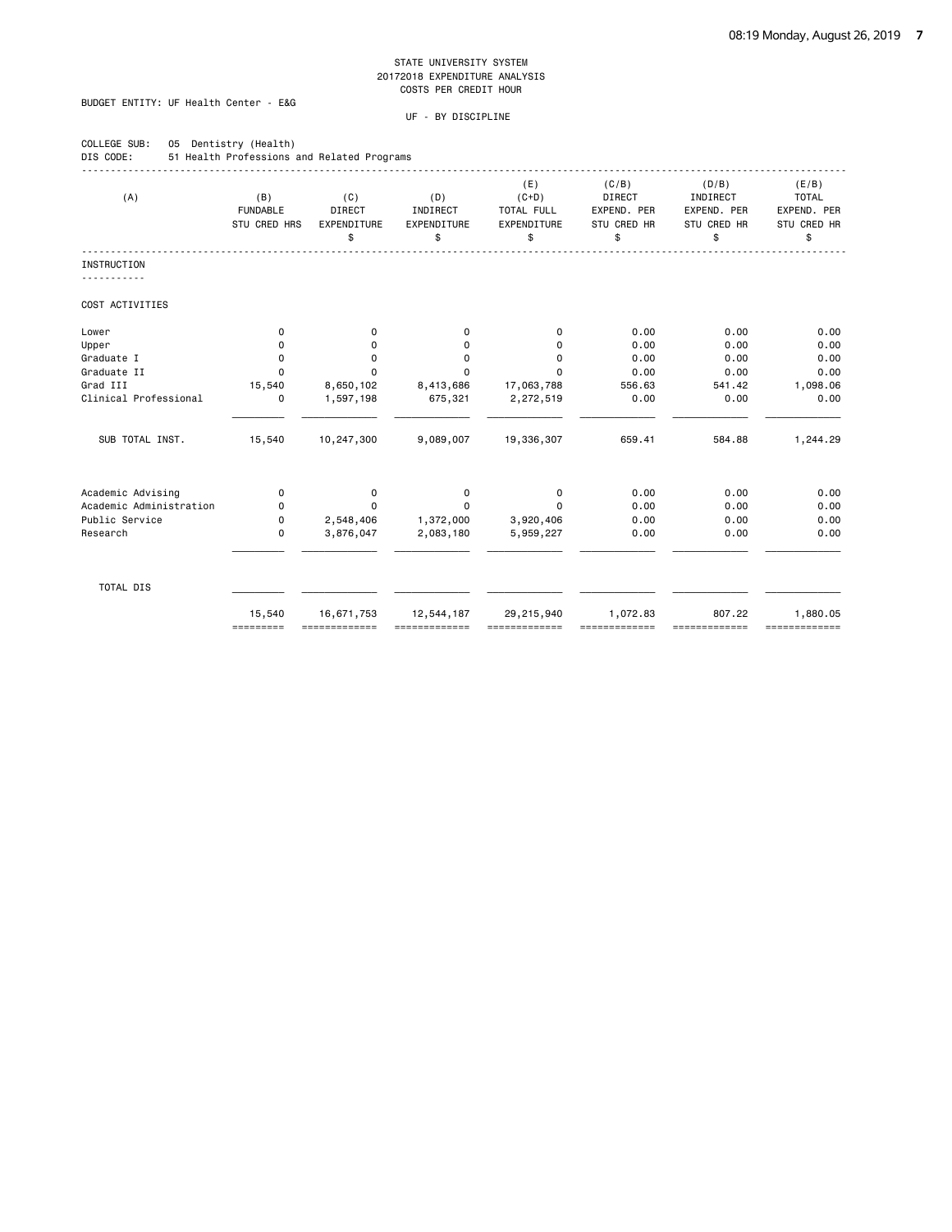# BUDGET ENTITY: UF Health Center - E&G

COLLEGE SUB: 05 Dentistry (Health)

| (A)                     | (B)             | (C)         | (D)         | (E)<br>$(C+D)$ | (C/B)<br><b>DIRECT</b> | (D/B)<br>INDIRECT | (E/B)<br><b>TOTAL</b> |
|-------------------------|-----------------|-------------|-------------|----------------|------------------------|-------------------|-----------------------|
|                         | <b>FUNDABLE</b> | DIRECT      | INDIRECT    | TOTAL FULL     | EXPEND. PER            | EXPEND. PER       | EXPEND. PER           |
|                         | STU CRED HRS    | EXPENDITURE | EXPENDITURE | EXPENDITURE    | STU CRED HR            | STU CRED HR       | STU CRED HR           |
|                         |                 | \$          | \$          | \$             | \$                     | \$                | \$                    |
| <b>INSTRUCTION</b>      |                 |             |             |                |                        |                   |                       |
| COST ACTIVITIES         |                 |             |             |                |                        |                   |                       |
| Lower                   | 0               | 0           | 0           | $\Omega$       | 0.00                   | 0.00              | 0.00                  |
| Upper                   | 0               | 0           | $\mathbf 0$ | 0              | 0.00                   | 0.00              | 0.00                  |
| Graduate I              | 0               | 0           | $\Omega$    | $\mathbf 0$    | 0.00                   | 0.00              | 0.00                  |
| Graduate II             | $\Omega$        | $\mathbf 0$ | $\Omega$    | 0              | 0.00                   | 0.00              | 0.00                  |
| Grad III                | 15,540          | 8,650,102   | 8,413,686   | 17,063,788     | 556.63                 | 541.42            | 1,098.06              |
| Clinical Professional   | 0               | 1,597,198   | 675,321     | 2,272,519      | 0.00                   | 0.00              | 0.00                  |
| SUB TOTAL INST.         | 15,540          | 10,247,300  | 9,089,007   | 19,336,307     | 659.41                 | 584.88            | 1,244.29              |
| Academic Advising       | 0               | 0           | $\mathbf 0$ | $\mathsf 0$    | 0.00                   | 0.00              | 0.00                  |
| Academic Administration | 0               | $\Omega$    | $\Omega$    | $\Omega$       | 0.00                   | 0.00              | 0.00                  |
| Public Service          | 0               | 2,548,406   | 1,372,000   | 3,920,406      | 0.00                   | 0.00              | 0.00                  |
| Research                | 0               | 3,876,047   | 2,083,180   | 5,959,227      | 0.00                   | 0.00              | 0.00                  |
| TOTAL DIS               |                 |             |             |                |                        |                   |                       |
|                         | 15,540          | 16,671,753  | 12,544,187  | 29,215,940     | 1,072.83               | 807.22            | 1,880.05              |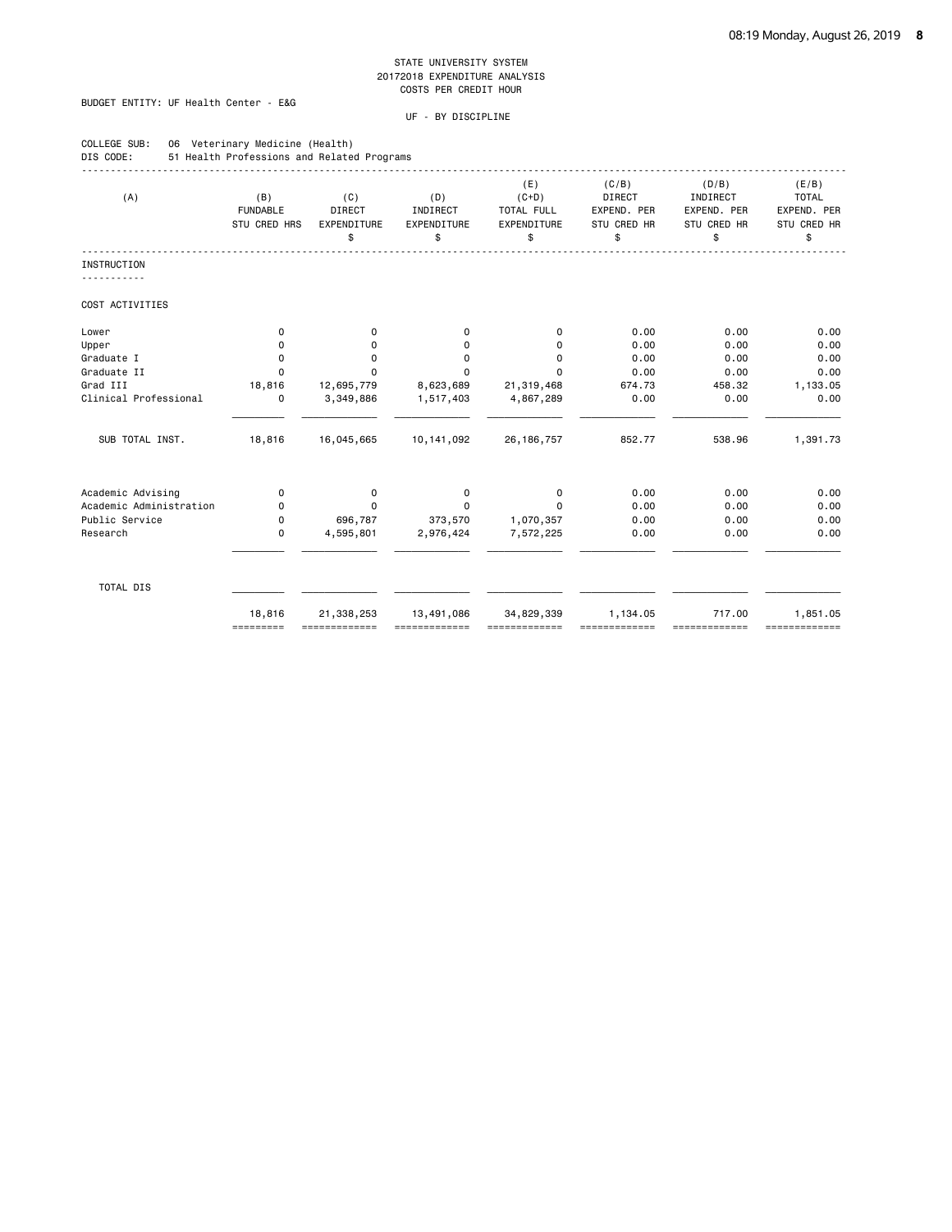# BUDGET ENTITY: UF Health Center - E&G

COLLEGE SUB: 06 Veterinary Medicine (Health)

| (A)                     | (B)<br><b>FUNDABLE</b><br>STU CRED HRS | (C)<br>DIRECT<br>EXPENDITURE<br>\$ | (D)<br>INDIRECT<br>EXPENDITURE<br>\$ | (E)<br>$(C+D)$<br>TOTAL FULL<br>EXPENDITURE<br>\$ | (C/B)<br>DIRECT<br>EXPEND. PER<br>STU CRED HR<br>\$ | (D/B)<br>INDIRECT<br>EXPEND. PER<br>STU CRED HR<br>\$ | (E/B)<br><b>TOTAL</b><br>EXPEND. PER<br>STU CRED HR<br>\$ |
|-------------------------|----------------------------------------|------------------------------------|--------------------------------------|---------------------------------------------------|-----------------------------------------------------|-------------------------------------------------------|-----------------------------------------------------------|
| <b>INSTRUCTION</b>      |                                        |                                    |                                      |                                                   |                                                     |                                                       |                                                           |
| COST ACTIVITIES         |                                        |                                    |                                      |                                                   |                                                     |                                                       |                                                           |
| Lower                   | 0                                      | 0                                  | 0                                    | 0                                                 | 0.00                                                | 0.00                                                  | 0.00                                                      |
| Upper                   | 0                                      | $\mathbf 0$                        | 0                                    | 0                                                 | 0.00                                                | 0.00                                                  | 0.00                                                      |
| Graduate I              | 0                                      | 0                                  | 0                                    | 0                                                 | 0.00                                                | 0.00                                                  | 0.00                                                      |
| Graduate II             | $\Omega$                               | 0                                  | 0                                    | $\Omega$                                          | 0.00                                                | 0.00                                                  | 0.00                                                      |
| Grad III                | 18,816                                 | 12,695,779                         | 8,623,689                            | 21,319,468                                        | 674.73                                              | 458.32                                                | 1,133.05                                                  |
| Clinical Professional   | $\mathbf 0$                            | 3,349,886                          | 1,517,403                            | 4,867,289                                         | 0.00                                                | 0.00                                                  | 0.00                                                      |
| SUB TOTAL INST.         | 18,816                                 | 16,045,665                         | 10, 141, 092                         | 26, 186, 757                                      | 852.77                                              | 538.96                                                | 1,391.73                                                  |
| Academic Advising       | 0                                      | $\mathbf 0$                        | $\mathbf 0$                          | 0                                                 | 0.00                                                | 0.00                                                  | 0.00                                                      |
| Academic Administration | 0                                      | $\Omega$                           | $\mathbf 0$                          | $\Omega$                                          | 0.00                                                | 0.00                                                  | 0.00                                                      |
| Public Service          | 0                                      | 696,787                            | 373,570                              | 1,070,357                                         | 0.00                                                | 0.00                                                  | 0.00                                                      |
| Research                | 0                                      | 4,595,801                          | 2,976,424                            | 7,572,225                                         | 0.00                                                | 0.00                                                  | 0.00                                                      |
| TOTAL DIS               |                                        |                                    |                                      |                                                   |                                                     |                                                       |                                                           |
|                         | 18,816<br>=========                    | 21,338,253<br>=============        | 13,491,086<br>=============          | 34,829,339<br>,,,,,,,,,,,,,,                      | 1,134.05<br>=============                           | 717.00<br>-------------                               | 1,851.05<br>-------------                                 |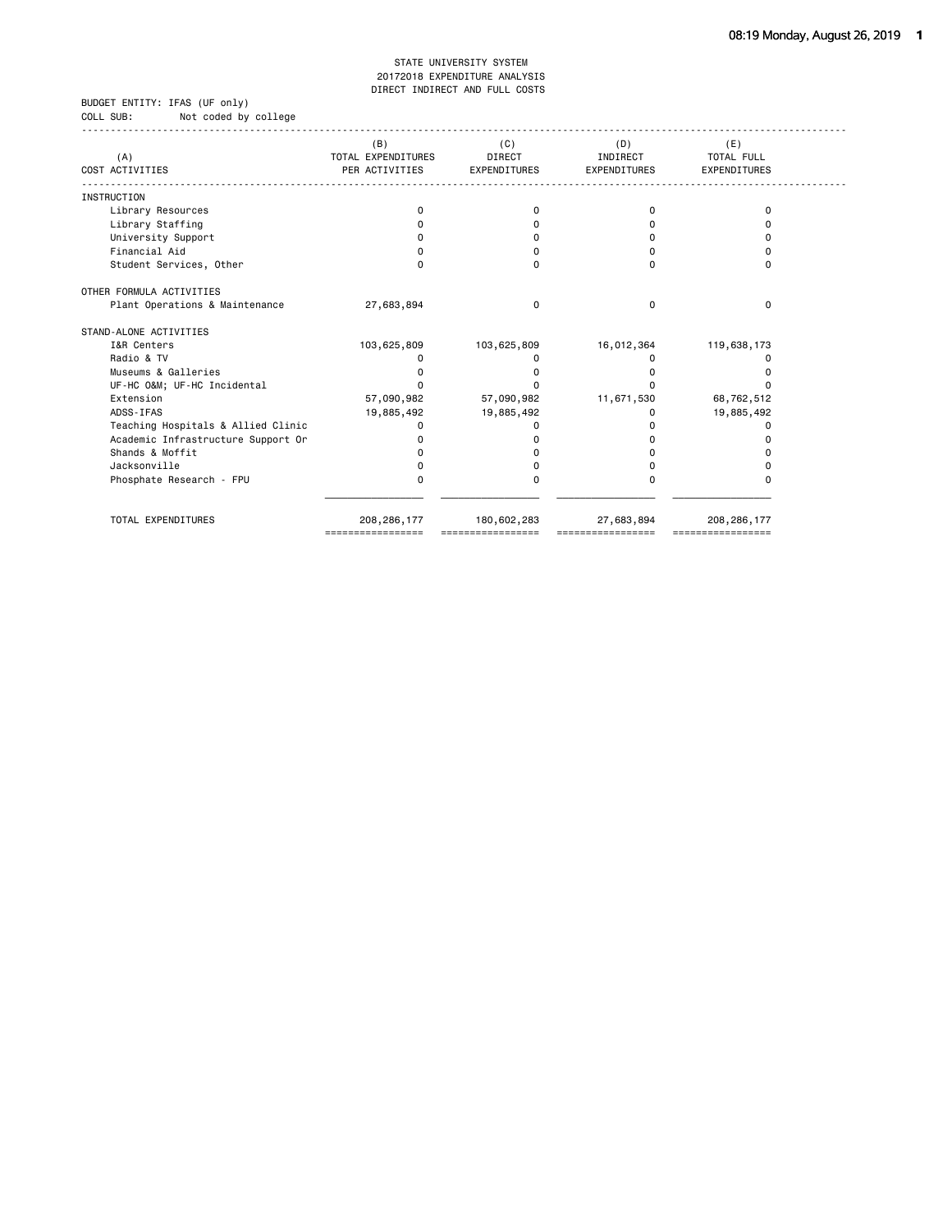#### BUDGET ENTITY: IFAS (UF only) COLL SUB: Not coded by college

| (A)                                | (B)<br>TOTAL EXPENDITURES | (C)<br><b>DIRECT</b> | (D)<br>INDIRECT     | (E)<br><b>TOTAL FULL</b> |
|------------------------------------|---------------------------|----------------------|---------------------|--------------------------|
| COST ACTIVITIES                    | PER ACTIVITIES            | <b>EXPENDITURES</b>  | <b>EXPENDITURES</b> | <b>EXPENDITURES</b>      |
| <b>INSTRUCTION</b>                 |                           |                      |                     |                          |
| Library Resources                  | 0                         | 0                    | ŋ                   | 0                        |
| Library Staffing                   |                           |                      |                     |                          |
| University Support                 |                           |                      |                     |                          |
| Financial Aid                      |                           |                      |                     |                          |
| Student Services, Other            | 0                         | $\Omega$             |                     | $\Omega$                 |
| OTHER FORMULA ACTIVITIES           |                           |                      |                     |                          |
| Plant Operations & Maintenance     | 27,683,894                | 0                    | <sup>0</sup>        | $\Omega$                 |
| STAND-ALONE ACTIVITIES             |                           |                      |                     |                          |
| I&R Centers                        | 103,625,809               | 103,625,809          | 16,012,364          | 119,638,173              |
| Radio & TV                         |                           |                      |                     |                          |
| Museums & Galleries                |                           |                      |                     |                          |
| UF-HC O&M UF-HC Incidental         |                           |                      |                     |                          |
| Extension                          | 57,090,982                | 57,090,982           | 11,671,530          | 68,762,512               |
| ADSS-IFAS                          | 19,885,492                | 19,885,492           |                     | 19,885,492               |
| Teaching Hospitals & Allied Clinic | O                         |                      |                     | n                        |
| Academic Infrastructure Support Or |                           |                      |                     |                          |
| Shands & Moffit                    |                           |                      |                     |                          |
| Jacksonville                       |                           |                      |                     |                          |
| Phosphate Research - FPU           | 0                         | 0                    |                     | O                        |
| TOTAL EXPENDITURES                 | 208, 286, 177             | 180,602,283          | 27,683,894          | 208, 286, 177            |
|                                    |                           |                      |                     |                          |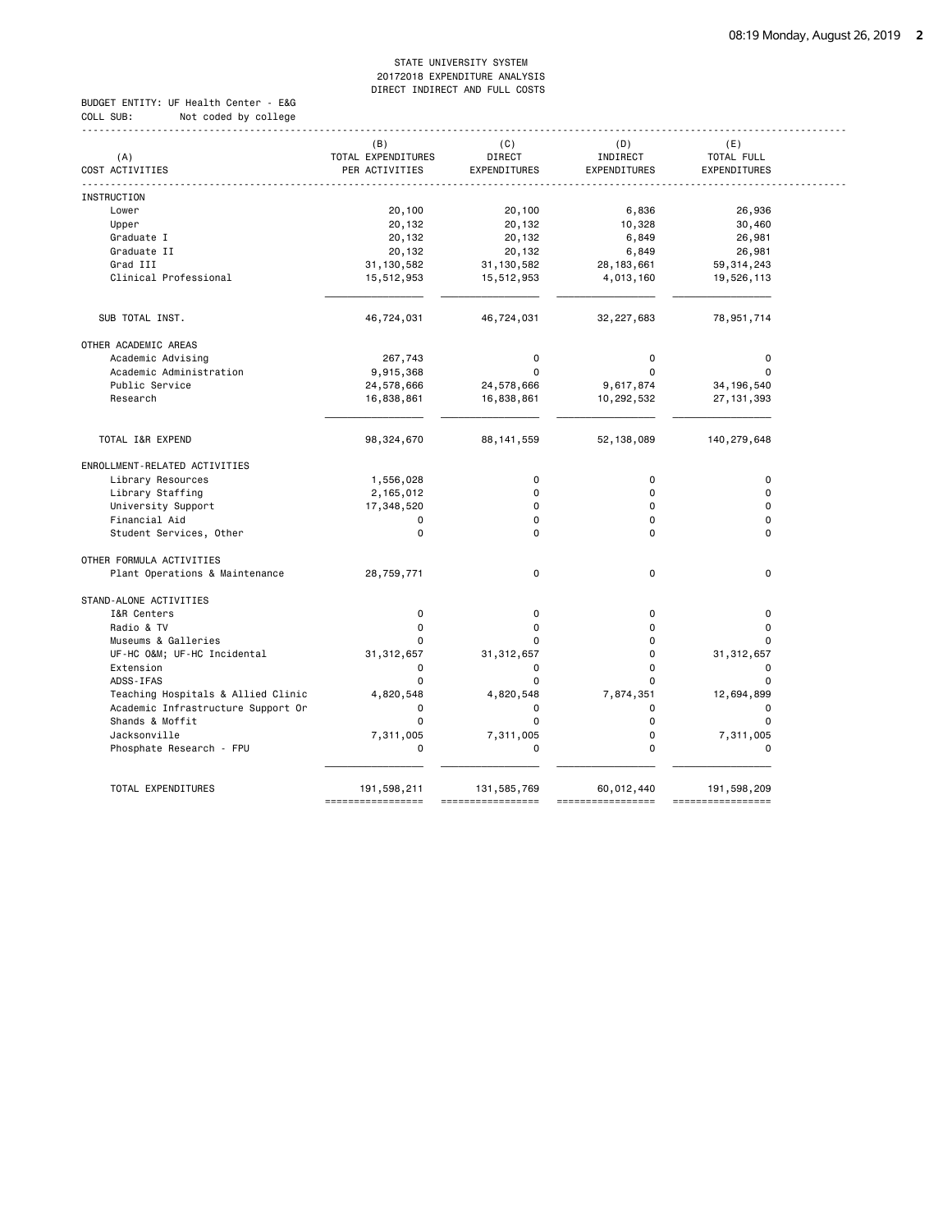BUDGET ENTITY: UF Health Center - E&G COLL SUB: Not coded by college

|                                    | (B)                          | (C)          | (D)          | (E)                         |
|------------------------------------|------------------------------|--------------|--------------|-----------------------------|
| (A)                                | TOTAL EXPENDITURES           | DIRECT       | INDIRECT     | TOTAL FULL                  |
| COST ACTIVITIES                    | PER ACTIVITIES               | EXPENDITURES | EXPENDITURES | EXPENDITURES                |
| INSTRUCTION                        |                              |              |              |                             |
| Lower                              | 20,100                       | 20,100       | 6,836        | 26,936                      |
| Upper                              | 20,132                       | 20,132       | 10,328       | 30,460                      |
| Graduate I                         | 20,132                       | 20,132       | 6,849        | 26,981                      |
| Graduate II                        | 20,132                       | 20,132       | 6,849        | 26,981                      |
| Grad III                           |                              |              |              |                             |
|                                    | 31, 130, 582                 | 31, 130, 582 | 28, 183, 661 | 59, 314, 243                |
| Clinical Professional              | 15,512,953                   | 15,512,953   | 4,013,160    | 19,526,113                  |
| SUB TOTAL INST.                    | 46,724,031                   | 46,724,031   | 32,227,683   | 78,951,714                  |
| OTHER ACADEMIC AREAS               |                              |              |              |                             |
| Academic Advising                  | 267,743                      | 0            | 0            | $\mathbf 0$                 |
| Academic Administration            | 9,915,368                    | $\mathbf 0$  | $\Omega$     | $\mathbf 0$                 |
| Public Service                     | 24,578,666                   | 24,578,666   | 9,617,874    | 34, 196, 540                |
| Research                           | 16,838,861                   | 16,838,861   | 10,292,532   | 27, 131, 393                |
|                                    |                              |              |              |                             |
| TOTAL I&R EXPEND                   | 98, 324, 670                 | 88, 141, 559 | 52, 138, 089 | 140,279,648                 |
| ENROLLMENT-RELATED ACTIVITIES      |                              |              |              |                             |
| Library Resources                  | 1,556,028                    | 0            | $\mathbf 0$  | $\mathbf 0$                 |
| Library Staffing                   | 2,165,012                    | 0            | $\Omega$     | $\mathbf 0$                 |
| University Support                 | 17,348,520                   | $\Omega$     | $\Omega$     | $\Omega$                    |
| Financial Aid                      | 0                            | 0            | $\Omega$     | $\mathbf 0$                 |
| Student Services, Other            | $\Omega$                     | $\Omega$     | $\Omega$     | $\Omega$                    |
| OTHER FORMULA ACTIVITIES           |                              |              |              |                             |
| Plant Operations & Maintenance     | 28,759,771                   | $\mathbf 0$  | 0            | $\mathbf 0$                 |
| STAND-ALONE ACTIVITIES             |                              |              |              |                             |
| I&R Centers                        | $\mathbf 0$                  | $\mathbf 0$  | $\mathbf 0$  | $\mathbf 0$                 |
| Radio & TV                         | 0                            | 0            | 0            | $\mathbf 0$                 |
| Museums & Galleries                | 0                            | $\Omega$     | 0            | $\Omega$                    |
| UF-HC O&M UF-HC Incidental         | 31, 312, 657                 | 31, 312, 657 | 0            | 31, 312, 657                |
| Extension                          | 0                            | 0            | $\Omega$     | $\Omega$                    |
| ADSS-IFAS                          | $\Omega$                     | $\Omega$     | $\Omega$     | $\Omega$                    |
| Teaching Hospitals & Allied Clinic | 4,820,548                    | 4,820,548    | 7,874,351    | 12,694,899                  |
| Academic Infrastructure Support Or | $\Omega$                     | 0            | $\Omega$     | $\mathbf 0$                 |
| Shands & Moffit                    | 0                            | $\mathbf 0$  | 0            | $\mathbf 0$                 |
| Jacksonville                       | 7,311,005                    | 7,311,005    | 0            | 7,311,005                   |
| Phosphate Research - FPU           | 0                            | 0            | 0            | $\mathbf 0$                 |
|                                    |                              |              |              |                             |
| TOTAL EXPENDITURES                 | 191,598,211<br>============= | 131,585,769  | 60,012,440   | 191,598,209<br>============ |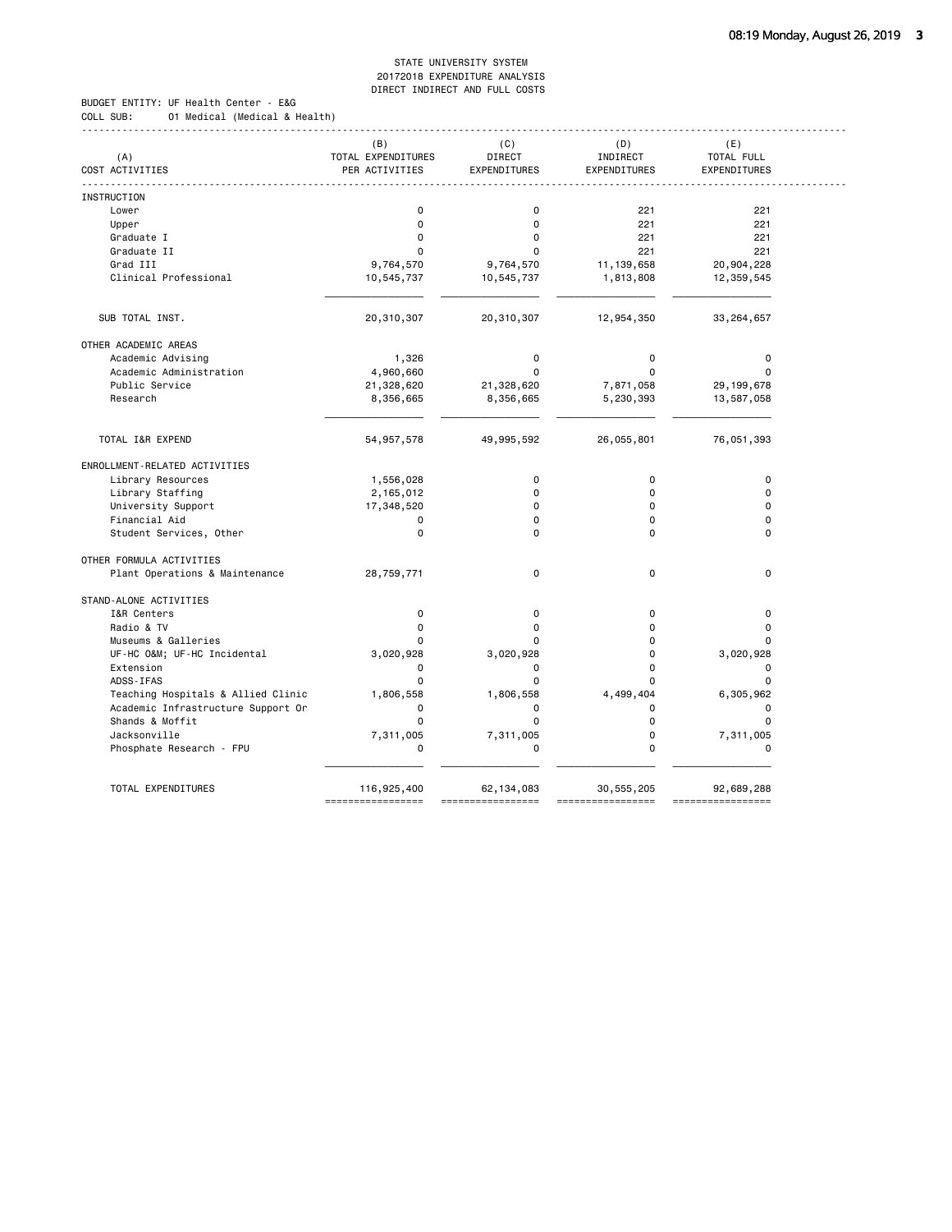BUDGET ENTITY: UF Health Center - E&G COLL SUB: 01 Medical (Medical & Health)

|                                    | (B)                | (C)          | (D)          | (E)          |
|------------------------------------|--------------------|--------------|--------------|--------------|
| (A)                                | TOTAL EXPENDITURES | DIRECT       | INDIRECT     | TOTAL FULL   |
| COST ACTIVITIES                    | PER ACTIVITIES     | EXPENDITURES | EXPENDITURES | EXPENDITURES |
| INSTRUCTION                        |                    |              |              |              |
| Lower                              | 0                  | $\mathbf 0$  | 221          | 221          |
| Upper                              | 0                  | $\mathbf 0$  | 221          | 221          |
| Graduate I                         | $\Omega$           | $\mathbf 0$  | 221          | 221          |
| Graduate II                        | 0                  | $\Omega$     | 221          | 221          |
| Grad III                           | 9,764,570          | 9,764,570    | 11, 139, 658 | 20,904,228   |
| Clinical Professional              | 10,545,737         | 10,545,737   | 1,813,808    | 12,359,545   |
|                                    |                    |              |              |              |
| SUB TOTAL INST.                    | 20,310,307         | 20,310,307   | 12,954,350   | 33,264,657   |
| OTHER ACADEMIC AREAS               |                    |              |              |              |
| Academic Advising                  | 1,326              | $\mathbf 0$  | 0            | 0            |
| Academic Administration            | 4,960,660          | $\Omega$     | $\Omega$     | $\Omega$     |
| Public Service                     | 21,328,620         | 21,328,620   | 7,871,058    | 29, 199, 678 |
| Research                           | 8,356,665          | 8,356,665    | 5,230,393    | 13,587,058   |
|                                    |                    |              |              |              |
| TOTAL I&R EXPEND                   | 54, 957, 578       | 49,995,592   | 26,055,801   | 76,051,393   |
| ENROLLMENT-RELATED ACTIVITIES      |                    |              |              |              |
| Library Resources                  | 1,556,028          | 0            | $\mathbf 0$  | $\pmb{0}$    |
| Library Staffing                   | 2,165,012          | $\Omega$     | $\Omega$     | $\Omega$     |
| University Support                 | 17,348,520         | $\Omega$     | $\mathbf 0$  | $\Omega$     |
| Financial Aid                      | 0                  | $\Omega$     | $\Omega$     | $\Omega$     |
| Student Services, Other            | 0                  | $\Omega$     | $\Omega$     | $\Omega$     |
| OTHER FORMULA ACTIVITIES           |                    |              |              |              |
| Plant Operations & Maintenance     | 28,759,771         | 0            | 0            | $\mathbf 0$  |
| STAND-ALONE ACTIVITIES             |                    |              |              |              |
| I&R Centers                        | $\mathbf 0$        | 0            | $\mathbf 0$  | $\pmb{0}$    |
| Radio & TV                         | $\Omega$           | $\Omega$     | $\Omega$     | $\Omega$     |
| Museums & Galleries                | 0                  | 0            | $\Omega$     | $\Omega$     |
| UF-HC O&M UF-HC Incidental         | 3,020,928          | 3,020,928    | 0            | 3,020,928    |
| Extension                          | 0                  | 0            | 0            | $\mathbf 0$  |
| ADSS-IFAS                          | $\Omega$           | $\mathbf 0$  | $\Omega$     | $\mathbf 0$  |
| Teaching Hospitals & Allied Clinic | 1,806,558          | 1,806,558    | 4,499,404    | 6,305,962    |
| Academic Infrastructure Support Or | $\Omega$           | 0            | $\Omega$     | $\mathbf 0$  |
| Shands & Moffit                    | 0                  | $\mathbf 0$  | 0            | $\mathbf 0$  |
| Jacksonville                       | 7,311,005          | 7,311,005    | 0            | 7,311,005    |
| Phosphate Research - FPU           | 0                  | 0            | 0            | $\mathbf 0$  |
| TOTAL EXPENDITURES                 |                    |              |              |              |
|                                    | 116,925,400        | 62,134,083   | 30,555,205   | 92,689,288   |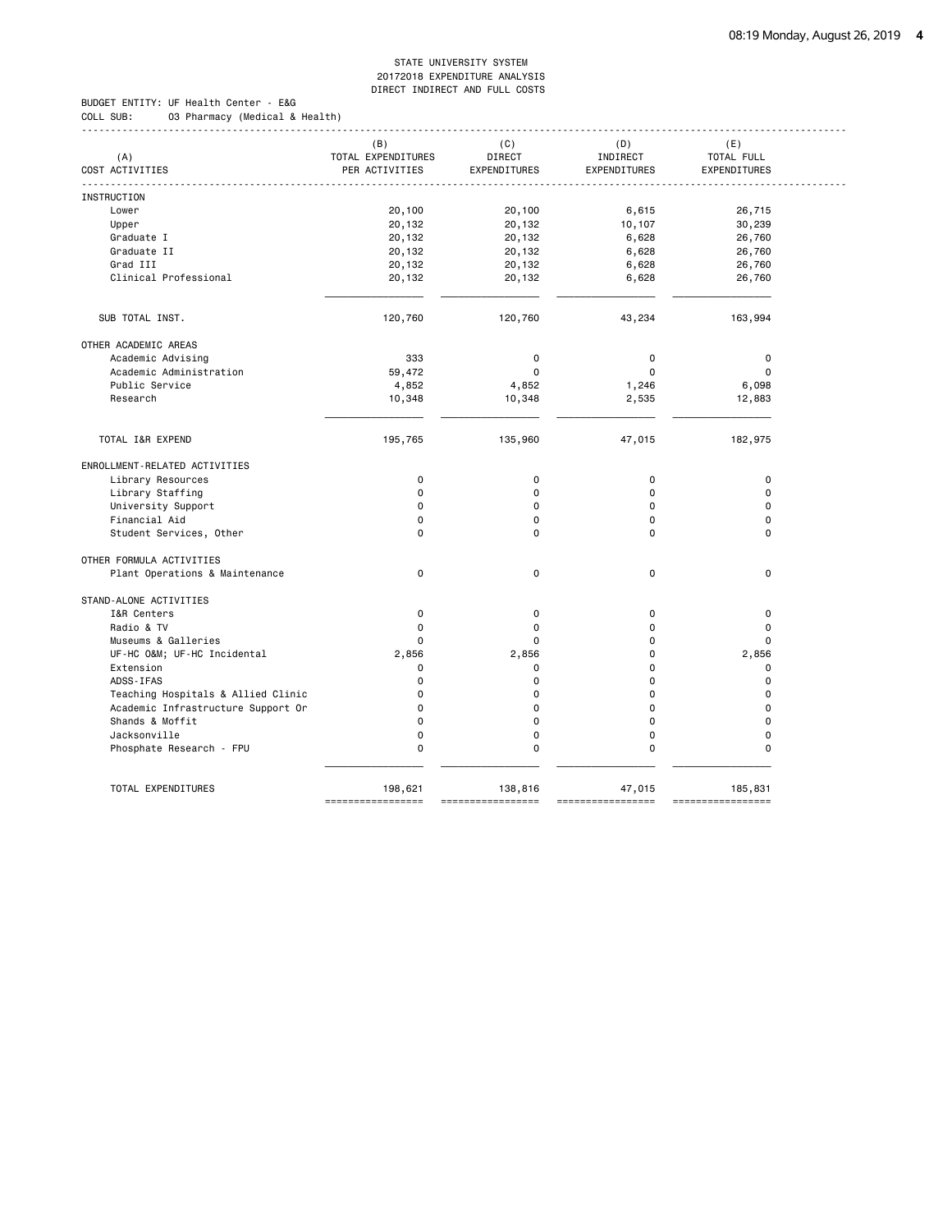------------------------------------------------------------------------------------------------------------------------------------

BUDGET ENTITY: UF Health Center - E&G COLL SUB: 03 Pharmacy (Medical & Health)

| (A)                                | (B)<br>TOTAL EXPENDITURES | (C)<br>DIRECT | (D)<br>INDIRECT | (E)<br>TOTAL FULL |
|------------------------------------|---------------------------|---------------|-----------------|-------------------|
| COST ACTIVITIES                    | PER ACTIVITIES            | EXPENDITURES  | EXPENDITURES    | EXPENDITURES      |
| INSTRUCTION                        |                           |               |                 |                   |
| Lower                              | 20,100                    | 20,100        | 6,615           | 26,715            |
| Upper                              | 20,132                    | 20,132        | 10,107          | 30,239            |
| Graduate I                         | 20,132                    | 20,132        | 6,628           | 26,760            |
| Graduate II                        | 20,132                    | 20,132        | 6,628           | 26,760            |
| Grad III                           | 20,132                    | 20,132        | 6,628           | 26,760            |
| Clinical Professional              | 20,132                    | 20,132        | 6,628           | 26,760            |
|                                    |                           |               |                 |                   |
| SUB TOTAL INST.                    | 120,760                   | 120,760       | 43,234          | 163,994           |
| OTHER ACADEMIC AREAS               |                           |               |                 |                   |
| Academic Advising                  | 333                       | 0             | 0               | 0                 |
| Academic Administration            | 59,472                    | $\mathbf 0$   | $\Omega$        | $\mathbf 0$       |
| Public Service                     | 4,852                     | 4,852         | 1,246           | 6,098             |
| Research                           | 10,348                    | 10,348        | 2,535           | 12,883            |
| TOTAL I&R EXPEND                   | 195,765                   | 135,960       | 47,015          | 182,975           |
| ENROLLMENT-RELATED ACTIVITIES      |                           |               |                 |                   |
| Library Resources                  | 0                         | $\mathbf 0$   | $\pmb{0}$       | $\pmb{0}$         |
| Library Staffing                   | 0                         | 0             | $\Omega$        | $\mathbf 0$       |
| University Support                 | 0                         | 0             | $\Omega$        | $\mathbf 0$       |
| Financial Aid                      | $\Omega$                  | 0             | $\Omega$        | $\mathbf 0$       |
| Student Services, Other            | $\Omega$                  | 0             | $\Omega$        | $\mathbf 0$       |
| OTHER FORMULA ACTIVITIES           |                           |               |                 |                   |
| Plant Operations & Maintenance     | $\mathbf 0$               | 0             | $\Omega$        | $\mathbf 0$       |
| STAND-ALONE ACTIVITIES             |                           |               |                 |                   |
| I&R Centers                        | $\mathbf 0$               | 0             | $\mathbf 0$     | $\pmb{0}$         |
| Radio & TV                         | 0                         | $\mathbf 0$   | $\Omega$        | $\mathbf 0$       |
| Museums & Galleries                | $\Omega$                  | 0             | $\Omega$        | $\Omega$          |
| UF-HC O&M UF-HC Incidental         | 2,856                     | 2,856         | $\Omega$        | 2,856             |
| Extension                          | 0                         | 0             | $\Omega$        | 0                 |
| ADSS-IFAS                          | 0                         | 0             | $\Omega$        | $\mathbf 0$       |
| Teaching Hospitals & Allied Clinic | 0                         | 0             | $\Omega$        | $\mathbf 0$       |
| Academic Infrastructure Support Or | $\Omega$                  | $\Omega$      | $\Omega$        | $\Omega$          |
| Shands & Moffit                    | $\Omega$                  | 0             | $\mathbf 0$     | $\Omega$          |
| Jacksonville                       | $\Omega$                  | 0             | $\mathbf 0$     | $\mathbf 0$       |
| Phosphate Research - FPU           | 0                         | 0             | 0               | $\mathbf 0$       |
| TOTAL EXPENDITURES                 | 198,621                   | 138,816       | 47,015          | 185,831           |
|                                    | -----------------         |               |                 | ========          |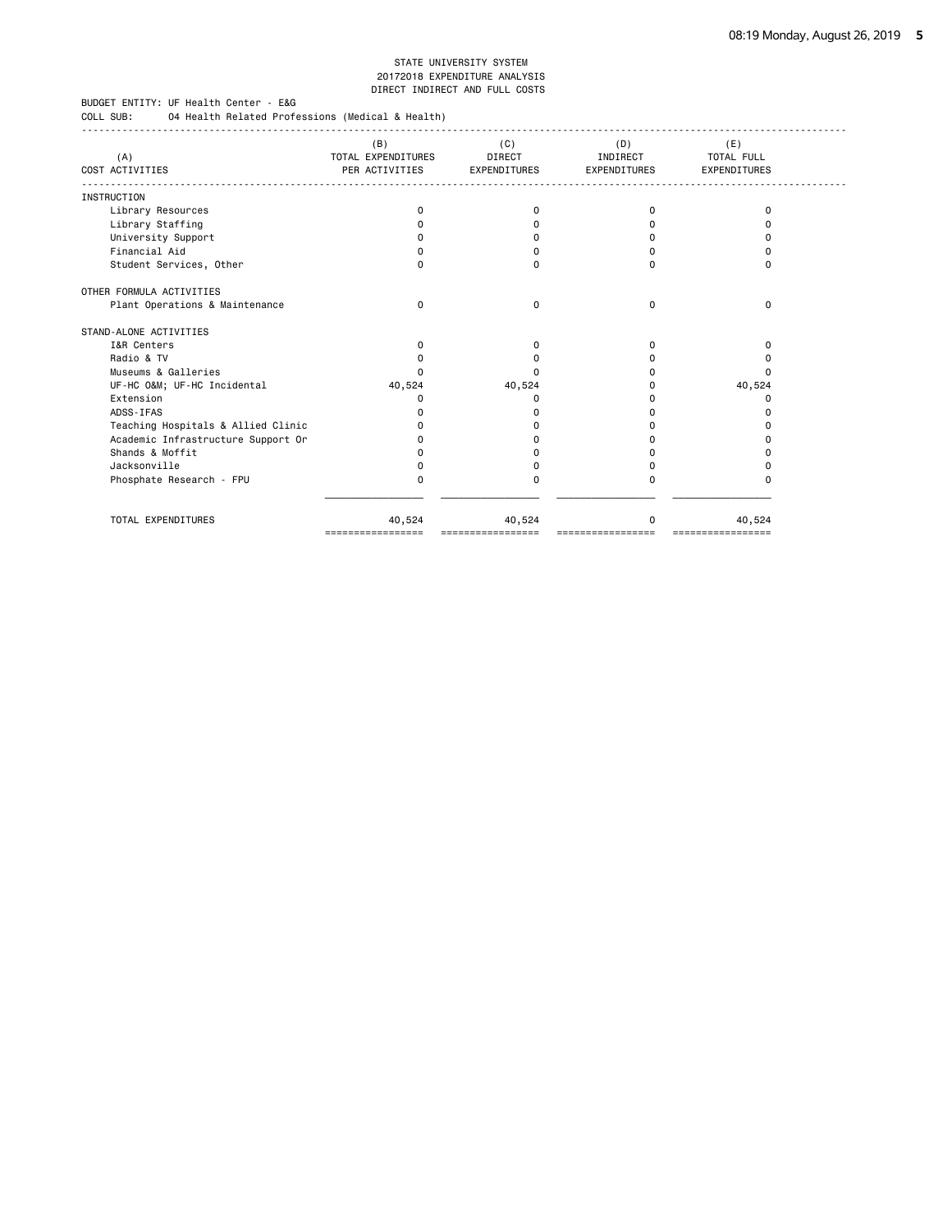BUDGET ENTITY: UF Health Center - E&G

COLL SUB: 04 Health Related Professions (Medical & Health)

| (A)<br>COST ACTIVITIES             | (B)<br>TOTAL EXPENDITURES<br>PER ACTIVITIES | (C)<br><b>DIRECT</b><br><b>EXPENDITURES</b> | (D)<br>INDIRECT<br><b>EXPENDITURES</b> | (E)<br><b>TOTAL FULL</b><br><b>EXPENDITURES</b> |  |
|------------------------------------|---------------------------------------------|---------------------------------------------|----------------------------------------|-------------------------------------------------|--|
|                                    |                                             |                                             |                                        |                                                 |  |
| <b>INSTRUCTION</b>                 |                                             |                                             |                                        |                                                 |  |
| Library Resources                  | 0                                           | 0                                           | <sup>0</sup>                           | $\Omega$                                        |  |
| Library Staffing                   | 0                                           | <sup>0</sup>                                |                                        | n                                               |  |
| University Support                 | 0                                           | O                                           |                                        |                                                 |  |
| Financial Aid                      | U                                           | n                                           |                                        | n                                               |  |
| Student Services, Other            | 0                                           | $\Omega$                                    |                                        | $\Omega$                                        |  |
| OTHER FORMULA ACTIVITIES           |                                             |                                             |                                        |                                                 |  |
| Plant Operations & Maintenance     | $\Omega$                                    | 0                                           | <sup>0</sup>                           | $\Omega$                                        |  |
| STAND-ALONE ACTIVITIES             |                                             |                                             |                                        |                                                 |  |
| I&R Centers                        | $\Omega$                                    | <sup>0</sup>                                |                                        | <sup>0</sup>                                    |  |
| Radio & TV                         | O                                           |                                             |                                        |                                                 |  |
| Museums & Galleries                | U                                           | n                                           |                                        | n                                               |  |
| UF-HC O&M UF-HC Incidental         | 40,524                                      | 40,524                                      |                                        | 40,524                                          |  |
| Extension                          | O                                           | O                                           |                                        | O                                               |  |
| ADSS-IFAS                          | $\Omega$                                    |                                             |                                        | n                                               |  |
| Teaching Hospitals & Allied Clinic | o                                           |                                             |                                        | n                                               |  |
| Academic Infrastructure Support Or | n                                           |                                             |                                        |                                                 |  |
| Shands & Moffit                    | o                                           |                                             |                                        |                                                 |  |
| Jacksonville                       | 0                                           | n                                           |                                        |                                                 |  |
| Phosphate Research - FPU           | 0                                           | 0                                           |                                        | O                                               |  |
|                                    |                                             |                                             |                                        |                                                 |  |
| TOTAL EXPENDITURES                 | 40,524                                      | 40,524                                      |                                        | 40,524                                          |  |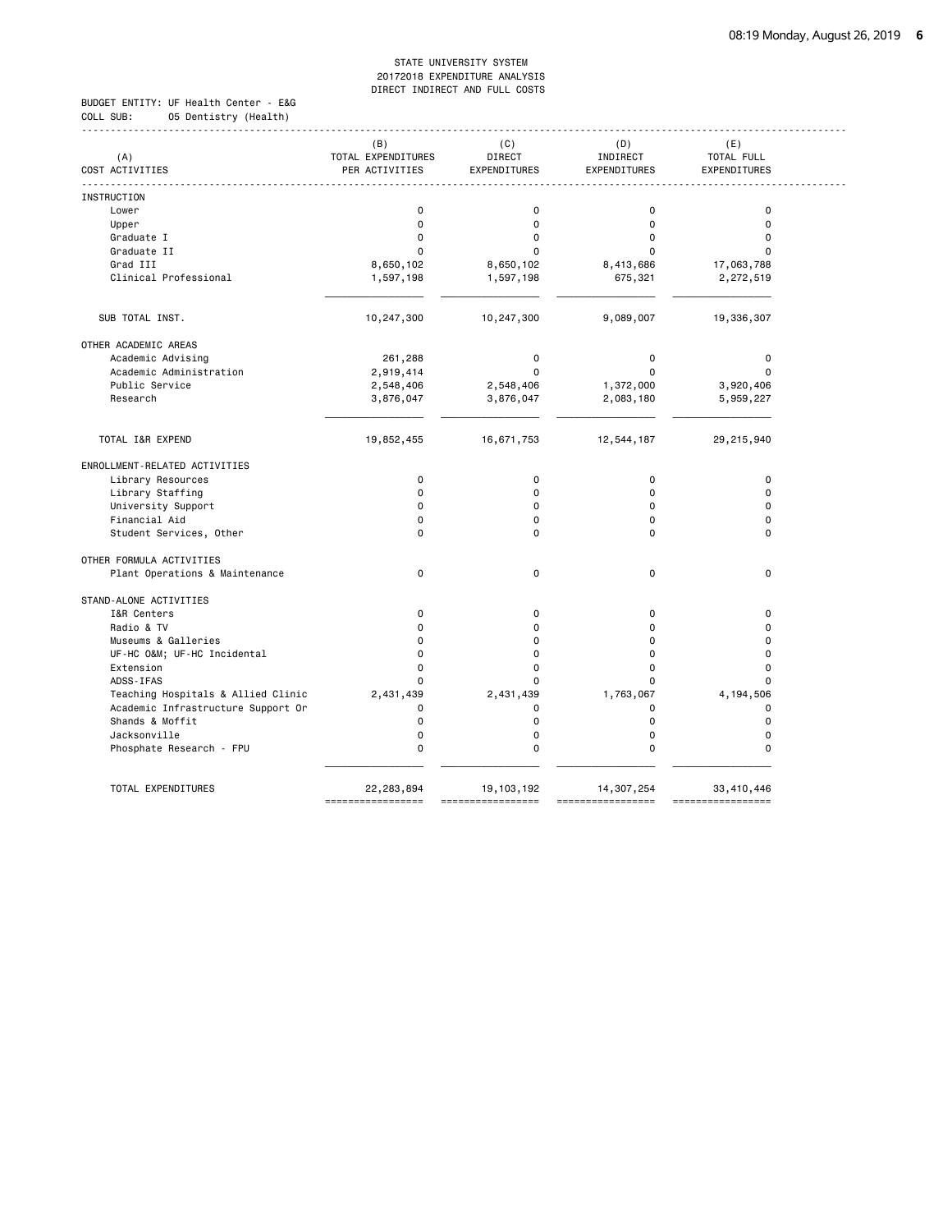BUDGET ENTITY: UF Health Center - E&G COLL SUB: 05 Dentistry (Health)

|                 |                                    | (B)                | (C)          | (D)          | (E)          |
|-----------------|------------------------------------|--------------------|--------------|--------------|--------------|
| (A)             |                                    | TOTAL EXPENDITURES | DIRECT       | INDIRECT     | TOTAL FULL   |
| COST ACTIVITIES |                                    | PER ACTIVITIES     | EXPENDITURES | EXPENDITURES | EXPENDITURES |
| INSTRUCTION     |                                    |                    |              |              |              |
| Lower           |                                    | $\mathbf 0$        | $\mathbf 0$  | $\mathbf 0$  | $\mathbf 0$  |
| Upper           |                                    | $\Omega$           | $\mathbf 0$  | $\Omega$     | $\Omega$     |
|                 | Graduate I                         | $\Omega$           | $\mathbf 0$  | $\Omega$     | $\Omega$     |
|                 | Graduate II                        | O                  | $\Omega$     |              | $\Omega$     |
|                 | Grad III                           | 8,650,102          | 8,650,102    | 8,413,686    | 17,063,788   |
|                 | Clinical Professional              | 1,597,198          | 1,597,198    | 675,321      | 2,272,519    |
|                 |                                    |                    |              |              |              |
|                 | SUB TOTAL INST.                    | 10,247,300         | 10,247,300   | 9,089,007    | 19,336,307   |
|                 | OTHER ACADEMIC AREAS               |                    |              |              |              |
|                 | Academic Advising                  | 261,288            | $\mathbf 0$  | 0            | $\pmb{0}$    |
|                 | Academic Administration            | 2,919,414          | $\Omega$     | $\Omega$     | $\Omega$     |
|                 | Public Service                     | 2,548,406          | 2,548,406    | 1,372,000    | 3,920,406    |
|                 | Research                           | 3,876,047          | 3,876,047    | 2,083,180    | 5,959,227    |
|                 |                                    |                    |              |              |              |
|                 | TOTAL I&R EXPEND                   | 19,852,455         | 16,671,753   | 12,544,187   | 29,215,940   |
|                 | ENROLLMENT-RELATED ACTIVITIES      |                    |              |              |              |
|                 | Library Resources                  | $\mathbf 0$        | $\mathbf 0$  | $\mathbf 0$  | $\mathbf 0$  |
|                 | Library Staffing                   | $\Omega$           | 0            | $\Omega$     | $\Omega$     |
|                 | University Support                 | $\Omega$           | 0            | $\Omega$     | $\Omega$     |
|                 | Financial Aid                      | $\Omega$           | 0            | $\Omega$     | $\Omega$     |
|                 | Student Services, Other            | $\Omega$           | $\Omega$     | $\Omega$     | $\Omega$     |
|                 | OTHER FORMULA ACTIVITIES           |                    |              |              |              |
|                 | Plant Operations & Maintenance     | $\mathbf 0$        | $\mathbf 0$  | $\mathbf 0$  | $\mathbf 0$  |
|                 | STAND-ALONE ACTIVITIES             |                    |              |              |              |
|                 | I&R Centers                        | $\mathbf 0$        | 0            | $\Omega$     | $\mathbf 0$  |
|                 | Radio & TV                         | $\mathbf 0$        | $\mathbf 0$  | 0            | $\mathbf 0$  |
|                 | Museums & Galleries                | $\Omega$           | 0            | $\Omega$     | $\mathbf 0$  |
|                 | UF-HC O&M UF-HC Incidental         | $\Omega$           | 0            | 0            | $\mathbf 0$  |
|                 | Extension                          | $\Omega$           | 0            | $\Omega$     | $\Omega$     |
|                 | ADSS-IFAS                          | $\mathbf 0$        | 0            | 0            | $\mathbf 0$  |
|                 | Teaching Hospitals & Allied Clinic | 2,431,439          | 2,431,439    | 1,763,067    | 4,194,506    |
|                 | Academic Infrastructure Support Or | $\mathbf 0$        | 0            | 0            | $\mathbf 0$  |
|                 | Shands & Moffit                    | $\mathbf 0$        | $\mathbf 0$  | $\mathbf 0$  | $\mathbf 0$  |
|                 | Jacksonville                       | $\Omega$           | $\mathbf 0$  | $\Omega$     | $\mathbf 0$  |
|                 | Phosphate Research - FPU           | $\mathbf 0$        | $\mathbf 0$  | 0            | $\mathbf 0$  |
|                 |                                    |                    |              |              |              |
|                 | TOTAL EXPENDITURES                 | 22, 283, 894       | 19, 103, 192 | 14,307,254   | 33,410,446   |